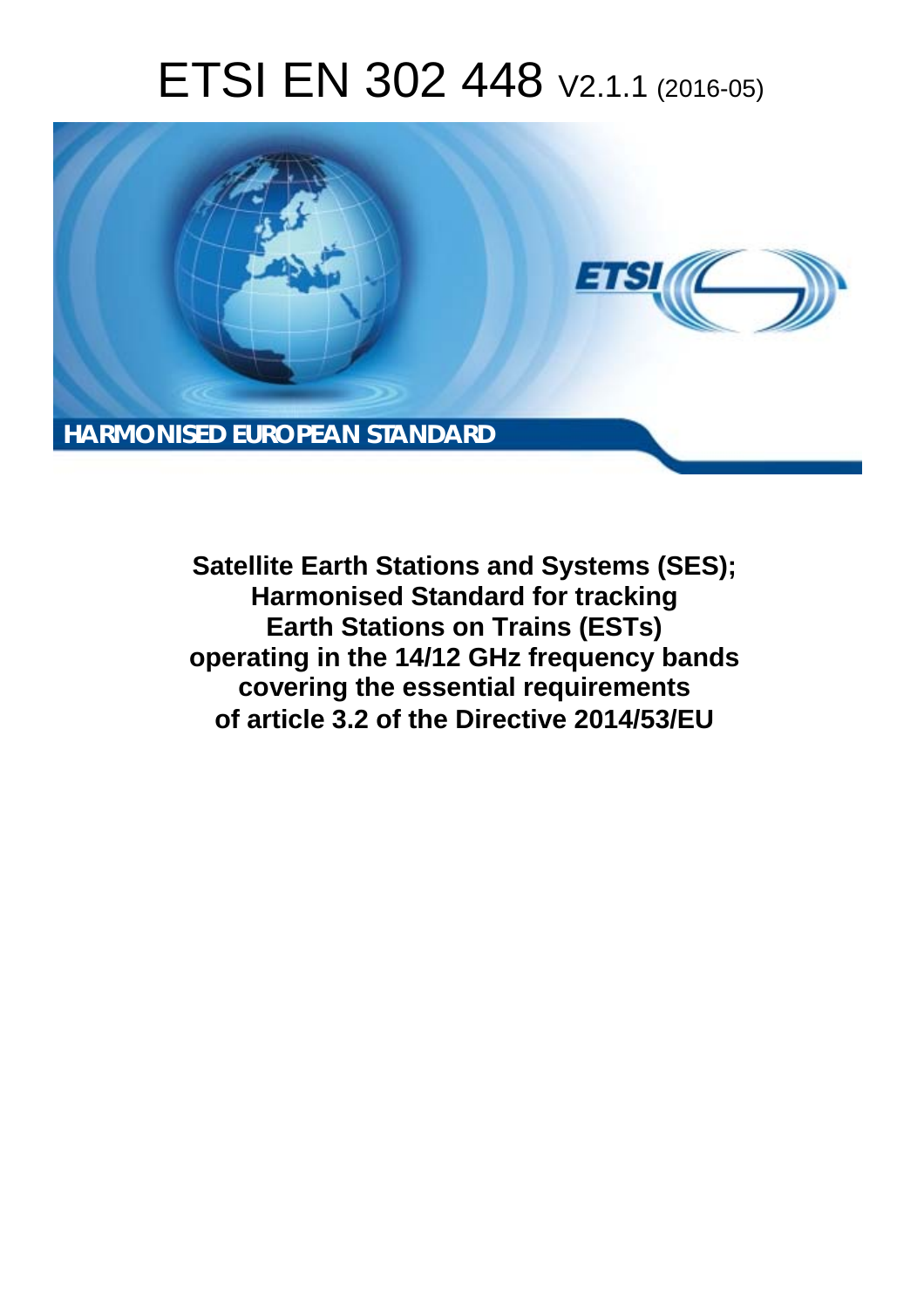# ETSI EN 302 448 V2.1.1 (2016-05)



**Satellite Earth Stations and Systems (SES); Harmonised Standard for tracking Earth Stations on Trains (ESTs) operating in the 14/12 GHz frequency bands covering the essential requirements of article 3.2 of the Directive 2014/53/EU**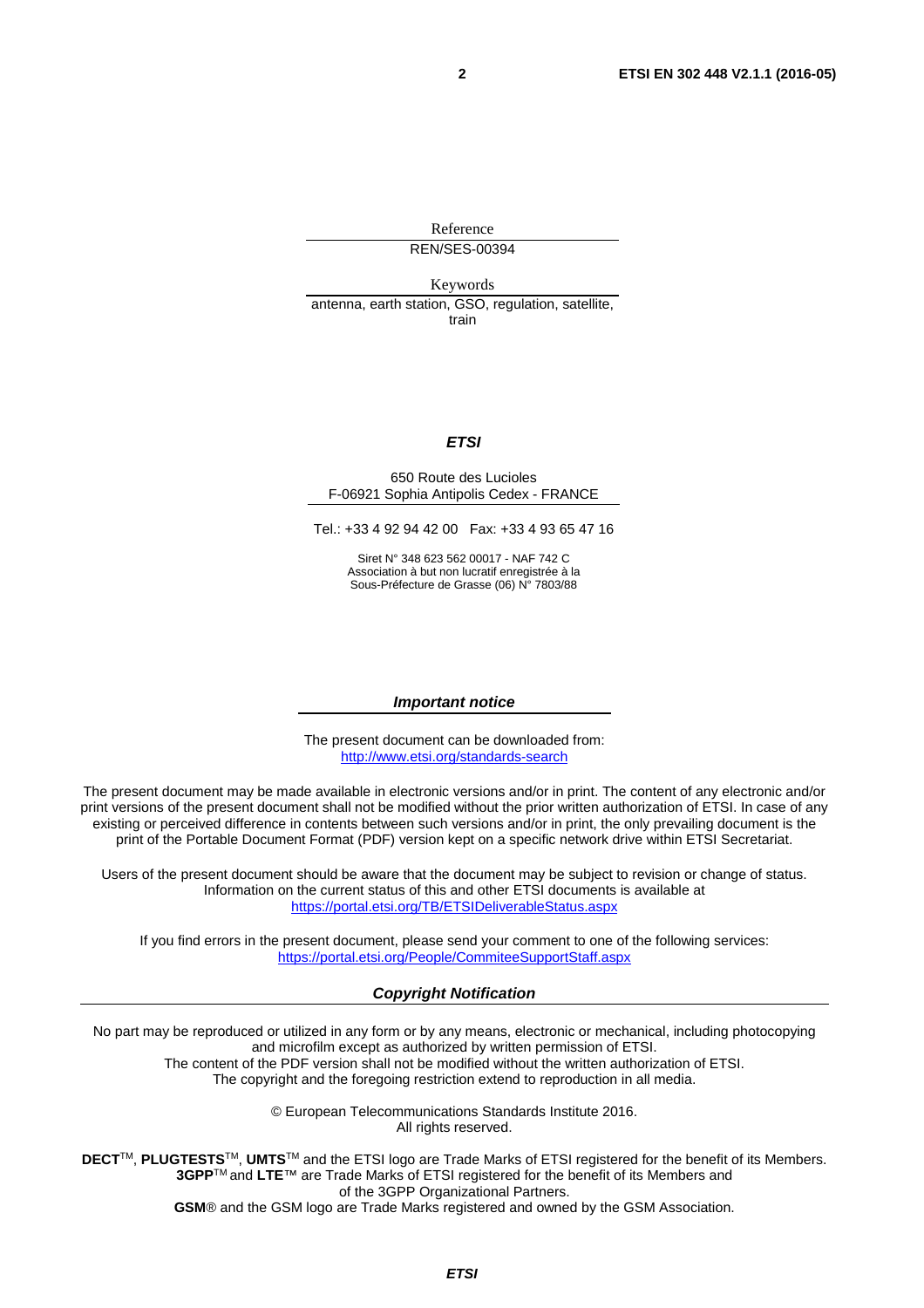Reference REN/SES-00394

Keywords antenna, earth station, GSO, regulation, satellite, train

#### *ETSI*

#### 650 Route des Lucioles F-06921 Sophia Antipolis Cedex - FRANCE

Tel.: +33 4 92 94 42 00 Fax: +33 4 93 65 47 16

Siret N° 348 623 562 00017 - NAF 742 C Association à but non lucratif enregistrée à la Sous-Préfecture de Grasse (06) N° 7803/88

#### *Important notice*

The present document can be downloaded from: <http://www.etsi.org/standards-search>

The present document may be made available in electronic versions and/or in print. The content of any electronic and/or print versions of the present document shall not be modified without the prior written authorization of ETSI. In case of any existing or perceived difference in contents between such versions and/or in print, the only prevailing document is the print of the Portable Document Format (PDF) version kept on a specific network drive within ETSI Secretariat.

Users of the present document should be aware that the document may be subject to revision or change of status. Information on the current status of this and other ETSI documents is available at <https://portal.etsi.org/TB/ETSIDeliverableStatus.aspx>

If you find errors in the present document, please send your comment to one of the following services: <https://portal.etsi.org/People/CommiteeSupportStaff.aspx>

#### *Copyright Notification*

No part may be reproduced or utilized in any form or by any means, electronic or mechanical, including photocopying and microfilm except as authorized by written permission of ETSI.

The content of the PDF version shall not be modified without the written authorization of ETSI. The copyright and the foregoing restriction extend to reproduction in all media.

> © European Telecommunications Standards Institute 2016. All rights reserved.

**DECT**TM, **PLUGTESTS**TM, **UMTS**TM and the ETSI logo are Trade Marks of ETSI registered for the benefit of its Members. **3GPP**TM and **LTE**™ are Trade Marks of ETSI registered for the benefit of its Members and of the 3GPP Organizational Partners.

**GSM**® and the GSM logo are Trade Marks registered and owned by the GSM Association.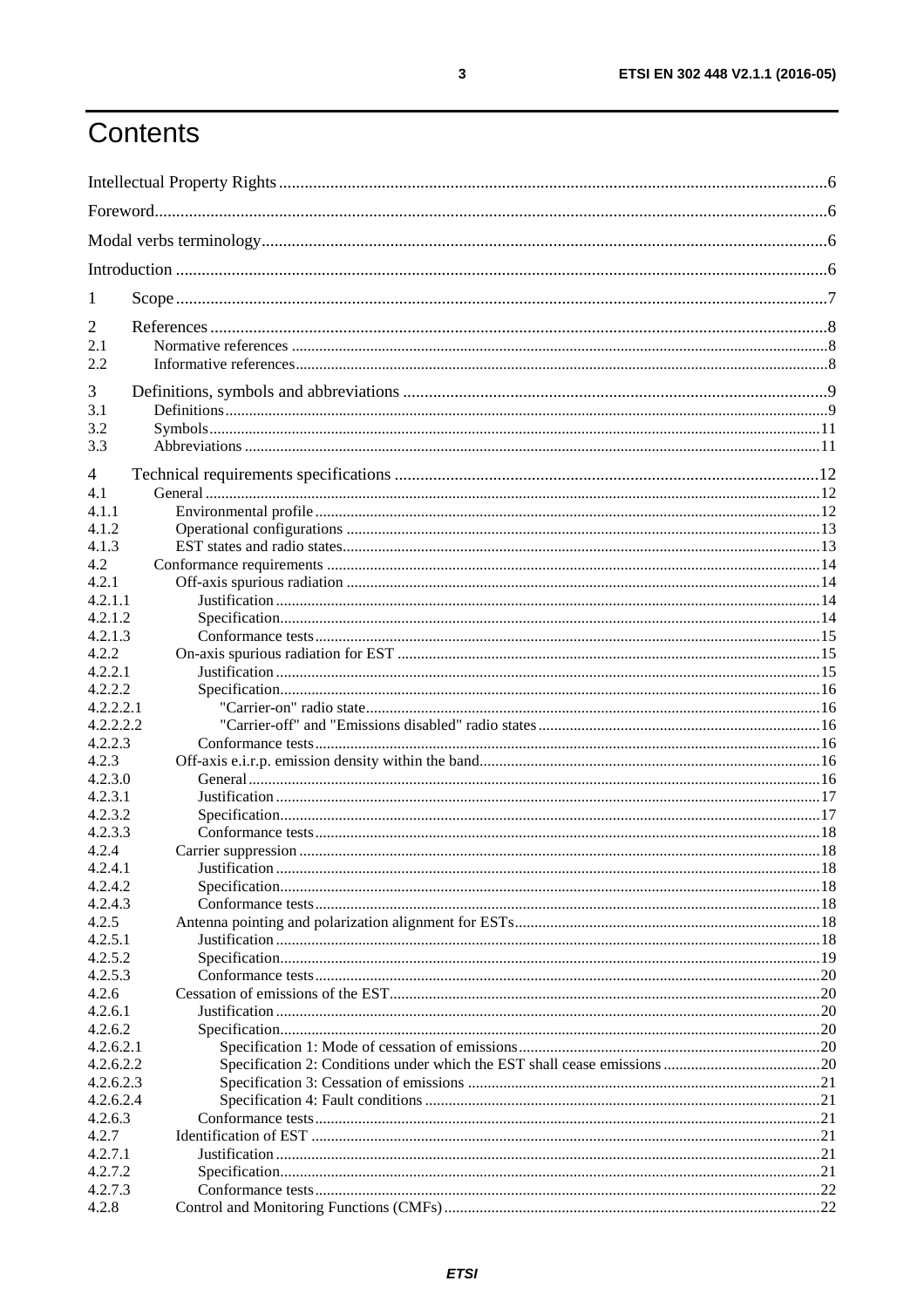# Contents

| $\mathbf{I}$         |  |  |  |
|----------------------|--|--|--|
| 2                    |  |  |  |
| 2.1<br>2.2           |  |  |  |
| 3                    |  |  |  |
| 3.1                  |  |  |  |
| 3.2                  |  |  |  |
| 3.3                  |  |  |  |
| 4                    |  |  |  |
| 4.1                  |  |  |  |
| 4.1.1                |  |  |  |
| 4.1.2                |  |  |  |
| 4.1.3                |  |  |  |
| 4.2                  |  |  |  |
| 4.2.1                |  |  |  |
| 4.2.1.1              |  |  |  |
| 4.2.1.2<br>4.2.1.3   |  |  |  |
| 4.2.2                |  |  |  |
| 4.2.2.1              |  |  |  |
| 4.2.2.2              |  |  |  |
| 4.2.2.2.1            |  |  |  |
| 4.2.2.2.2            |  |  |  |
| 4.2.2.3              |  |  |  |
| 4.2.3                |  |  |  |
| 4.2.3.0              |  |  |  |
| 4.2.3.1              |  |  |  |
| 4.2.3.2              |  |  |  |
| 4.2.3.3              |  |  |  |
| 4.2.4                |  |  |  |
| 4.2.4.1              |  |  |  |
| 4.2.4.2              |  |  |  |
| 4.2.4.3              |  |  |  |
| 4.2.5                |  |  |  |
| 4.2.5.1              |  |  |  |
| 4.2.5.2              |  |  |  |
| 4.2.5.3              |  |  |  |
| 4.2.6                |  |  |  |
| 4.2.6.1              |  |  |  |
| 4.2.6.2<br>4.2.6.2.1 |  |  |  |
| 4.2.6.2.2            |  |  |  |
| 4.2.6.2.3            |  |  |  |
| 4.2.6.2.4            |  |  |  |
| 4.2.6.3              |  |  |  |
| 4.2.7                |  |  |  |
| 4.2.7.1              |  |  |  |
| 4.2.7.2              |  |  |  |
| 4.2.7.3              |  |  |  |
| 4.2.8                |  |  |  |
|                      |  |  |  |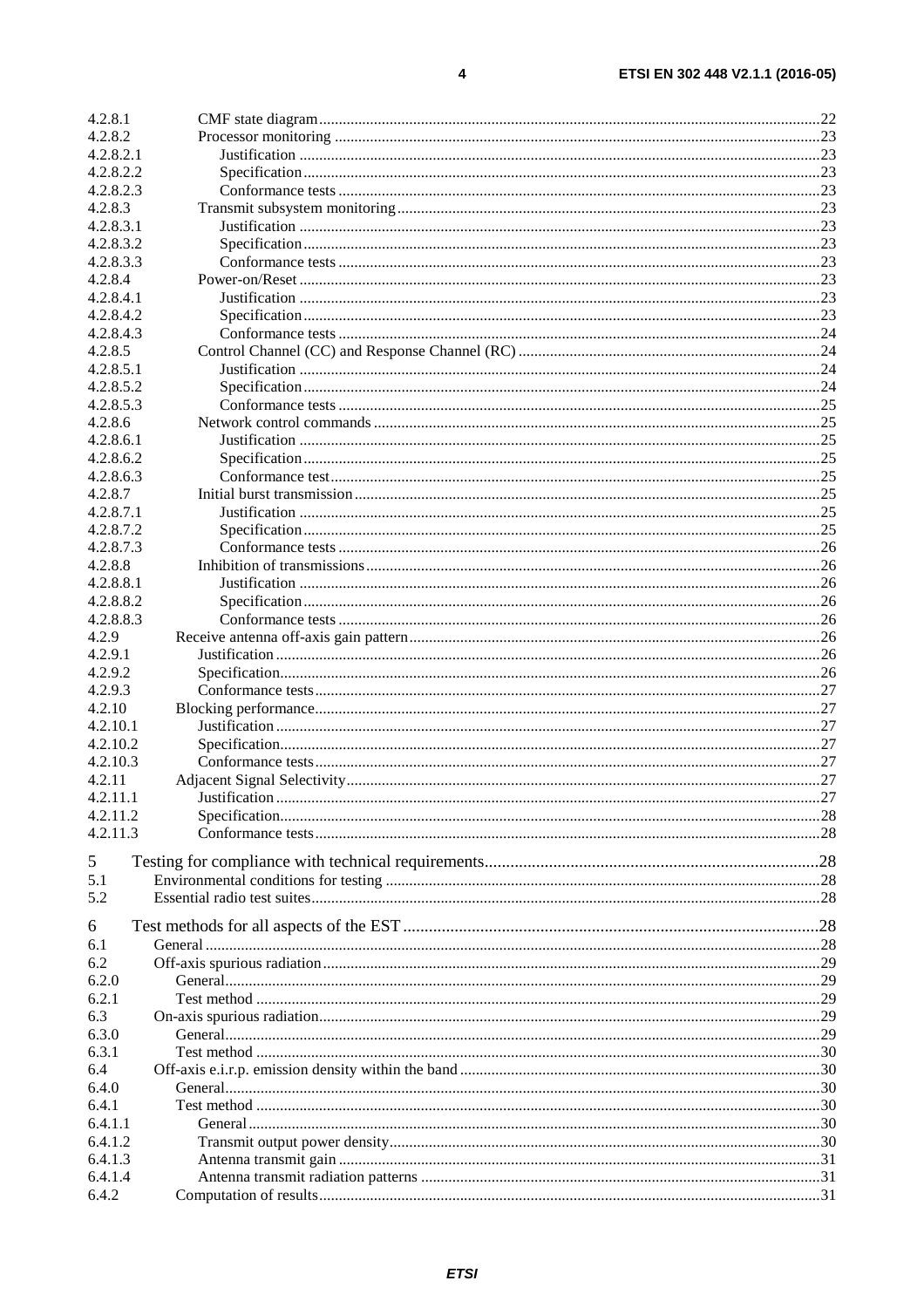| 4.2.8.1   |  |
|-----------|--|
| 4.2.8.2   |  |
| 4.2.8.2.1 |  |
| 4.2.8.2.2 |  |
| 4.2.8.2.3 |  |
| 4.2.8.3   |  |
| 4.2.8.3.1 |  |
| 4.2.8.3.2 |  |
| 4.2.8.3.3 |  |
| 4.2.8.4   |  |
| 4.2.8.4.1 |  |
| 4.2.8.4.2 |  |
| 4.2.8.4.3 |  |
| 4.2.8.5   |  |
| 4.2.8.5.1 |  |
| 4.2.8.5.2 |  |
| 4.2.8.5.3 |  |
| 4.2.8.6   |  |
| 4.2.8.6.1 |  |
| 4.2.8.6.2 |  |
| 4.2.8.6.3 |  |
| 4.2.8.7   |  |
| 4.2.8.7.1 |  |
| 4.2.8.7.2 |  |
| 4.2.8.7.3 |  |
| 4.2.8.8   |  |
| 4.2.8.8.1 |  |
| 4.2.8.8.2 |  |
| 4.2.8.8.3 |  |
| 4.2.9     |  |
| 4.2.9.1   |  |
| 4.2.9.2   |  |
| 4.2.9.3   |  |
| 4.2.10    |  |
| 4.2.10.1  |  |
| 4.2.10.2  |  |
| 4.2.10.3  |  |
| 4.2.11    |  |
| 4.2.11.1  |  |
| 4.2.11.2  |  |
| 4.2.11.3  |  |
|           |  |
| 5         |  |
| 5.1       |  |
| 5.2       |  |
| 6         |  |
| 6.1       |  |
| 6.2       |  |
| 6.2.0     |  |
| 6.2.1     |  |
| 6.3       |  |
| 6.3.0     |  |
| 6.3.1     |  |
| 6.4       |  |
| 6.4.0     |  |
| 6.4.1     |  |
| 6.4.1.1   |  |
| 6.4.1.2   |  |
| 6.4.1.3   |  |
| 6.4.1.4   |  |
| 6.4.2     |  |
|           |  |

 $\overline{\mathbf{4}}$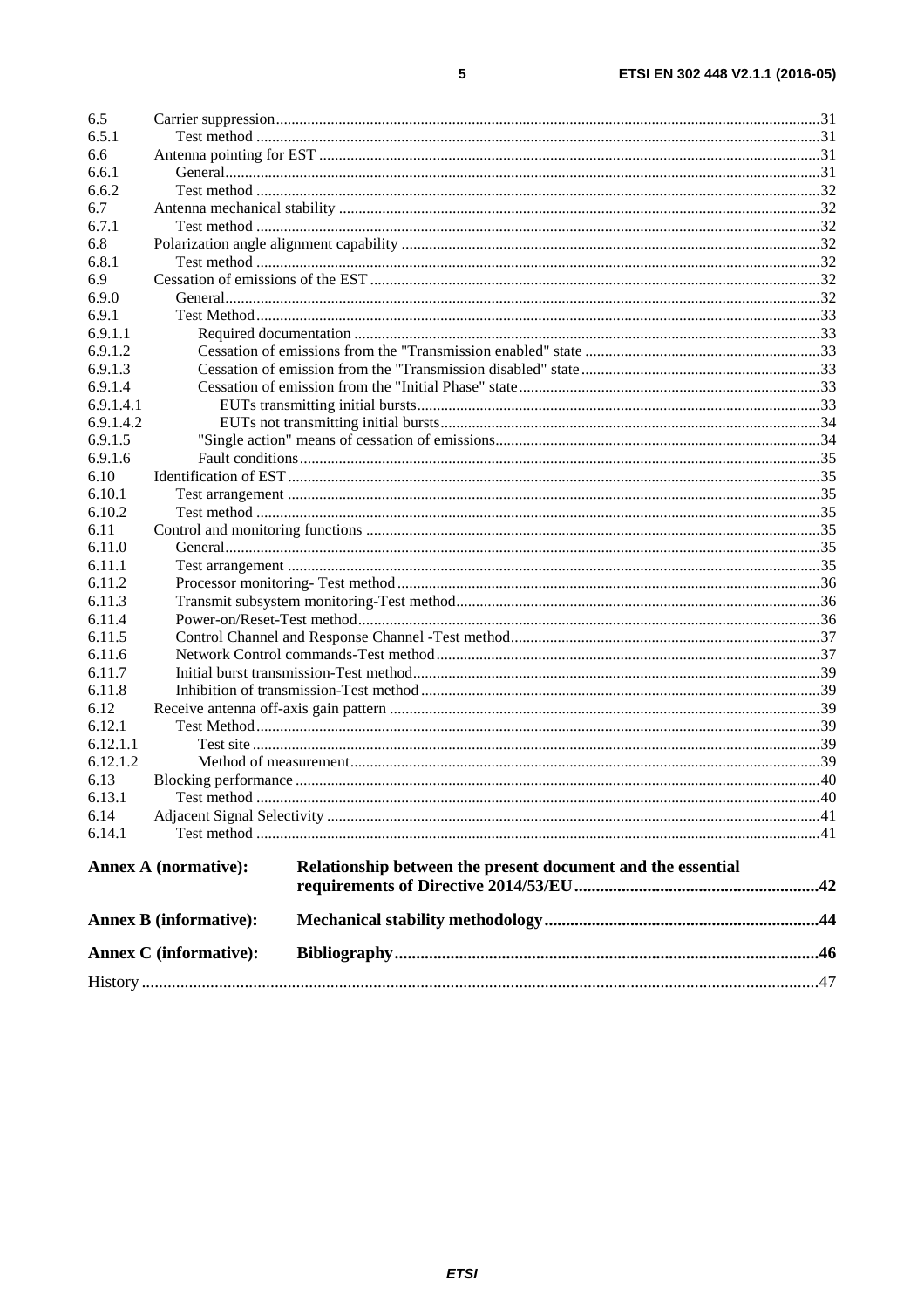| 6.5       |                               |                                                             |  |
|-----------|-------------------------------|-------------------------------------------------------------|--|
| 6.5.1     |                               |                                                             |  |
| 6.6       |                               |                                                             |  |
| 6.6.1     |                               |                                                             |  |
| 6.6.2     |                               |                                                             |  |
| 6.7       |                               |                                                             |  |
| 6.7.1     |                               |                                                             |  |
| 6.8       |                               |                                                             |  |
| 6.8.1     |                               |                                                             |  |
| 6.9       |                               |                                                             |  |
| 6.9.0     |                               |                                                             |  |
| 6.9.1     |                               |                                                             |  |
| 6.9.1.1   |                               |                                                             |  |
| 6.9.1.2   |                               |                                                             |  |
| 6.9.1.3   |                               |                                                             |  |
| 6.9.1.4   |                               |                                                             |  |
| 6.9.1.4.1 |                               |                                                             |  |
| 6.9.1.4.2 |                               |                                                             |  |
| 6.9.1.5   |                               |                                                             |  |
| 6.9.1.6   |                               |                                                             |  |
| 6.10      |                               |                                                             |  |
| 6.10.1    |                               |                                                             |  |
| 6.10.2    |                               |                                                             |  |
| 6.11      |                               |                                                             |  |
| 6.11.0    |                               |                                                             |  |
| 6.11.1    |                               |                                                             |  |
| 6.11.2    |                               |                                                             |  |
| 6.11.3    |                               |                                                             |  |
| 6.11.4    |                               |                                                             |  |
| 6.11.5    |                               |                                                             |  |
| 6.11.6    |                               |                                                             |  |
| 6.11.7    |                               |                                                             |  |
| 6.11.8    |                               |                                                             |  |
| 6.12      |                               |                                                             |  |
| 6.12.1    |                               |                                                             |  |
| 6.12.1.1  |                               |                                                             |  |
| 6.12.1.2  |                               |                                                             |  |
| 6.13      |                               |                                                             |  |
| 6.13.1    |                               |                                                             |  |
| 6.14      |                               |                                                             |  |
| 6.14.1    |                               |                                                             |  |
|           |                               |                                                             |  |
|           | <b>Annex A (normative):</b>   | Relationship between the present document and the essential |  |
|           |                               |                                                             |  |
|           | <b>Annex B</b> (informative): |                                                             |  |
|           | <b>Annex C</b> (informative): |                                                             |  |
|           |                               |                                                             |  |

 $\overline{\mathbf{5}}$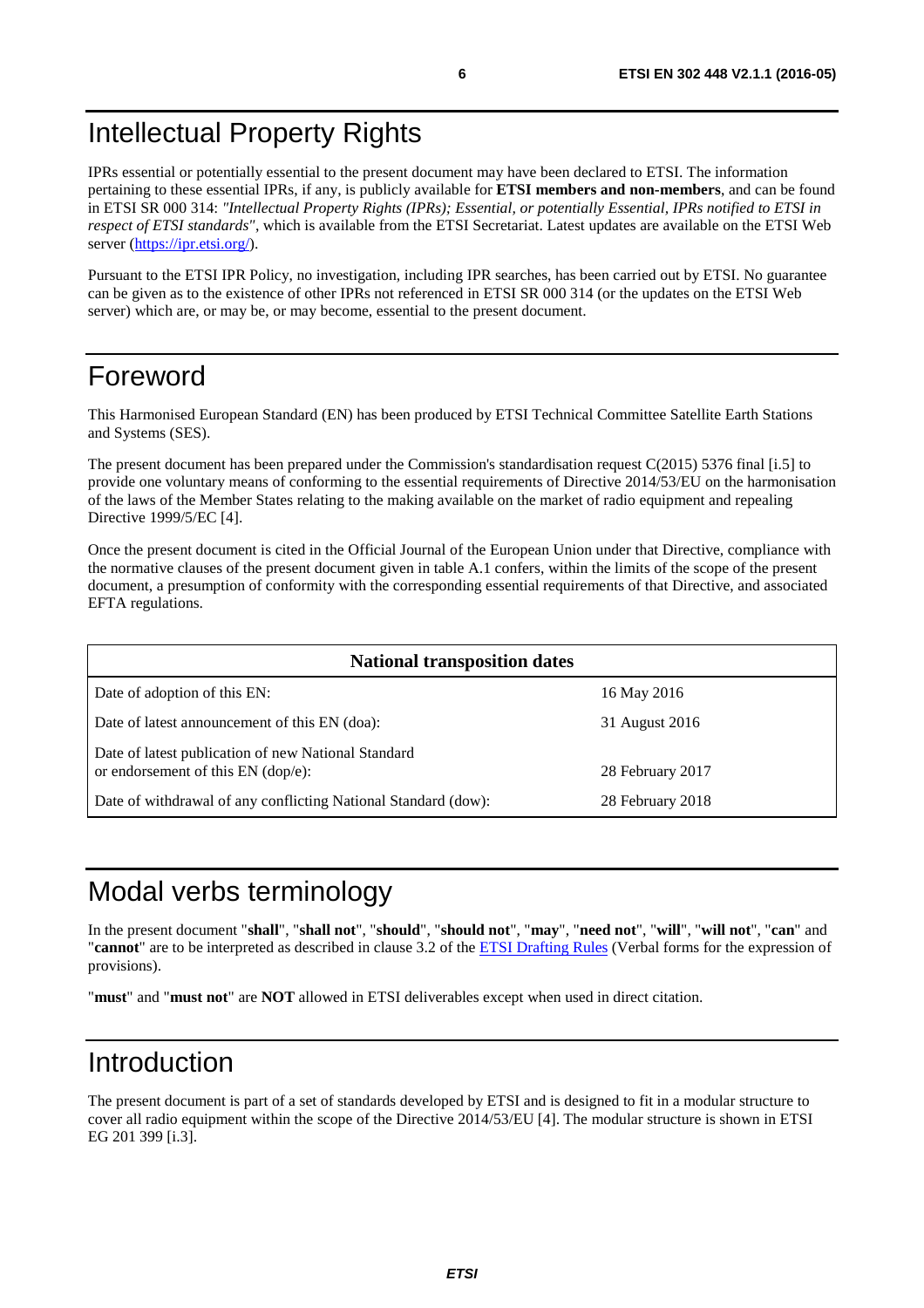# <span id="page-5-0"></span>Intellectual Property Rights

IPRs essential or potentially essential to the present document may have been declared to ETSI. The information pertaining to these essential IPRs, if any, is publicly available for **ETSI members and non-members**, and can be found in ETSI SR 000 314: *"Intellectual Property Rights (IPRs); Essential, or potentially Essential, IPRs notified to ETSI in respect of ETSI standards"*, which is available from the ETSI Secretariat. Latest updates are available on the ETSI Web server (<https://ipr.etsi.org/>).

Pursuant to the ETSI IPR Policy, no investigation, including IPR searches, has been carried out by ETSI. No guarantee can be given as to the existence of other IPRs not referenced in ETSI SR 000 314 (or the updates on the ETSI Web server) which are, or may be, or may become, essential to the present document.

# Foreword

This Harmonised European Standard (EN) has been produced by ETSI Technical Committee Satellite Earth Stations and Systems (SES).

The present document has been prepared under the Commission's standardisation request C(2015) 5376 final [\[i.5\]](#page-8-0) to provide one voluntary means of conforming to the essential requirements of Directive 2014/53/EU on the harmonisation of the laws of the Member States relating to the making available on the market of radio equipment and repealing Directive 1999/5/EC [\[4](#page-7-0)].

Once the present document is cited in the Official Journal of the European Union under that Directive, compliance with the normative clauses of the present document given in table A.1 confers, within the limits of the scope of the present document, a presumption of conformity with the corresponding essential requirements of that Directive, and associated EFTA regulations.

| <b>National transposition dates</b>                                                       |                  |  |  |  |
|-------------------------------------------------------------------------------------------|------------------|--|--|--|
| Date of adoption of this EN:                                                              | 16 May 2016      |  |  |  |
| Date of latest announcement of this EN (doa):                                             | 31 August 2016   |  |  |  |
| Date of latest publication of new National Standard<br>or endorsement of this EN (dop/e): | 28 February 2017 |  |  |  |
| Date of withdrawal of any conflicting National Standard (dow):                            | 28 February 2018 |  |  |  |

# Modal verbs terminology

In the present document "**shall**", "**shall not**", "**should**", "**should not**", "**may**", "**need not**", "**will**", "**will not**", "**can**" and "**cannot**" are to be interpreted as described in clause 3.2 of the [ETSI Drafting Rules](https://portal.etsi.org/Services/editHelp!/Howtostart/ETSIDraftingRules.aspx) (Verbal forms for the expression of provisions).

"**must**" and "**must not**" are **NOT** allowed in ETSI deliverables except when used in direct citation.

# Introduction

The present document is part of a set of standards developed by ETSI and is designed to fit in a modular structure to cover all radio equipment within the scope of the Directive 2014/53/EU [[4\]](#page-7-0). The modular structure is shown in ETSI EG 201 399 [[i.3](#page-7-0)].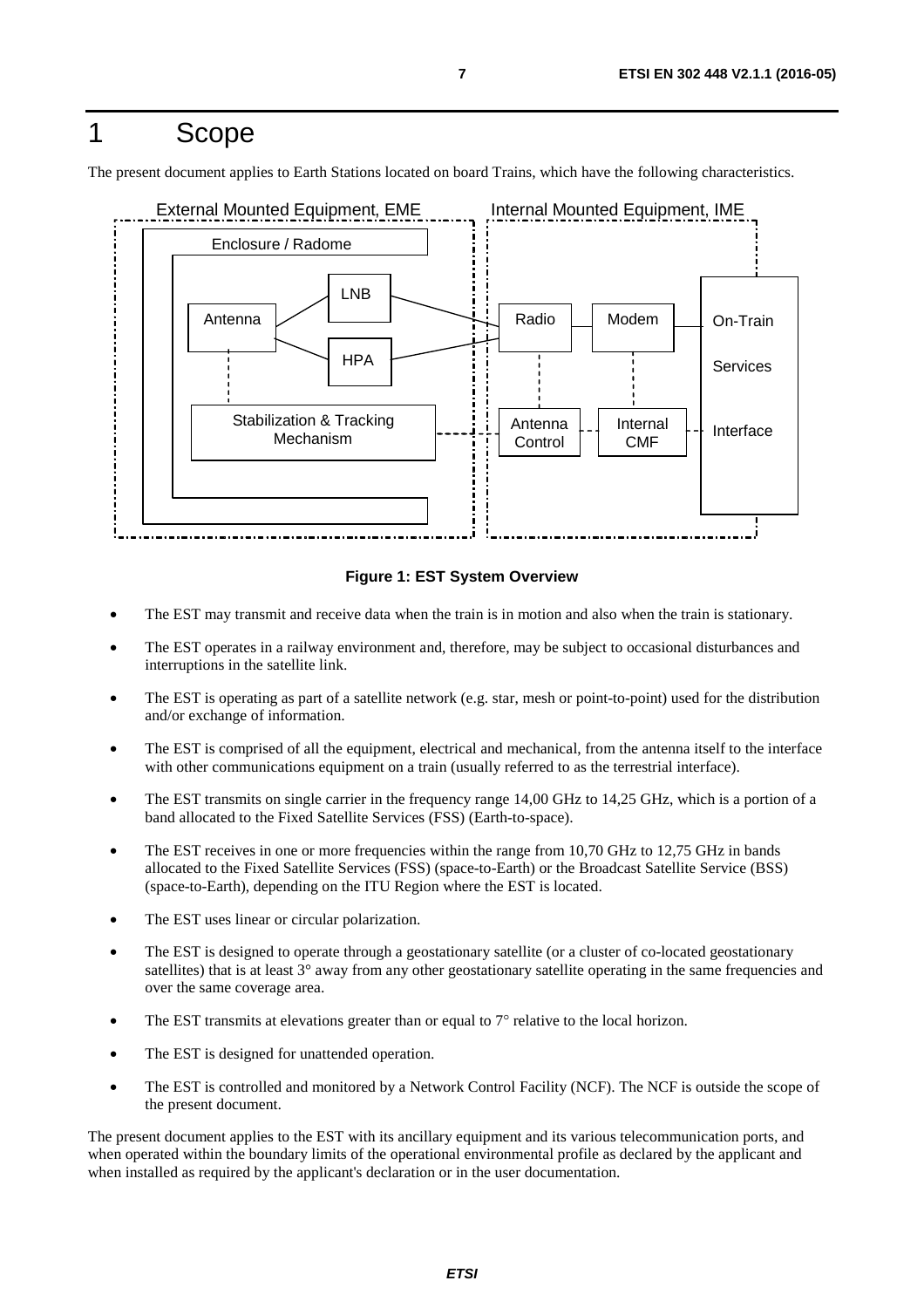# <span id="page-6-0"></span>1 Scope

The present document applies to Earth Stations located on board Trains, which have the following characteristics.



**Figure 1: EST System Overview** 

- The EST may transmit and receive data when the train is in motion and also when the train is stationary.
- The EST operates in a railway environment and, therefore, may be subject to occasional disturbances and interruptions in the satellite link.
- The EST is operating as part of a satellite network (e.g. star, mesh or point-to-point) used for the distribution and/or exchange of information.
- The EST is comprised of all the equipment, electrical and mechanical, from the antenna itself to the interface with other communications equipment on a train (usually referred to as the terrestrial interface).
- The EST transmits on single carrier in the frequency range 14,00 GHz to 14,25 GHz, which is a portion of a band allocated to the Fixed Satellite Services (FSS) (Earth-to-space).
- The EST receives in one or more frequencies within the range from 10,70 GHz to 12,75 GHz in bands allocated to the Fixed Satellite Services (FSS) (space-to-Earth) or the Broadcast Satellite Service (BSS) (space-to-Earth), depending on the ITU Region where the EST is located.
- The EST uses linear or circular polarization.
- The EST is designed to operate through a geostationary satellite (or a cluster of co-located geostationary satellites) that is at least 3° away from any other geostationary satellite operating in the same frequencies and over the same coverage area.
- The EST transmits at elevations greater than or equal to  $7^\circ$  relative to the local horizon.
- The EST is designed for unattended operation.
- The EST is controlled and monitored by a Network Control Facility (NCF). The NCF is outside the scope of the present document.

The present document applies to the EST with its ancillary equipment and its various telecommunication ports, and when operated within the boundary limits of the operational environmental profile as declared by the applicant and when installed as required by the applicant's declaration or in the user documentation.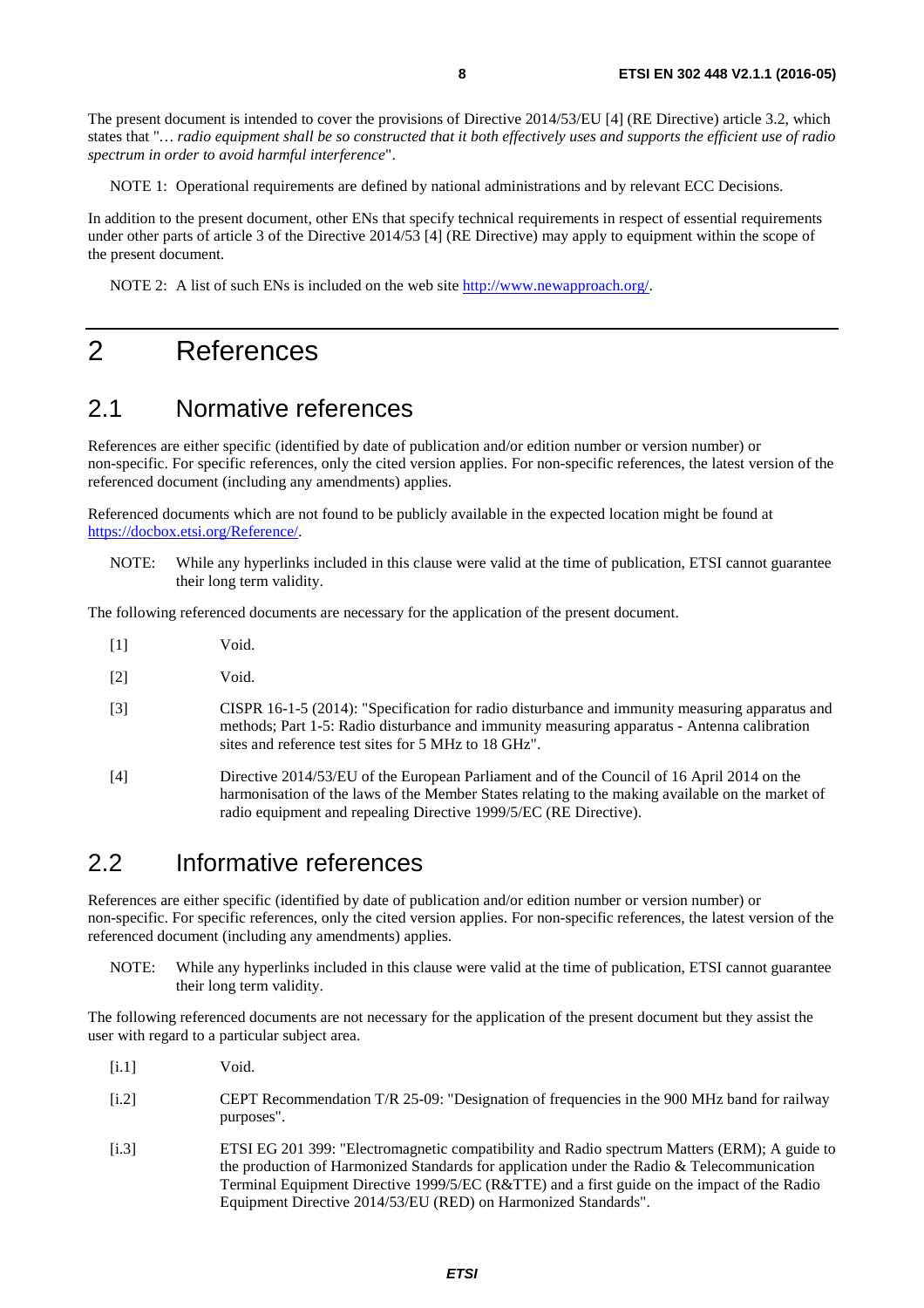<span id="page-7-0"></span>The present document is intended to cover the provisions of Directive 2014/53/EU [4] (RE Directive) article 3.2, which states that "*… radio equipment shall be so constructed that it both effectively uses and supports the efficient use of radio spectrum in order to avoid harmful interference*".

NOTE 1: Operational requirements are defined by national administrations and by relevant ECC Decisions.

In addition to the present document, other ENs that specify technical requirements in respect of essential requirements under other parts of article 3 of the Directive 2014/53 [4] (RE Directive) may apply to equipment within the scope of the present document.

NOTE 2: A list of such ENs is included on the web site [http://www.newapproach.org/.](http://www.newapproach.org/)

# 2 References

# 2.1 Normative references

References are either specific (identified by date of publication and/or edition number or version number) or non-specific. For specific references, only the cited version applies. For non-specific references, the latest version of the referenced document (including any amendments) applies.

Referenced documents which are not found to be publicly available in the expected location might be found at <https://docbox.etsi.org/Reference/>.

NOTE: While any hyperlinks included in this clause were valid at the time of publication, ETSI cannot guarantee their long term validity.

The following referenced documents are necessary for the application of the present document.

- [1] Void.
- [2] Void.
- [3] CISPR 16-1-5 (2014): "Specification for radio disturbance and immunity measuring apparatus and methods; Part 1-5: Radio disturbance and immunity measuring apparatus - Antenna calibration sites and reference test sites for 5 MHz to 18 GHz".
- [4] Directive 2014/53/EU of the European Parliament and of the Council of 16 April 2014 on the harmonisation of the laws of the Member States relating to the making available on the market of radio equipment and repealing Directive 1999/5/EC (RE Directive).

# 2.2 Informative references

References are either specific (identified by date of publication and/or edition number or version number) or non-specific. For specific references, only the cited version applies. For non-specific references, the latest version of the referenced document (including any amendments) applies.

NOTE: While any hyperlinks included in this clause were valid at the time of publication, ETSI cannot guarantee their long term validity.

The following referenced documents are not necessary for the application of the present document but they assist the user with regard to a particular subject area.

- [i.1] Void.
- [i.2] CEPT Recommendation T/R 25-09: "Designation of frequencies in the 900 MHz band for railway purposes".
- [i.3] ETSI EG 201 399: "Electromagnetic compatibility and Radio spectrum Matters (ERM); A guide to the production of Harmonized Standards for application under the Radio & Telecommunication Terminal Equipment Directive 1999/5/EC (R&TTE) and a first guide on the impact of the Radio Equipment Directive 2014/53/EU (RED) on Harmonized Standards".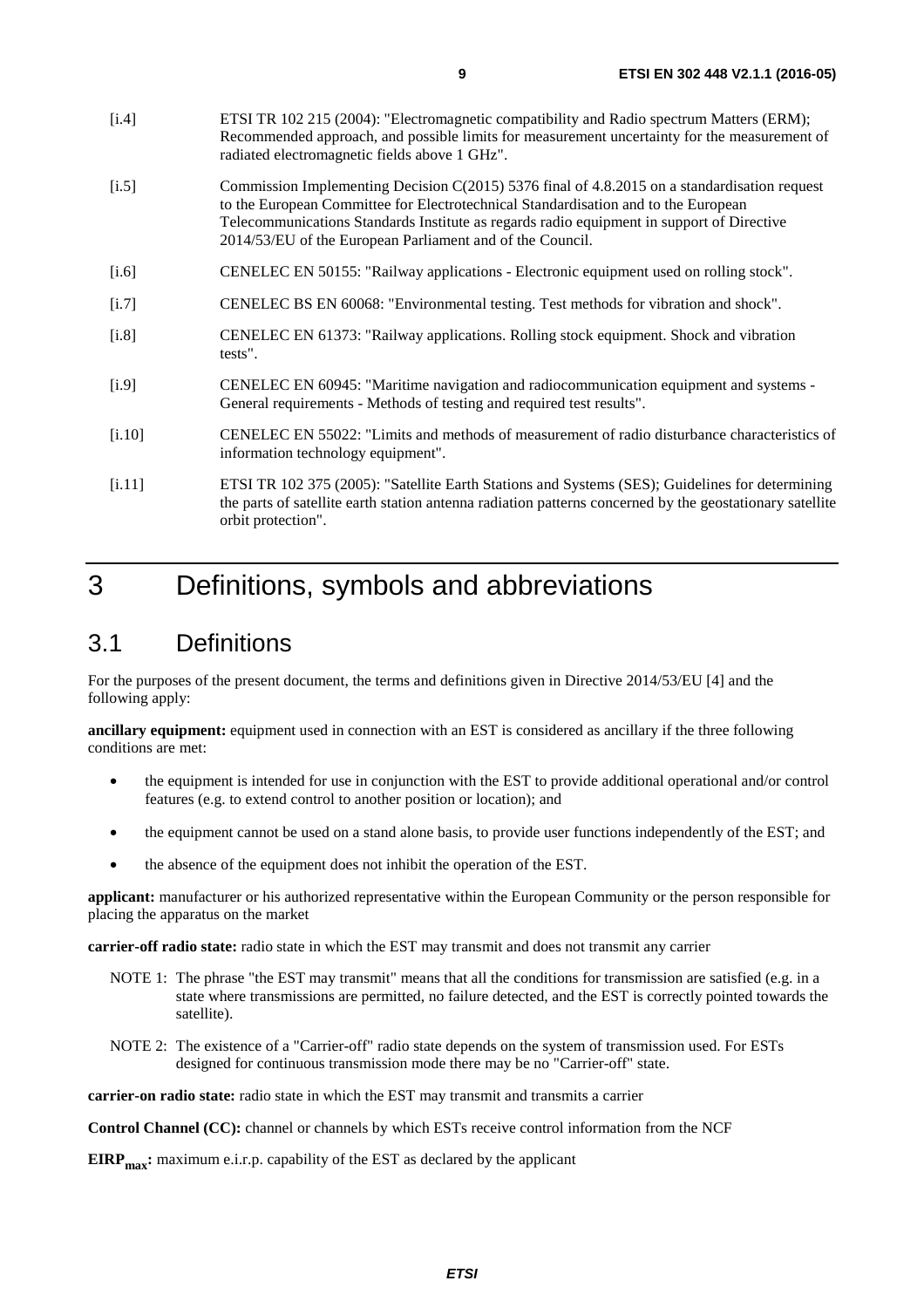- <span id="page-8-0"></span>[i.4] ETSI TR 102 215 (2004): "Electromagnetic compatibility and Radio spectrum Matters (ERM); Recommended approach, and possible limits for measurement uncertainty for the measurement of radiated electromagnetic fields above 1 GHz".
- [i.5] Commission Implementing Decision C(2015) 5376 final of 4.8.2015 on a standardisation request to the European Committee for Electrotechnical Standardisation and to the European Telecommunications Standards Institute as regards radio equipment in support of Directive 2014/53/EU of the European Parliament and of the Council.
- [i.6] CENELEC EN 50155: "Railway applications Electronic equipment used on rolling stock".
- [i.7] CENELEC BS EN 60068: "Environmental testing. Test methods for vibration and shock".
- [i.8] CENELEC EN 61373: "Railway applications. Rolling stock equipment. Shock and vibration tests".
- [i.9] CENELEC EN 60945: "Maritime navigation and radiocommunication equipment and systems General requirements - Methods of testing and required test results".
- [i.10] CENELEC EN 55022: "Limits and methods of measurement of radio disturbance characteristics of information technology equipment".
- [i.11] ETSI TR 102 375 (2005): "Satellite Earth Stations and Systems (SES); Guidelines for determining the parts of satellite earth station antenna radiation patterns concerned by the geostationary satellite orbit protection".

# 3 Definitions, symbols and abbreviations

# 3.1 Definitions

For the purposes of the present document, the terms and definitions given in Directive 2014/53/EU [\[4](#page-7-0)] and the following apply:

**ancillary equipment:** equipment used in connection with an EST is considered as ancillary if the three following conditions are met:

- the equipment is intended for use in conjunction with the EST to provide additional operational and/or control features (e.g. to extend control to another position or location); and
- the equipment cannot be used on a stand alone basis, to provide user functions independently of the EST; and
- the absence of the equipment does not inhibit the operation of the EST.

**applicant:** manufacturer or his authorized representative within the European Community or the person responsible for placing the apparatus on the market

**carrier-off radio state:** radio state in which the EST may transmit and does not transmit any carrier

- NOTE 1: The phrase "the EST may transmit" means that all the conditions for transmission are satisfied (e.g. in a state where transmissions are permitted, no failure detected, and the EST is correctly pointed towards the satellite).
- NOTE 2: The existence of a "Carrier-off" radio state depends on the system of transmission used. For ESTs designed for continuous transmission mode there may be no "Carrier-off" state.

**carrier-on radio state:** radio state in which the EST may transmit and transmits a carrier

**Control Channel (CC):** channel or channels by which ESTs receive control information from the NCF

**EIRP<sub>max</sub>:** maximum e.i.r.p. capability of the EST as declared by the applicant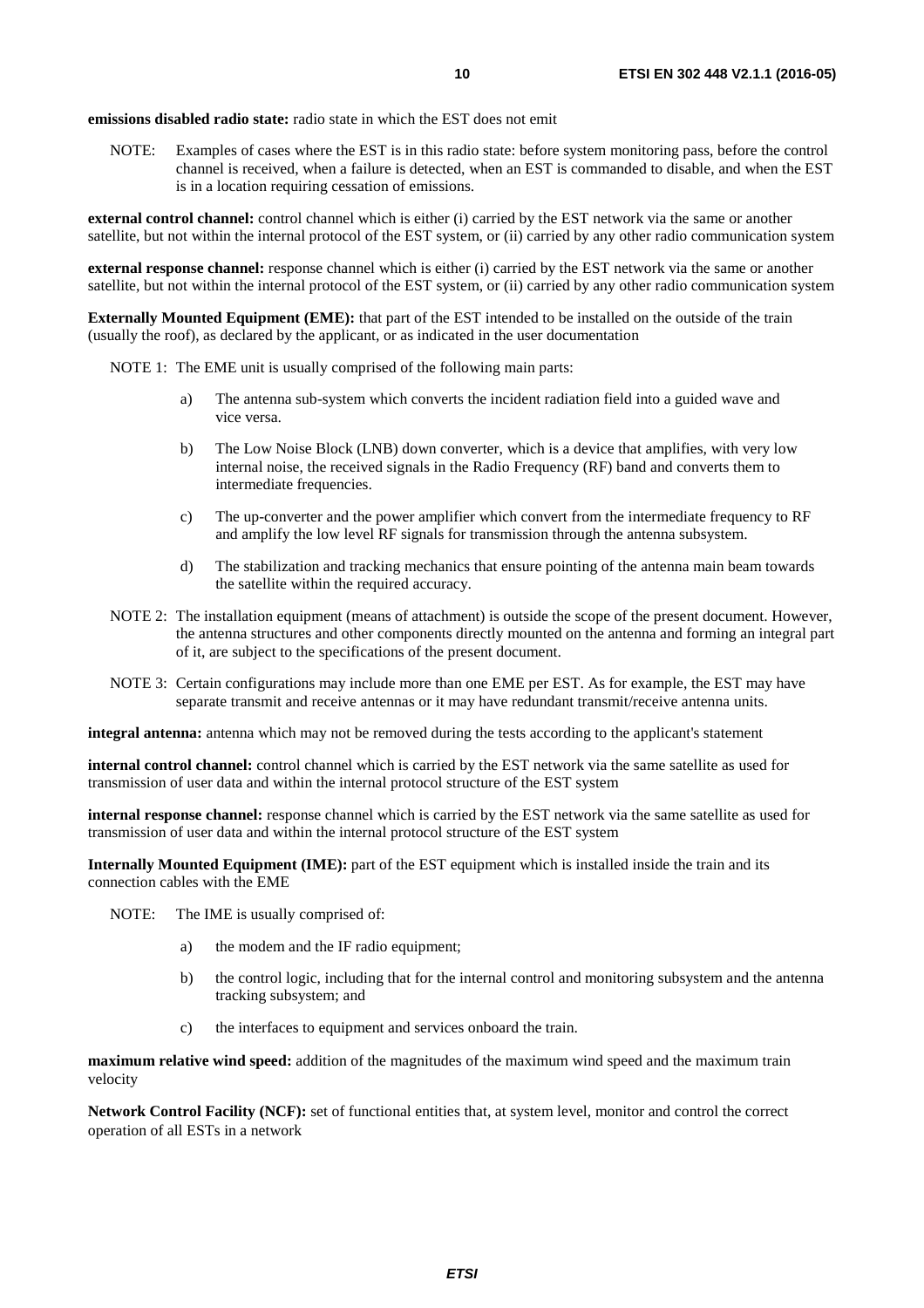**emissions disabled radio state:** radio state in which the EST does not emit

NOTE: Examples of cases where the EST is in this radio state: before system monitoring pass, before the control channel is received, when a failure is detected, when an EST is commanded to disable, and when the EST is in a location requiring cessation of emissions.

**external control channel:** control channel which is either (i) carried by the EST network via the same or another satellite, but not within the internal protocol of the EST system, or (ii) carried by any other radio communication system

**external response channel:** response channel which is either (i) carried by the EST network via the same or another satellite, but not within the internal protocol of the EST system, or (ii) carried by any other radio communication system

**Externally Mounted Equipment (EME):** that part of the EST intended to be installed on the outside of the train (usually the roof), as declared by the applicant, or as indicated in the user documentation

NOTE 1: The EME unit is usually comprised of the following main parts:

- a) The antenna sub-system which converts the incident radiation field into a guided wave and vice versa.
- b) The Low Noise Block (LNB) down converter, which is a device that amplifies, with very low internal noise, the received signals in the Radio Frequency (RF) band and converts them to intermediate frequencies.
- c) The up-converter and the power amplifier which convert from the intermediate frequency to RF and amplify the low level RF signals for transmission through the antenna subsystem.
- d) The stabilization and tracking mechanics that ensure pointing of the antenna main beam towards the satellite within the required accuracy.
- NOTE 2: The installation equipment (means of attachment) is outside the scope of the present document. However, the antenna structures and other components directly mounted on the antenna and forming an integral part of it, are subject to the specifications of the present document.
- NOTE 3: Certain configurations may include more than one EME per EST. As for example, the EST may have separate transmit and receive antennas or it may have redundant transmit/receive antenna units.

**integral antenna:** antenna which may not be removed during the tests according to the applicant's statement

**internal control channel:** control channel which is carried by the EST network via the same satellite as used for transmission of user data and within the internal protocol structure of the EST system

**internal response channel:** response channel which is carried by the EST network via the same satellite as used for transmission of user data and within the internal protocol structure of the EST system

**Internally Mounted Equipment (IME):** part of the EST equipment which is installed inside the train and its connection cables with the EME

NOTE: The IME is usually comprised of:

- a) the modem and the IF radio equipment;
- b) the control logic, including that for the internal control and monitoring subsystem and the antenna tracking subsystem; and
- c) the interfaces to equipment and services onboard the train.

**maximum relative wind speed:** addition of the magnitudes of the maximum wind speed and the maximum train velocity

**Network Control Facility (NCF):** set of functional entities that, at system level, monitor and control the correct operation of all ESTs in a network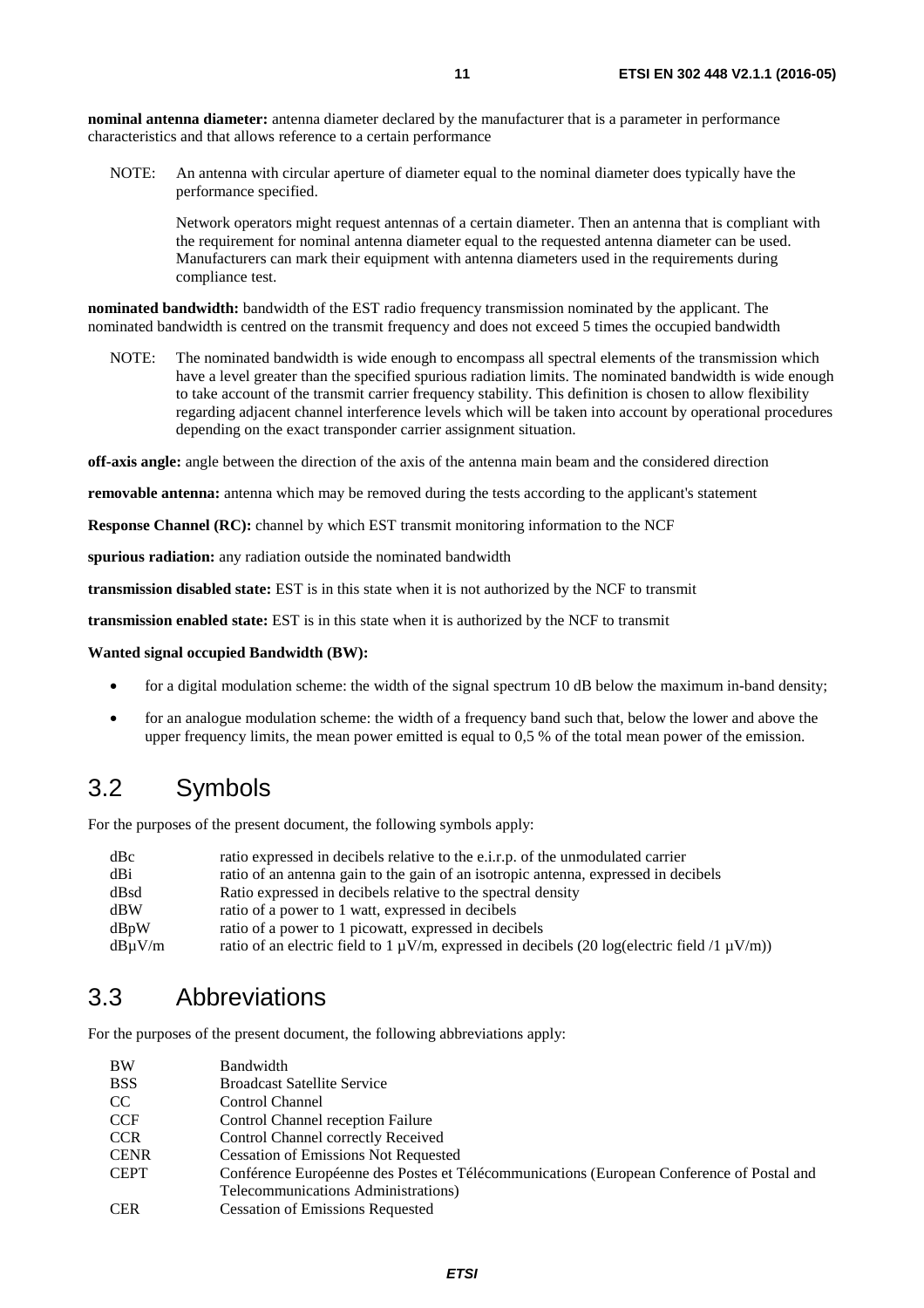<span id="page-10-0"></span>**nominal antenna diameter:** antenna diameter declared by the manufacturer that is a parameter in performance characteristics and that allows reference to a certain performance

NOTE: An antenna with circular aperture of diameter equal to the nominal diameter does typically have the performance specified.

 Network operators might request antennas of a certain diameter. Then an antenna that is compliant with the requirement for nominal antenna diameter equal to the requested antenna diameter can be used. Manufacturers can mark their equipment with antenna diameters used in the requirements during compliance test.

**nominated bandwidth:** bandwidth of the EST radio frequency transmission nominated by the applicant. The nominated bandwidth is centred on the transmit frequency and does not exceed 5 times the occupied bandwidth

NOTE: The nominated bandwidth is wide enough to encompass all spectral elements of the transmission which have a level greater than the specified spurious radiation limits. The nominated bandwidth is wide enough to take account of the transmit carrier frequency stability. This definition is chosen to allow flexibility regarding adjacent channel interference levels which will be taken into account by operational procedures depending on the exact transponder carrier assignment situation.

**off-axis angle:** angle between the direction of the axis of the antenna main beam and the considered direction

**removable antenna:** antenna which may be removed during the tests according to the applicant's statement

**Response Channel (RC):** channel by which EST transmit monitoring information to the NCF

**spurious radiation:** any radiation outside the nominated bandwidth

**transmission disabled state:** EST is in this state when it is not authorized by the NCF to transmit

**transmission enabled state:** EST is in this state when it is authorized by the NCF to transmit

#### **Wanted signal occupied Bandwidth (BW):**

- for a digital modulation scheme: the width of the signal spectrum 10 dB below the maximum in-band density;
- for an analogue modulation scheme: the width of a frequency band such that, below the lower and above the upper frequency limits, the mean power emitted is equal to 0,5 % of the total mean power of the emission.

# 3.2 Symbols

For the purposes of the present document, the following symbols apply:

| dBc         | ratio expressed in decibels relative to the e.i.r.p. of the unmodulated carrier                        |
|-------------|--------------------------------------------------------------------------------------------------------|
| dBi         | ratio of an antenna gain to the gain of an isotropic antenna, expressed in decibels                    |
| dBsd        | Ratio expressed in decibels relative to the spectral density                                           |
| dBW         | ratio of a power to 1 watt, expressed in decibels                                                      |
| dBvW        | ratio of a power to 1 picowatt, expressed in decibels                                                  |
| $dB\mu V/m$ | ratio of an electric field to 1 $\mu$ V/m, expressed in decibels (20 log(electric field /1 $\mu$ V/m)) |

# 3.3 Abbreviations

For the purposes of the present document, the following abbreviations apply:

| BW          | Bandwidth                                                                                 |
|-------------|-------------------------------------------------------------------------------------------|
| <b>BSS</b>  | <b>Broadcast Satellite Service</b>                                                        |
| CC.         | Control Channel                                                                           |
| <b>CCF</b>  | Control Channel reception Failure                                                         |
| <b>CCR</b>  | Control Channel correctly Received                                                        |
| <b>CENR</b> | <b>Cessation of Emissions Not Requested</b>                                               |
| <b>CEPT</b> | Conférence Européenne des Postes et Télécommunications (European Conference of Postal and |
|             | Telecommunications Administrations)                                                       |
| <b>CER</b>  | <b>Cessation of Emissions Requested</b>                                                   |
|             |                                                                                           |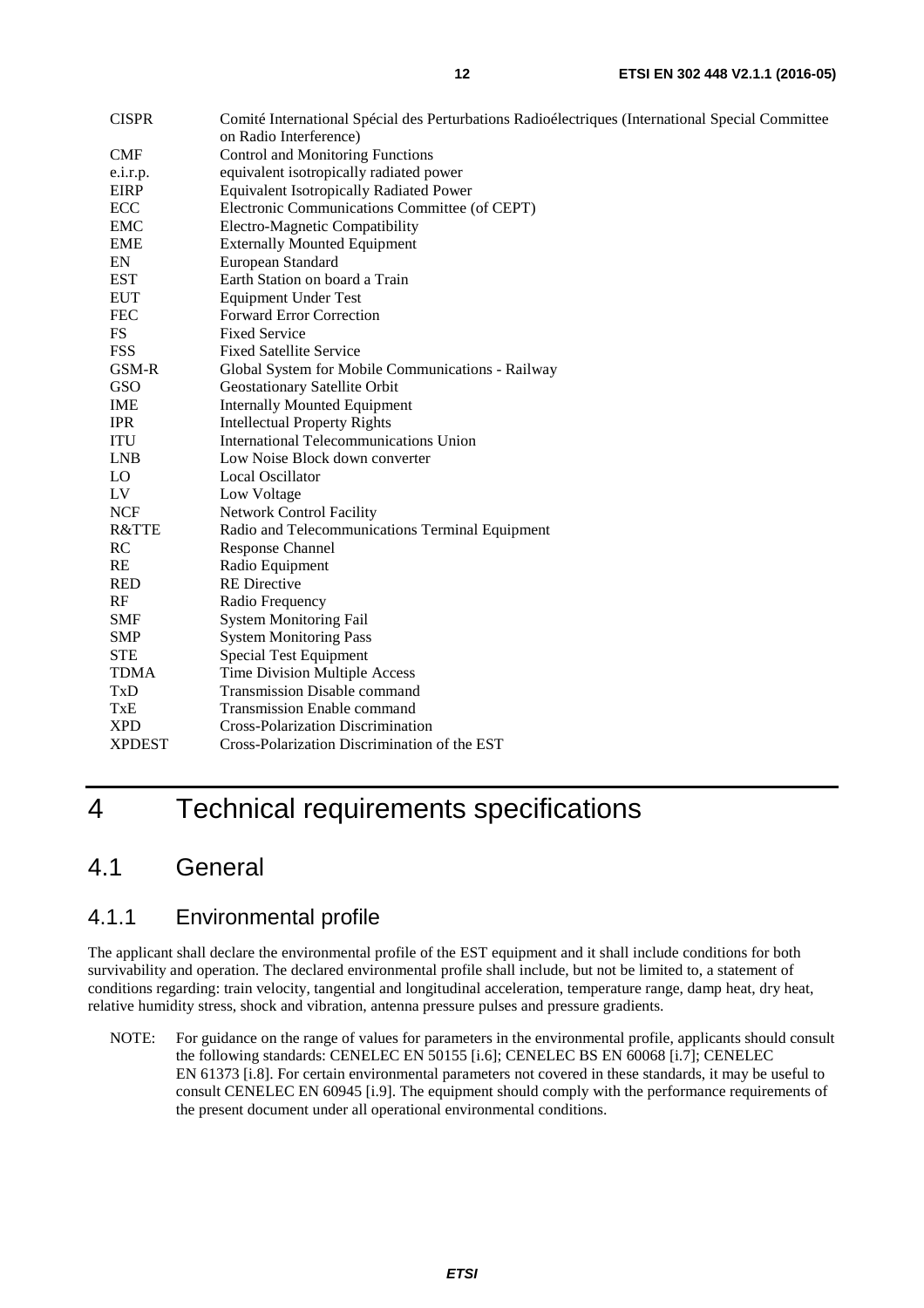<span id="page-11-0"></span>

| <b>CISPR</b>         | Comité International Spécial des Perturbations Radioélectriques (International Special Committee |
|----------------------|--------------------------------------------------------------------------------------------------|
|                      | on Radio Interference)                                                                           |
| <b>CMF</b>           | Control and Monitoring Functions                                                                 |
| e.i.r.p.             | equivalent isotropically radiated power                                                          |
| <b>EIRP</b>          | <b>Equivalent Isotropically Radiated Power</b>                                                   |
| ECC                  | Electronic Communications Committee (of CEPT)                                                    |
| <b>EMC</b>           | Electro-Magnetic Compatibility                                                                   |
| <b>EME</b>           | <b>Externally Mounted Equipment</b>                                                              |
| EN                   | European Standard                                                                                |
| <b>EST</b>           | Earth Station on board a Train                                                                   |
| <b>EUT</b>           | <b>Equipment Under Test</b>                                                                      |
| <b>FEC</b>           | <b>Forward Error Correction</b>                                                                  |
| $\mathop{\text{FS}}$ | <b>Fixed Service</b>                                                                             |
| <b>FSS</b>           | <b>Fixed Satellite Service</b>                                                                   |
| GSM-R                | Global System for Mobile Communications - Railway                                                |
| GSO                  | Geostationary Satellite Orbit                                                                    |
| <b>IME</b>           | <b>Internally Mounted Equipment</b>                                                              |
| <b>IPR</b>           | <b>Intellectual Property Rights</b>                                                              |
| ITU                  | International Telecommunications Union                                                           |
| <b>LNB</b>           | Low Noise Block down converter                                                                   |
| LO                   | <b>Local Oscillator</b>                                                                          |
| LV                   | Low Voltage                                                                                      |
| <b>NCF</b>           | <b>Network Control Facility</b>                                                                  |
| R&TTE                | Radio and Telecommunications Terminal Equipment                                                  |
| RC                   | <b>Response Channel</b>                                                                          |
| <b>RE</b>            | Radio Equipment                                                                                  |
| <b>RED</b>           | <b>RE</b> Directive                                                                              |
| RF                   | Radio Frequency                                                                                  |
| <b>SMF</b>           | <b>System Monitoring Fail</b>                                                                    |
| <b>SMP</b>           | <b>System Monitoring Pass</b>                                                                    |
| <b>STE</b>           | <b>Special Test Equipment</b>                                                                    |
| <b>TDMA</b>          | Time Division Multiple Access                                                                    |
| TxD                  | <b>Transmission Disable command</b>                                                              |
| TxE                  | <b>Transmission Enable command</b>                                                               |
| <b>XPD</b>           | Cross-Polarization Discrimination                                                                |
| <b>XPDEST</b>        | Cross-Polarization Discrimination of the EST                                                     |
|                      |                                                                                                  |

# 4 Technical requirements specifications

# 4.1 General

# 4.1.1 Environmental profile

The applicant shall declare the environmental profile of the EST equipment and it shall include conditions for both survivability and operation. The declared environmental profile shall include, but not be limited to, a statement of conditions regarding: train velocity, tangential and longitudinal acceleration, temperature range, damp heat, dry heat, relative humidity stress, shock and vibration, antenna pressure pulses and pressure gradients.

NOTE: For guidance on the range of values for parameters in the environmental profile, applicants should consult the following standards: CENELEC EN 50155 [\[i.6\]](#page-8-0); CENELEC BS EN 60068 [\[i.7\]](#page-8-0); CENELEC EN 61373 [\[i.8](#page-8-0)]. For certain environmental parameters not covered in these standards, it may be useful to consult CENELEC EN 60945 [[i.9](#page-8-0)]. The equipment should comply with the performance requirements of the present document under all operational environmental conditions.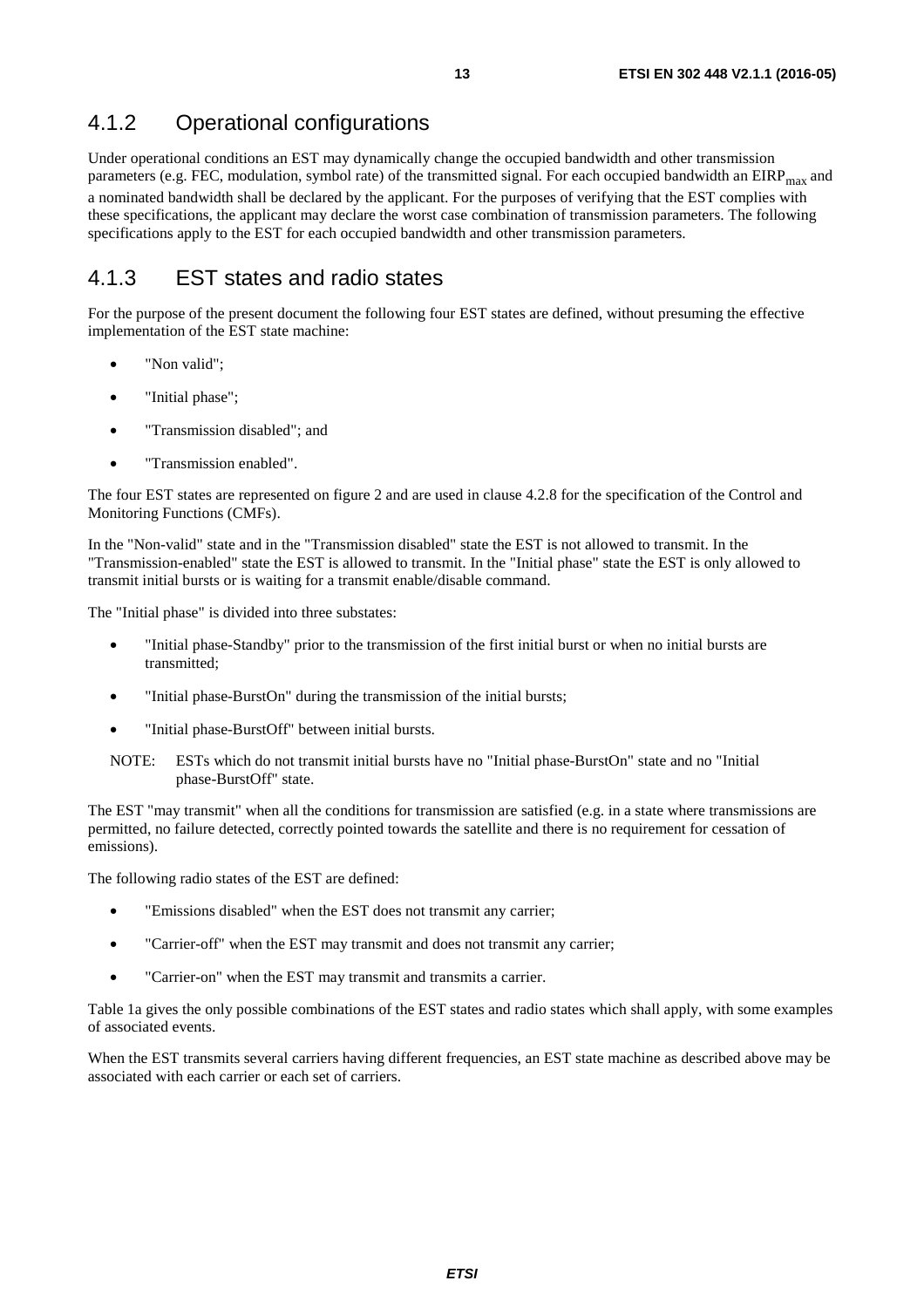# <span id="page-12-0"></span>4.1.2 Operational configurations

Under operational conditions an EST may dynamically change the occupied bandwidth and other transmission parameters (e.g. FEC, modulation, symbol rate) of the transmitted signal. For each occupied bandwidth an  $EIRP<sub>max</sub>$  and a nominated bandwidth shall be declared by the applicant. For the purposes of verifying that the EST complies with these specifications, the applicant may declare the worst case combination of transmission parameters. The following specifications apply to the EST for each occupied bandwidth and other transmission parameters.

# 4.1.3 EST states and radio states

For the purpose of the present document the following four EST states are defined, without presuming the effective implementation of the EST state machine:

- "Non valid":
- "Initial phase";
- "Transmission disabled"; and
- "Transmission enabled".

The four EST states are represented on figure 2 and are used in clause 4.2.8 for the specification of the Control and Monitoring Functions (CMFs).

In the "Non-valid" state and in the "Transmission disabled" state the EST is not allowed to transmit. In the "Transmission-enabled" state the EST is allowed to transmit. In the "Initial phase" state the EST is only allowed to transmit initial bursts or is waiting for a transmit enable/disable command.

The "Initial phase" is divided into three substates:

- "Initial phase-Standby" prior to the transmission of the first initial burst or when no initial bursts are transmitted;
- "Initial phase-BurstOn" during the transmission of the initial bursts;
- "Initial phase-BurstOff" between initial bursts.
- NOTE: ESTs which do not transmit initial bursts have no "Initial phase-BurstOn" state and no "Initial phase-BurstOff" state.

The EST "may transmit" when all the conditions for transmission are satisfied (e.g. in a state where transmissions are permitted, no failure detected, correctly pointed towards the satellite and there is no requirement for cessation of emissions).

The following radio states of the EST are defined:

- "Emissions disabled" when the EST does not transmit any carrier;
- "Carrier-off" when the EST may transmit and does not transmit any carrier;
- "Carrier-on" when the EST may transmit and transmits a carrier.

Table 1a gives the only possible combinations of the EST states and radio states which shall apply, with some examples of associated events.

When the EST transmits several carriers having different frequencies, an EST state machine as described above may be associated with each carrier or each set of carriers.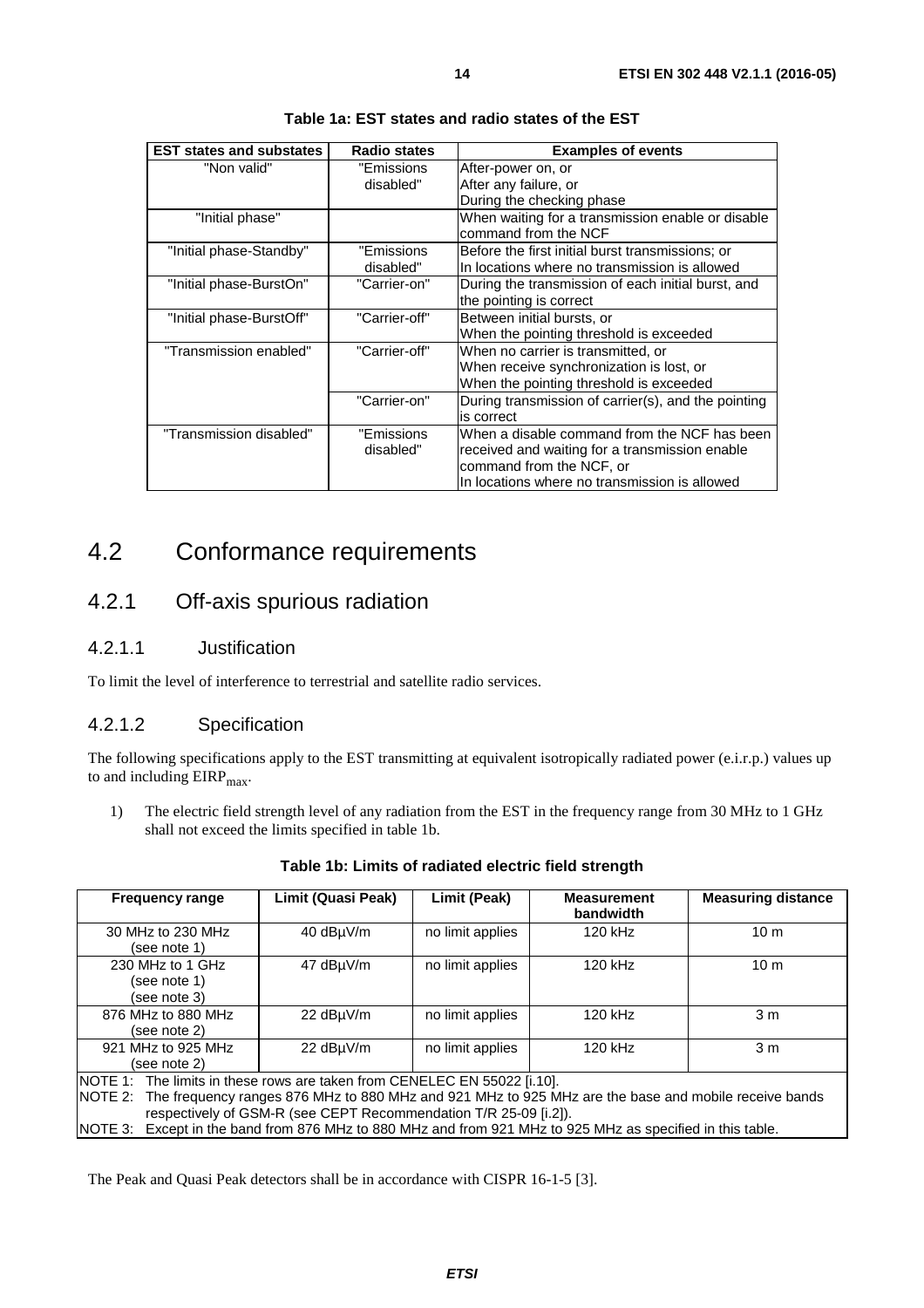<span id="page-13-0"></span>

| <b>EST states and substates</b> | <b>Radio states</b> | <b>Examples of events</b>                                                 |
|---------------------------------|---------------------|---------------------------------------------------------------------------|
| "Non valid"                     | "Emissions          | After-power on, or                                                        |
|                                 | disabled"           | After any failure, or                                                     |
|                                 |                     | During the checking phase                                                 |
| "Initial phase"                 |                     | When waiting for a transmission enable or disable<br>command from the NCF |
| "Initial phase-Standby"         | "Emissions          | Before the first initial burst transmissions; or                          |
|                                 | disabled"           | In locations where no transmission is allowed                             |
| "Initial phase-BurstOn"         | "Carrier-on"        | During the transmission of each initial burst, and                        |
|                                 |                     | the pointing is correct                                                   |
| "Initial phase-BurstOff"        | "Carrier-off"       | Between initial bursts, or                                                |
|                                 |                     | When the pointing threshold is exceeded                                   |
| "Transmission enabled"          | "Carrier-off"       | When no carrier is transmitted, or                                        |
|                                 |                     | When receive synchronization is lost, or                                  |
|                                 |                     | When the pointing threshold is exceeded                                   |
|                                 | "Carrier-on"        | During transmission of carrier(s), and the pointing                       |
|                                 |                     | is correct                                                                |
| "Transmission disabled"         | "Emissions          | When a disable command from the NCF has been                              |
|                                 | disabled"           | received and waiting for a transmission enable                            |
|                                 |                     | command from the NCF, or                                                  |
|                                 |                     | In locations where no transmission is allowed                             |

**Table 1a: EST states and radio states of the EST** 

# 4.2 Conformance requirements

# 4.2.1 Off-axis spurious radiation

#### 4.2.1.1 Justification

To limit the level of interference to terrestrial and satellite radio services.

### 4.2.1.2 Specification

The following specifications apply to the EST transmitting at equivalent isotropically radiated power (e.i.r.p.) values up to and including  $EIRP<sub>max</sub>$ .

1) The electric field strength level of any radiation from the EST in the frequency range from 30 MHz to 1 GHz shall not exceed the limits specified in table 1b.

| 40 dBµV/m<br>30 MHz to 230 MHz<br>no limit applies<br>120 kHz<br>10 <sub>m</sub><br>(see note 1)<br>230 MHz to 1 GHz<br>47 dBuV/m<br>no limit applies<br>120 kHz<br>10 <sub>m</sub><br>(see note 1)<br>(see note 3)<br>876 MHz to 880 MHz<br>22 dBuV/m<br>no limit applies<br>120 kHz<br>3 <sub>m</sub><br>(see note 2)<br>921 MHz to 925 MHz<br>22 dBµV/m<br>no limit applies<br>120 kHz<br>3 <sub>m</sub><br>(see note 2)<br>NOTE 1: The limits in these rows are taken from CENELEC EN 55022 [i.10].<br>The frequency ranges 876 MHz to 880 MHz and 921 MHz to 925 MHz are the base and mobile receive bands<br>INOTE 2:<br>respectively of GSM-R (see CEPT Recommendation T/R 25-09 [i.2]). | <b>Frequency range</b> | Limit (Quasi Peak) | Limit (Peak)<br><b>Measurement</b><br>bandwidth |  | <b>Measuring distance</b> |  |  |
|-------------------------------------------------------------------------------------------------------------------------------------------------------------------------------------------------------------------------------------------------------------------------------------------------------------------------------------------------------------------------------------------------------------------------------------------------------------------------------------------------------------------------------------------------------------------------------------------------------------------------------------------------------------------------------------------------|------------------------|--------------------|-------------------------------------------------|--|---------------------------|--|--|
|                                                                                                                                                                                                                                                                                                                                                                                                                                                                                                                                                                                                                                                                                                 |                        |                    |                                                 |  |                           |  |  |
|                                                                                                                                                                                                                                                                                                                                                                                                                                                                                                                                                                                                                                                                                                 |                        |                    |                                                 |  |                           |  |  |
|                                                                                                                                                                                                                                                                                                                                                                                                                                                                                                                                                                                                                                                                                                 |                        |                    |                                                 |  |                           |  |  |
|                                                                                                                                                                                                                                                                                                                                                                                                                                                                                                                                                                                                                                                                                                 |                        |                    |                                                 |  |                           |  |  |
| Except in the band from 876 MHz to 880 MHz and from 921 MHz to 925 MHz as specified in this table.<br>INOTE 3:                                                                                                                                                                                                                                                                                                                                                                                                                                                                                                                                                                                  |                        |                    |                                                 |  |                           |  |  |

**Table 1b: Limits of radiated electric field strength** 

The Peak and Quasi Peak detectors shall be in accordance with CISPR 16-1-5 [\[3](#page-7-0)].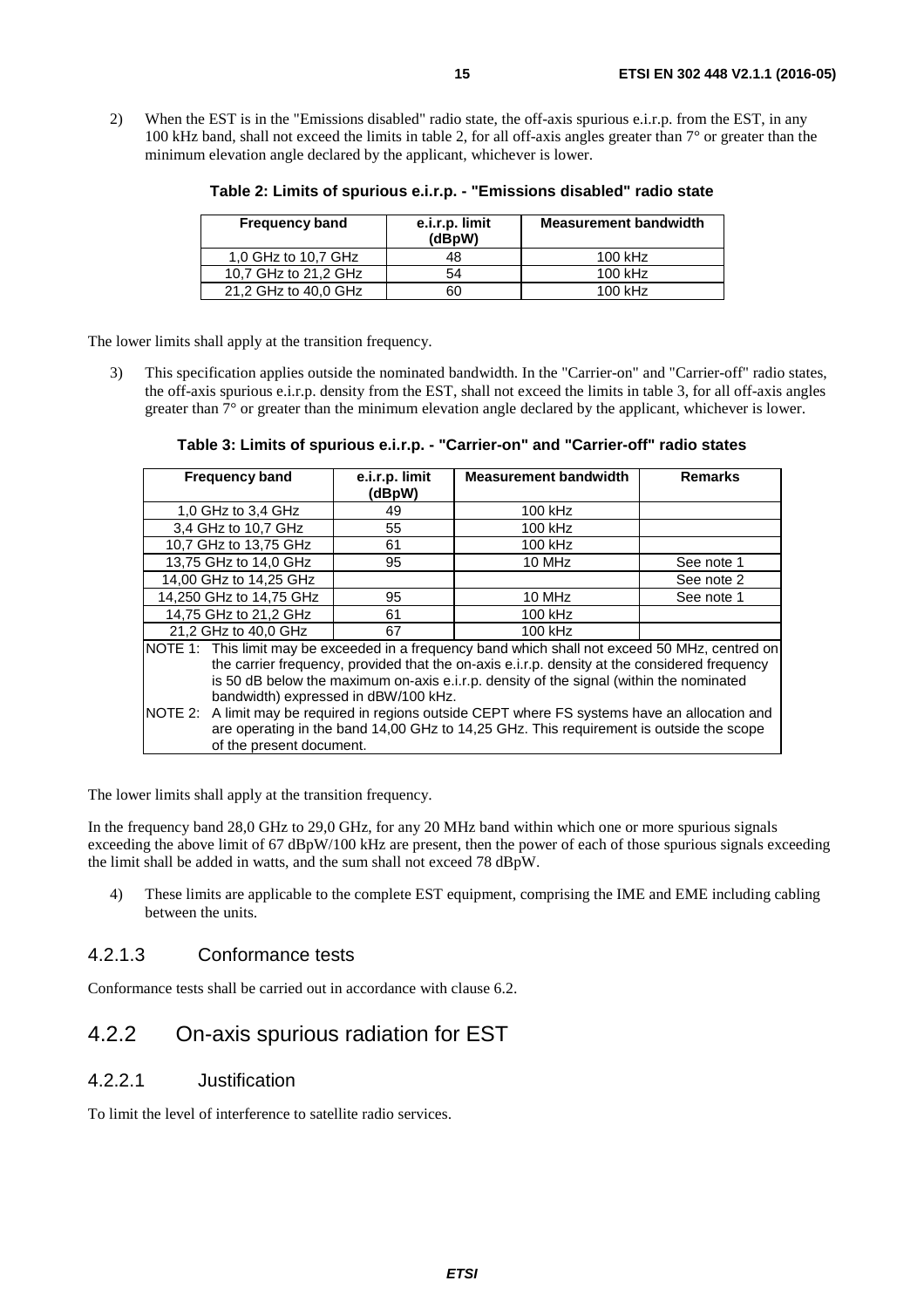<span id="page-14-0"></span>2) When the EST is in the "Emissions disabled" radio state, the off-axis spurious e.i.r.p. from the EST, in any 100 kHz band, shall not exceed the limits in table 2, for all off-axis angles greater than  $7^\circ$  or greater than the minimum elevation angle declared by the applicant, whichever is lower.

| <b>Frequency band</b> | e.i.r.p. limit<br>(dBpW) | <b>Measurement bandwidth</b> |  |  |  |
|-----------------------|--------------------------|------------------------------|--|--|--|
| 1,0 GHz to 10,7 GHz   | 48                       | $100$ kHz                    |  |  |  |
| 10,7 GHz to 21,2 GHz  | 54                       | 100 kHz                      |  |  |  |
| 21,2 GHz to 40,0 GHz  | 60                       | 100 kHz                      |  |  |  |

**Table 2: Limits of spurious e.i.r.p. - "Emissions disabled" radio state** 

The lower limits shall apply at the transition frequency.

3) This specification applies outside the nominated bandwidth. In the "Carrier-on" and "Carrier-off" radio states, the off-axis spurious e.i.r.p. density from the EST, shall not exceed the limits in table 3, for all off-axis angles greater than  $7^\circ$  or greater than the minimum elevation angle declared by the applicant, whichever is lower.

**Table 3: Limits of spurious e.i.r.p. - "Carrier-on" and "Carrier-off" radio states** 

| <b>Frequency band</b>                                                                           | e.i.r.p. limit<br>(dBpW)                                                                | <b>Measurement bandwidth</b>                                                                     | <b>Remarks</b> |  |  |  |  |
|-------------------------------------------------------------------------------------------------|-----------------------------------------------------------------------------------------|--------------------------------------------------------------------------------------------------|----------------|--|--|--|--|
| 1.0 GHz to 3.4 GHz                                                                              | 49                                                                                      | 100 kHz                                                                                          |                |  |  |  |  |
| 3.4 GHz to 10.7 GHz                                                                             | 55                                                                                      | 100 kHz                                                                                          |                |  |  |  |  |
| 10,7 GHz to 13,75 GHz                                                                           | 61                                                                                      | 100 kHz                                                                                          |                |  |  |  |  |
| 13,75 GHz to 14,0 GHz                                                                           | 95                                                                                      | 10 MHz                                                                                           | See note 1     |  |  |  |  |
| 14,00 GHz to 14,25 GHz                                                                          |                                                                                         |                                                                                                  | See note 2     |  |  |  |  |
| 14.250 GHz to 14.75 GHz                                                                         | 95                                                                                      | 10 MHz                                                                                           | See note 1     |  |  |  |  |
| 14,75 GHz to 21,2 GHz                                                                           | 61                                                                                      | 100 kHz                                                                                          |                |  |  |  |  |
| 21,2 GHz to 40,0 GHz                                                                            | 67                                                                                      | 100 kHz                                                                                          |                |  |  |  |  |
|                                                                                                 |                                                                                         | NOTE 1: This limit may be exceeded in a frequency band which shall not exceed 50 MHz, centred on |                |  |  |  |  |
|                                                                                                 |                                                                                         | the carrier frequency, provided that the on-axis e.i.r.p. density at the considered frequency    |                |  |  |  |  |
|                                                                                                 | is 50 dB below the maximum on-axis e.i.r.p. density of the signal (within the nominated |                                                                                                  |                |  |  |  |  |
| bandwidth) expressed in dBW/100 kHz.                                                            |                                                                                         |                                                                                                  |                |  |  |  |  |
| NOTE 2: A limit may be required in regions outside CEPT where FS systems have an allocation and |                                                                                         |                                                                                                  |                |  |  |  |  |
|                                                                                                 | are operating in the band 14,00 GHz to 14,25 GHz. This requirement is outside the scope |                                                                                                  |                |  |  |  |  |
| of the present document.                                                                        |                                                                                         |                                                                                                  |                |  |  |  |  |

The lower limits shall apply at the transition frequency.

In the frequency band 28.0 GHz to 29.0 GHz, for any 20 MHz band within which one or more spurious signals exceeding the above limit of 67 dBpW/100 kHz are present, then the power of each of those spurious signals exceeding the limit shall be added in watts, and the sum shall not exceed 78 dBpW.

4) These limits are applicable to the complete EST equipment, comprising the IME and EME including cabling between the units.

#### 4.2.1.3 Conformance tests

Conformance tests shall be carried out in accordance with clause 6.2.

## 4.2.2 On-axis spurious radiation for EST

### 4.2.2.1 Justification

To limit the level of interference to satellite radio services.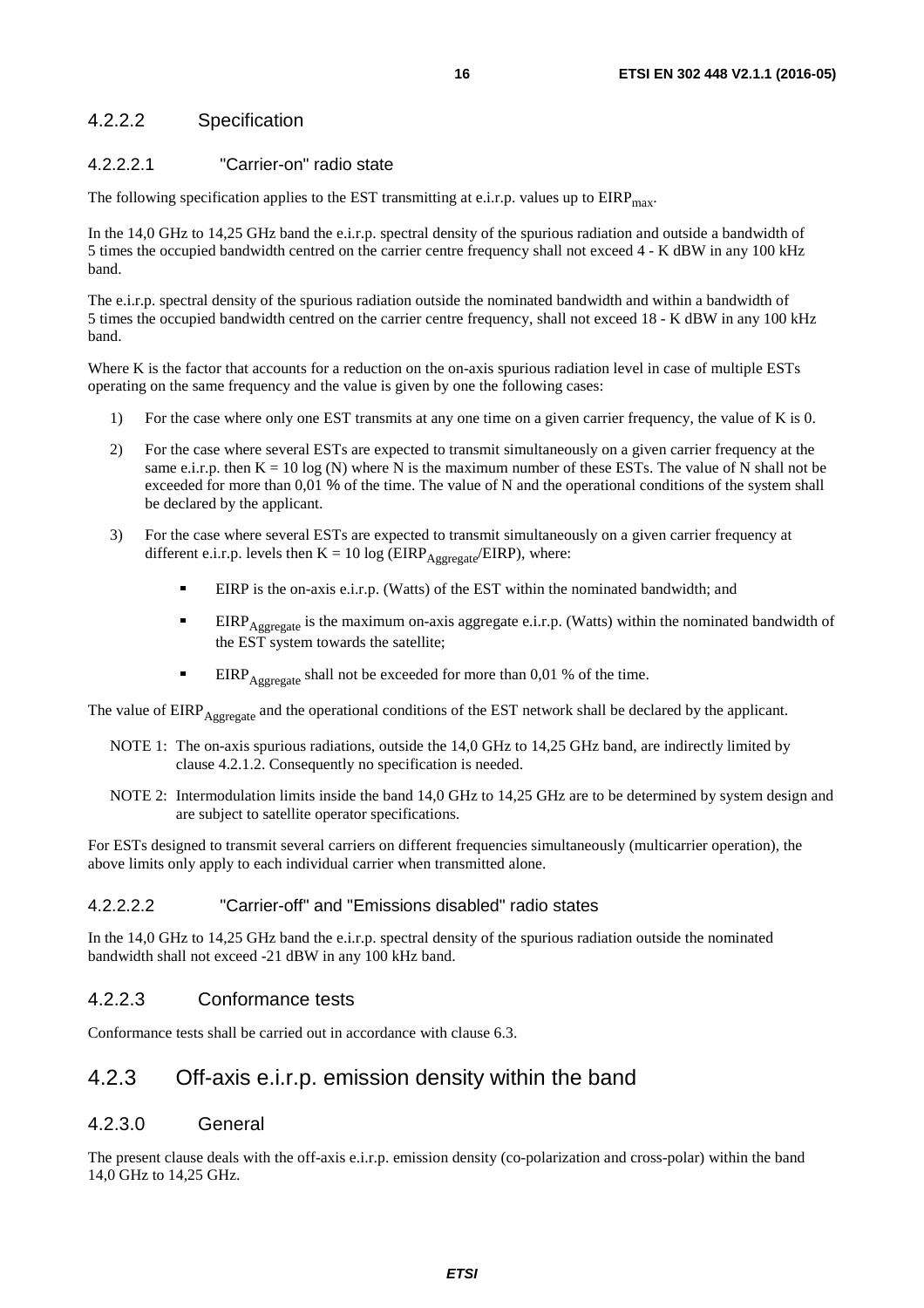### <span id="page-15-0"></span>4.2.2.2 Specification

#### 4.2.2.2.1 "Carrier-on" radio state

The following specification applies to the EST transmitting at e.i.r.p. values up to  $EIRP<sub>max</sub>$ .

In the 14,0 GHz to 14,25 GHz band the e.i.r.p. spectral density of the spurious radiation and outside a bandwidth of 5 times the occupied bandwidth centred on the carrier centre frequency shall not exceed 4 - K dBW in any 100 kHz band.

The e.i.r.p. spectral density of the spurious radiation outside the nominated bandwidth and within a bandwidth of 5 times the occupied bandwidth centred on the carrier centre frequency, shall not exceed 18 - K dBW in any 100 kHz band.

Where K is the factor that accounts for a reduction on the on-axis spurious radiation level in case of multiple ESTs operating on the same frequency and the value is given by one the following cases:

- 1) For the case where only one EST transmits at any one time on a given carrier frequency, the value of K is 0.
- 2) For the case where several ESTs are expected to transmit simultaneously on a given carrier frequency at the same e.i.r.p. then  $K = 10 \log(N)$  where N is the maximum number of these ESTs. The value of N shall not be exceeded for more than 0,01 % of the time. The value of N and the operational conditions of the system shall be declared by the applicant.
- 3) For the case where several ESTs are expected to transmit simultaneously on a given carrier frequency at different e.i.r.p. levels then  $K = 10 \log (EIRP_{Aggregate}/EIRP)$ , where:
	- EIRP is the on-axis e.i.r.p. (Watts) of the EST within the nominated bandwidth; and
	- EIRP<sub>Aggregate</sub> is the maximum on-axis aggregate e.i.r.p. (Watts) within the nominated bandwidth of the EST system towards the satellite;
	- EIRP<sub>Aggregate</sub> shall not be exceeded for more than 0,01 % of the time.

The value of EIRP<sub>Aggregate</sub> and the operational conditions of the EST network shall be declared by the applicant.

- NOTE 1: The on-axis spurious radiations, outside the 14,0 GHz to 14,25 GHz band, are indirectly limited by clause 4.2.1.2. Consequently no specification is needed.
- NOTE 2: Intermodulation limits inside the band 14,0 GHz to 14,25 GHz are to be determined by system design and are subject to satellite operator specifications.

For ESTs designed to transmit several carriers on different frequencies simultaneously (multicarrier operation), the above limits only apply to each individual carrier when transmitted alone.

#### 4.2.2.2.2 "Carrier-off" and "Emissions disabled" radio states

In the 14,0 GHz to 14,25 GHz band the e.i.r.p. spectral density of the spurious radiation outside the nominated bandwidth shall not exceed -21 dBW in any 100 kHz band.

#### 4.2.2.3 Conformance tests

Conformance tests shall be carried out in accordance with clause 6.3.

### 4.2.3 Off-axis e.i.r.p. emission density within the band

#### 4.2.3.0 General

The present clause deals with the off-axis e.i.r.p. emission density (co-polarization and cross-polar) within the band 14,0 GHz to 14,25 GHz.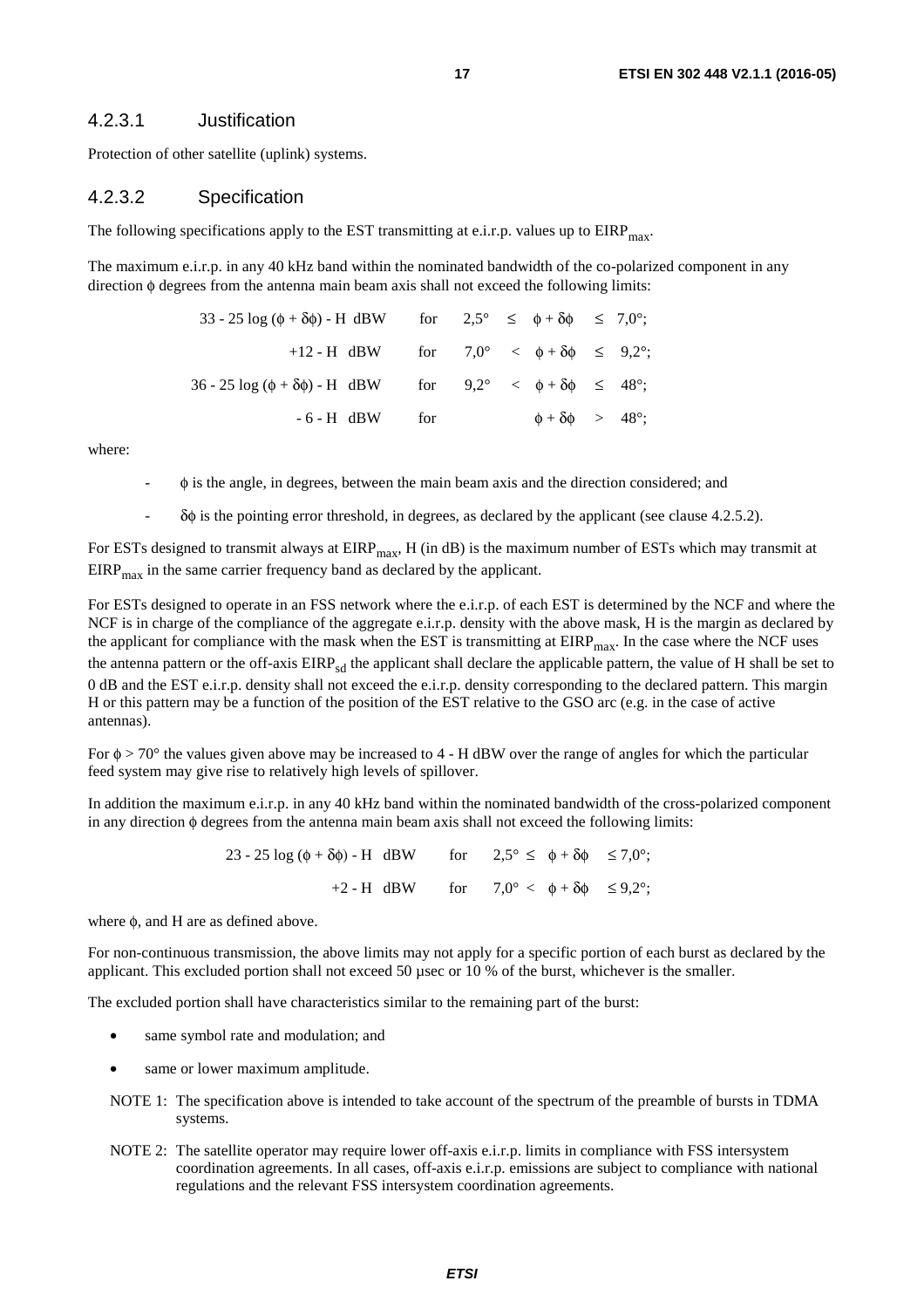#### <span id="page-16-0"></span>4.2.3.1 Justification

Protection of other satellite (uplink) systems.

#### 4.2.3.2 Specification

The following specifications apply to the EST transmitting at e.i.r.p. values up to  $EIRP<sub>mav</sub>$ .

The maximum e.i.r.p. in any 40 kHz band within the nominated bandwidth of the co-polarized component in any direction φ degrees from the antenna main beam axis shall not exceed the following limits:

| 33 - 25 log ( $\phi + \delta \phi$ ) - H dBW for $2.5^{\circ} \leq \phi + \delta \phi \leq 7.0^{\circ}$ ; |  |                                    |  |
|-----------------------------------------------------------------------------------------------------------|--|------------------------------------|--|
| +12 - H dBW for $7.0^{\circ} < \phi + \delta \phi \leq 9.2^{\circ}$ ;                                     |  |                                    |  |
| $36 - 25 \log (\phi + \delta \phi)$ -H dBW for $9,2^{\circ} < \phi + \delta \phi \leq 48^{\circ}$ ;       |  |                                    |  |
| $-6-H$ dBW for                                                                                            |  | $\phi + \delta \phi > 48^{\circ};$ |  |

where:

- $\phi$  is the angle, in degrees, between the main beam axis and the direction considered; and
- δφ is the pointing error threshold, in degrees, as declared by the applicant (see clause 4.2.5.2).

For ESTs designed to transmit always at  $EIRP<sub>max</sub>$ , H (in dB) is the maximum number of ESTs which may transmit at  $EIRP<sub>max</sub>$  in the same carrier frequency band as declared by the applicant.

For ESTs designed to operate in an FSS network where the e.i.r.p. of each EST is determined by the NCF and where the NCF is in charge of the compliance of the aggregate e.i.r.p. density with the above mask, H is the margin as declared by the applicant for compliance with the mask when the EST is transmitting at  $EIRP<sub>max</sub>$ . In the case where the NCF uses the antenna pattern or the off-axis EIRP<sub>sd</sub> the applicant shall declare the applicable pattern, the value of H shall be set to 0 dB and the EST e.i.r.p. density shall not exceed the e.i.r.p. density corresponding to the declared pattern. This margin H or this pattern may be a function of the position of the EST relative to the GSO arc (e.g. in the case of active antennas).

For  $\phi > 70^{\circ}$  the values given above may be increased to 4 - H dBW over the range of angles for which the particular feed system may give rise to relatively high levels of spillover.

In addition the maximum e.i.r.p. in any 40 kHz band within the nominated bandwidth of the cross-polarized component in any direction φ degrees from the antenna main beam axis shall not exceed the following limits:

> 23 - 25 log ( $\phi + \delta \phi$ ) - H dBW for  $2.5^{\circ} \leq \phi + \delta \phi \leq 7.0^{\circ}$ ; +2 - H dBW for  $7.0^{\circ} < \phi + \delta \phi \leq 9.2^{\circ}$ ;

where  $\phi$ , and H are as defined above.

For non-continuous transmission, the above limits may not apply for a specific portion of each burst as declared by the applicant. This excluded portion shall not exceed 50 µsec or 10 % of the burst, whichever is the smaller.

The excluded portion shall have characteristics similar to the remaining part of the burst:

- same symbol rate and modulation; and
- same or lower maximum amplitude.
- NOTE 1: The specification above is intended to take account of the spectrum of the preamble of bursts in TDMA systems.
- NOTE 2: The satellite operator may require lower off-axis e.i.r.p. limits in compliance with FSS intersystem coordination agreements. In all cases, off-axis e.i.r.p. emissions are subject to compliance with national regulations and the relevant FSS intersystem coordination agreements.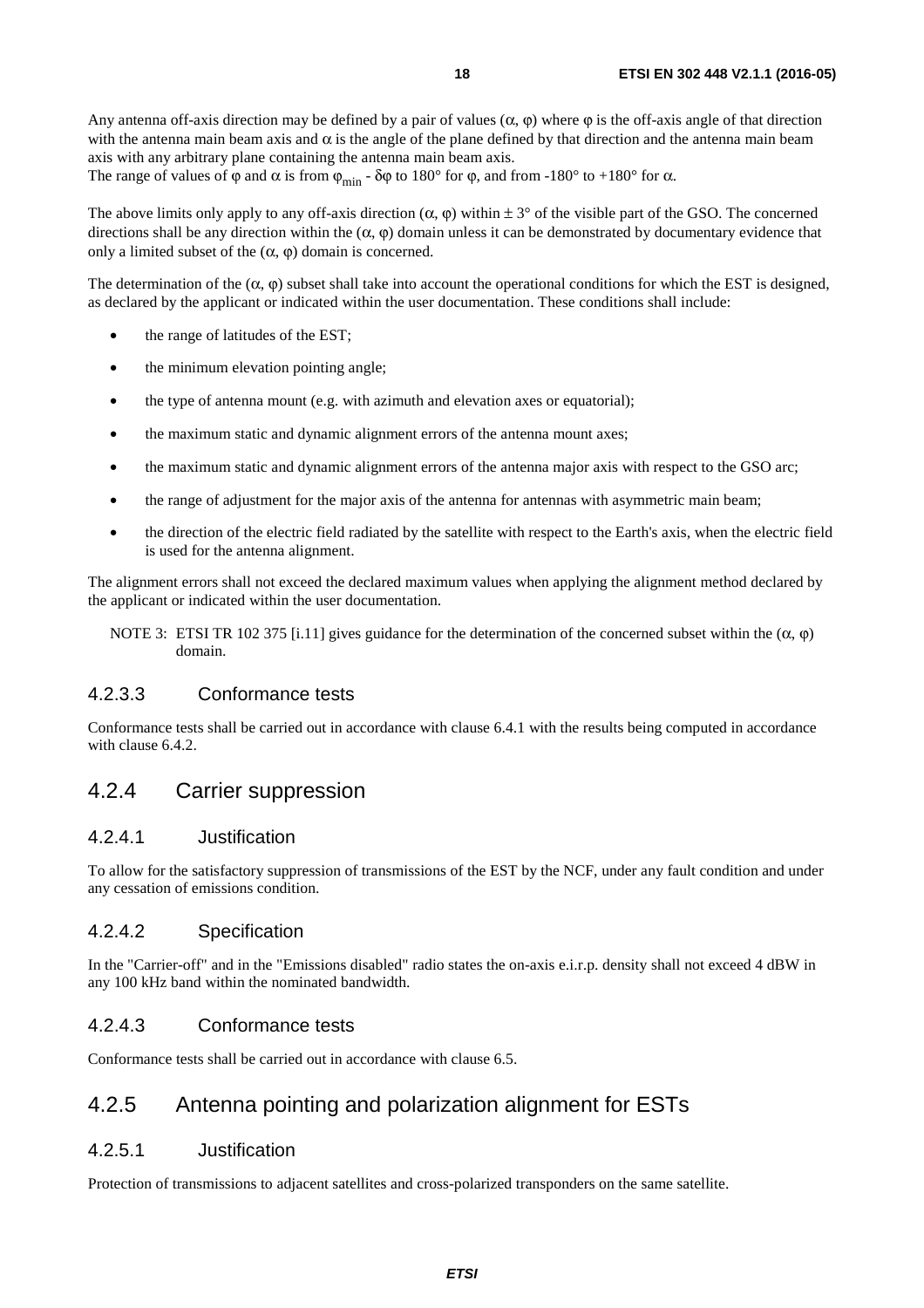<span id="page-17-0"></span>Any antenna off-axis direction may be defined by a pair of values  $(\alpha, \varphi)$  where  $\varphi$  is the off-axis angle of that direction with the antenna main beam axis and  $\alpha$  is the angle of the plane defined by that direction and the antenna main beam axis with any arbitrary plane containing the antenna main beam axis.

The range of values of  $\varphi$  and  $\alpha$  is from  $\varphi_{\text{min}}$  -  $\delta\varphi$  to 180° for  $\varphi$ , and from -180° to +180° for  $\alpha$ .

The above limits only apply to any off-axis direction  $(\alpha, \varphi)$  within  $\pm 3^{\circ}$  of the visible part of the GSO. The concerned directions shall be any direction within the  $(\alpha, \varphi)$  domain unless it can be demonstrated by documentary evidence that only a limited subset of the  $(\alpha, \varphi)$  domain is concerned.

The determination of the  $(\alpha, \phi)$  subset shall take into account the operational conditions for which the EST is designed, as declared by the applicant or indicated within the user documentation. These conditions shall include:

- the range of latitudes of the EST;
- the minimum elevation pointing angle;
- the type of antenna mount (e.g. with azimuth and elevation axes or equatorial);
- the maximum static and dynamic alignment errors of the antenna mount axes;
- the maximum static and dynamic alignment errors of the antenna major axis with respect to the GSO arc;
- the range of adjustment for the major axis of the antenna for antennas with asymmetric main beam;
- the direction of the electric field radiated by the satellite with respect to the Earth's axis, when the electric field is used for the antenna alignment.

The alignment errors shall not exceed the declared maximum values when applying the alignment method declared by the applicant or indicated within the user documentation.

NOTE 3: ETSI TR 102 375 [\[i.11\]](#page-8-0) gives guidance for the determination of the concerned subset within the (α,  $\varphi$ ) domain.

#### 4.2.3.3 Conformance tests

Conformance tests shall be carried out in accordance with clause 6.4.1 with the results being computed in accordance with clause 6.4.2.

### 4.2.4 Carrier suppression

#### 4.2.4.1 Justification

To allow for the satisfactory suppression of transmissions of the EST by the NCF, under any fault condition and under any cessation of emissions condition.

#### 4.2.4.2 Specification

In the "Carrier-off" and in the "Emissions disabled" radio states the on-axis e.i.r.p. density shall not exceed 4 dBW in any 100 kHz band within the nominated bandwidth.

#### 4.2.4.3 Conformance tests

Conformance tests shall be carried out in accordance with clause 6.5.

## 4.2.5 Antenna pointing and polarization alignment for ESTs

#### 4.2.5.1 Justification

Protection of transmissions to adjacent satellites and cross-polarized transponders on the same satellite.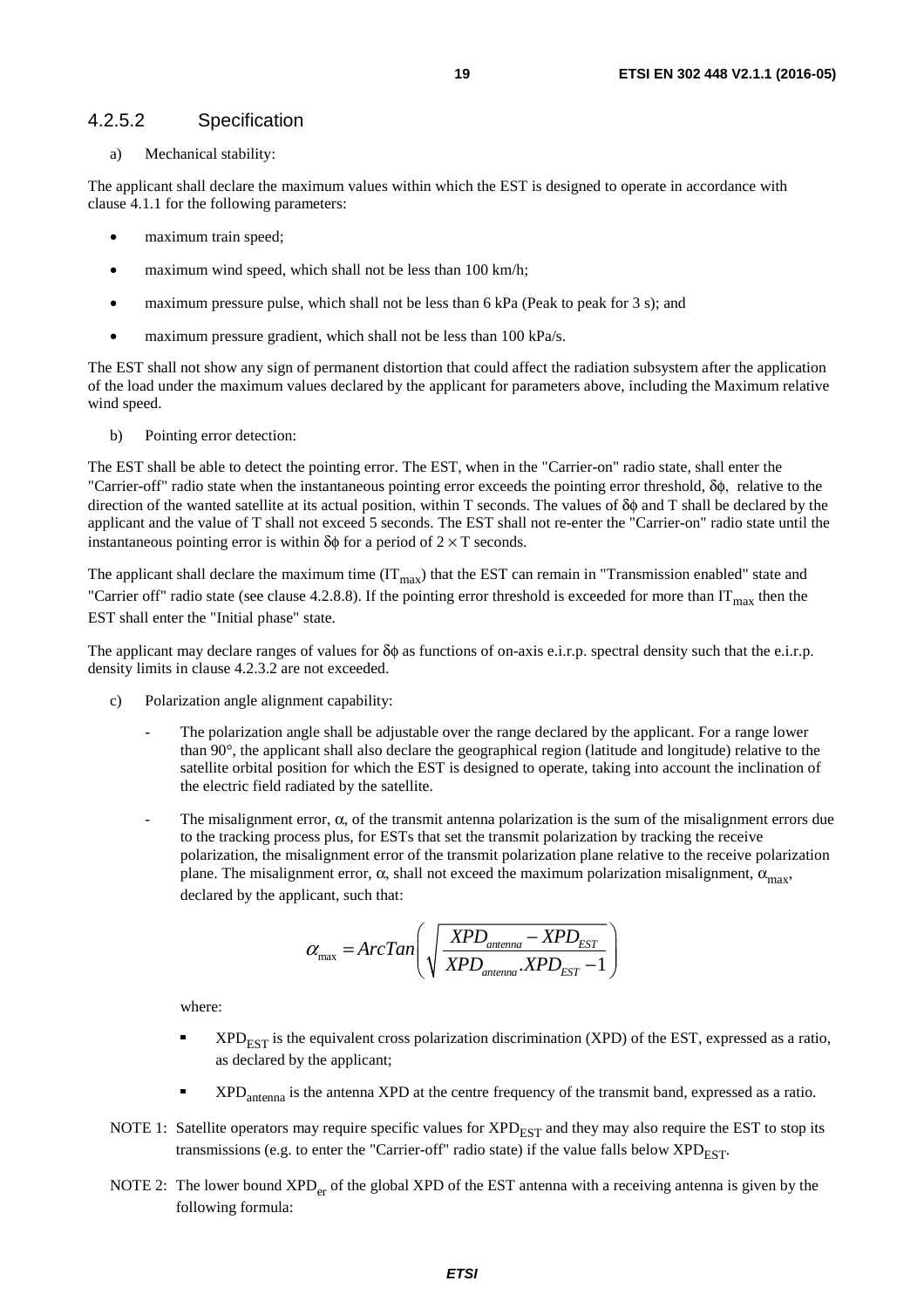#### <span id="page-18-0"></span>4.2.5.2 Specification

a) Mechanical stability:

The applicant shall declare the maximum values within which the EST is designed to operate in accordance with clause 4.1.1 for the following parameters:

- maximum train speed;
- maximum wind speed, which shall not be less than 100 km/h;
- maximum pressure pulse, which shall not be less than 6 kPa (Peak to peak for 3 s); and
- maximum pressure gradient, which shall not be less than 100 kPa/s.

The EST shall not show any sign of permanent distortion that could affect the radiation subsystem after the application of the load under the maximum values declared by the applicant for parameters above, including the Maximum relative wind speed.

b) Pointing error detection:

The EST shall be able to detect the pointing error. The EST, when in the "Carrier-on" radio state, shall enter the "Carrier-off" radio state when the instantaneous pointing error exceeds the pointing error threshold, δφ, relative to the direction of the wanted satellite at its actual position, within T seconds. The values of δφ and T shall be declared by the applicant and the value of T shall not exceed 5 seconds. The EST shall not re-enter the "Carrier-on" radio state until the instantaneous pointing error is within  $\delta\phi$  for a period of  $2 \times T$  seconds.

The applicant shall declare the maximum time  $(IT<sub>max</sub>)$  that the EST can remain in "Transmission enabled" state and "Carrier off" radio state (see clause 4.2.8.8). If the pointing error threshold is exceeded for more than  $IT_{max}$  then the EST shall enter the "Initial phase" state.

The applicant may declare ranges of values for  $\delta\phi$  as functions of on-axis e.i.r.p. spectral density such that the e.i.r.p. density limits in clause 4.2.3.2 are not exceeded.

- c) Polarization angle alignment capability:
	- The polarization angle shall be adjustable over the range declared by the applicant. For a range lower than 90°, the applicant shall also declare the geographical region (latitude and longitude) relative to the satellite orbital position for which the EST is designed to operate, taking into account the inclination of the electric field radiated by the satellite.
	- The misalignment error,  $\alpha$ , of the transmit antenna polarization is the sum of the misalignment errors due to the tracking process plus, for ESTs that set the transmit polarization by tracking the receive polarization, the misalignment error of the transmit polarization plane relative to the receive polarization plane. The misalignment error,  $\alpha$ , shall not exceed the maximum polarization misalignment,  $\alpha_{\text{max}}$ , declared by the applicant, such that:

$$
\alpha_{\max} = ArcTan\left(\sqrt{\frac{XPD_{\text{antenna}} - XPD_{\text{EST}}}{XPD_{\text{antenna}}. XPD_{\text{EST}}} - 1}\right)
$$

where:

- $XPD_{\text{EST}}$  is the equivalent cross polarization discrimination (XPD) of the EST, expressed as a ratio, as declared by the applicant;
- XPDantenna is the antenna XPD at the centre frequency of the transmit band, expressed as a ratio.
- NOTE 1: Satellite operators may require specific values for  $XPD_{EST}$  and they may also require the EST to stop its transmissions (e.g. to enter the "Carrier-off" radio state) if the value falls below  $XPD_{\text{EST}}$ .
- NOTE 2: The lower bound  $XPD<sub>er</sub>$  of the global XPD of the EST antenna with a receiving antenna is given by the following formula: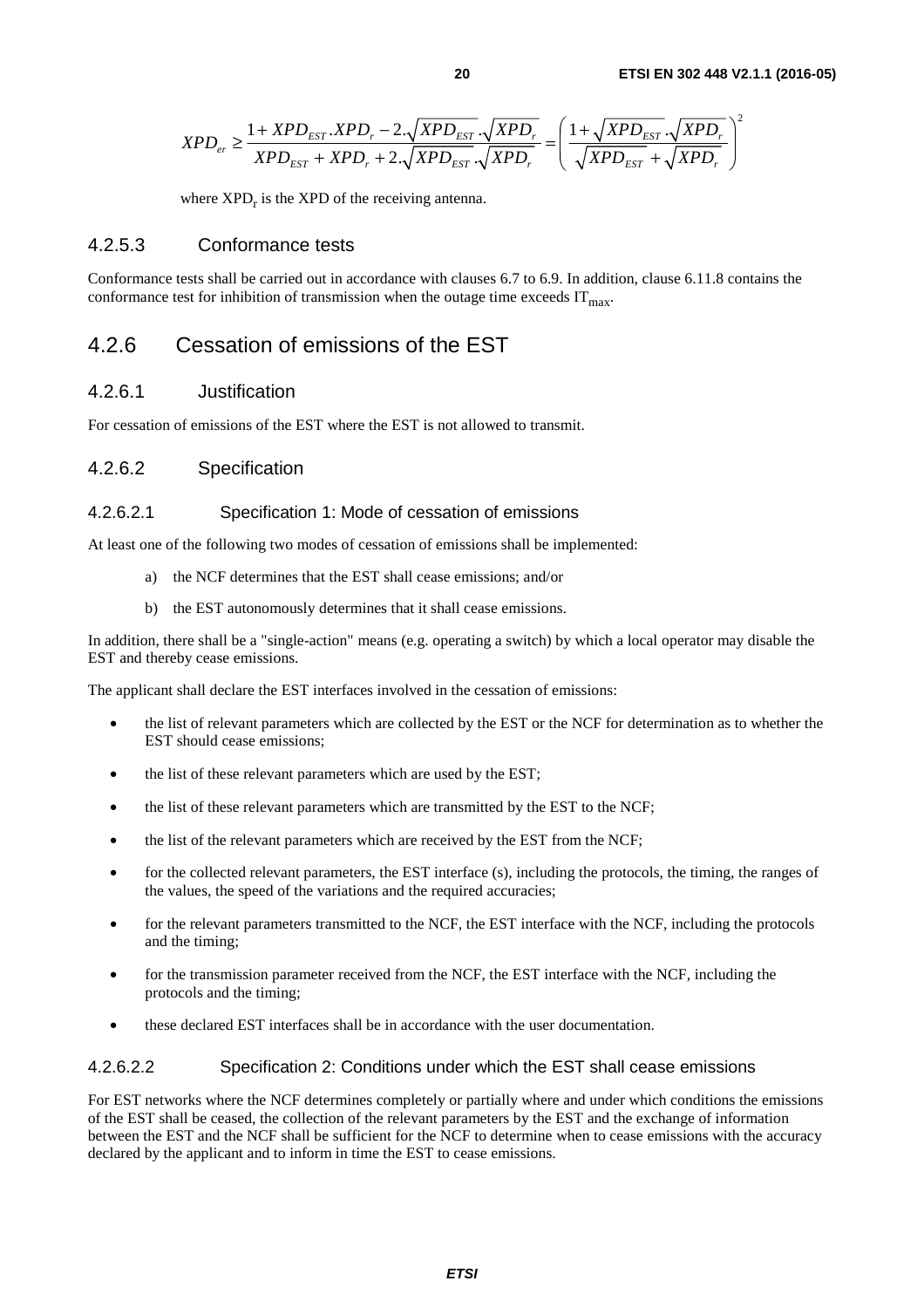<span id="page-19-0"></span>
$$
XPD_{er} \geq \frac{1+XPD_{EST}.XPD_{r}-2.\sqrt{XPD_{EST}}.\sqrt{XPD_{r}}}{XPD_{EST}+XPD_{r}+2.\sqrt{XPD_{EST}}.\sqrt{XPD_{r}}} = \left(\frac{1+\sqrt{XPD_{EST}}.\sqrt{XPD_{r}}}{\sqrt{XPD_{EST}}+\sqrt{XPD_{r}}}\right)^{2}
$$

where  $XPD_r$  is the  $XPD$  of the receiving antenna.

#### 4.2.5.3 Conformance tests

Conformance tests shall be carried out in accordance with clauses 6.7 to 6.9. In addition, clause 6.11.8 contains the conformance test for inhibition of transmission when the outage time exceeds  $IT<sub>max</sub>$ .

## 4.2.6 Cessation of emissions of the EST

#### 4.2.6.1 Justification

For cessation of emissions of the EST where the EST is not allowed to transmit.

#### 4.2.6.2 Specification

#### 4.2.6.2.1 Specification 1: Mode of cessation of emissions

At least one of the following two modes of cessation of emissions shall be implemented:

- a) the NCF determines that the EST shall cease emissions; and/or
- b) the EST autonomously determines that it shall cease emissions.

In addition, there shall be a "single-action" means (e.g. operating a switch) by which a local operator may disable the EST and thereby cease emissions.

The applicant shall declare the EST interfaces involved in the cessation of emissions:

- the list of relevant parameters which are collected by the EST or the NCF for determination as to whether the EST should cease emissions;
- the list of these relevant parameters which are used by the EST;
- the list of these relevant parameters which are transmitted by the EST to the NCF;
- the list of the relevant parameters which are received by the EST from the NCF;
- for the collected relevant parameters, the EST interface (s), including the protocols, the timing, the ranges of the values, the speed of the variations and the required accuracies;
- for the relevant parameters transmitted to the NCF, the EST interface with the NCF, including the protocols and the timing;
- for the transmission parameter received from the NCF, the EST interface with the NCF, including the protocols and the timing;
- these declared EST interfaces shall be in accordance with the user documentation.

#### 4.2.6.2.2 Specification 2: Conditions under which the EST shall cease emissions

For EST networks where the NCF determines completely or partially where and under which conditions the emissions of the EST shall be ceased, the collection of the relevant parameters by the EST and the exchange of information between the EST and the NCF shall be sufficient for the NCF to determine when to cease emissions with the accuracy declared by the applicant and to inform in time the EST to cease emissions.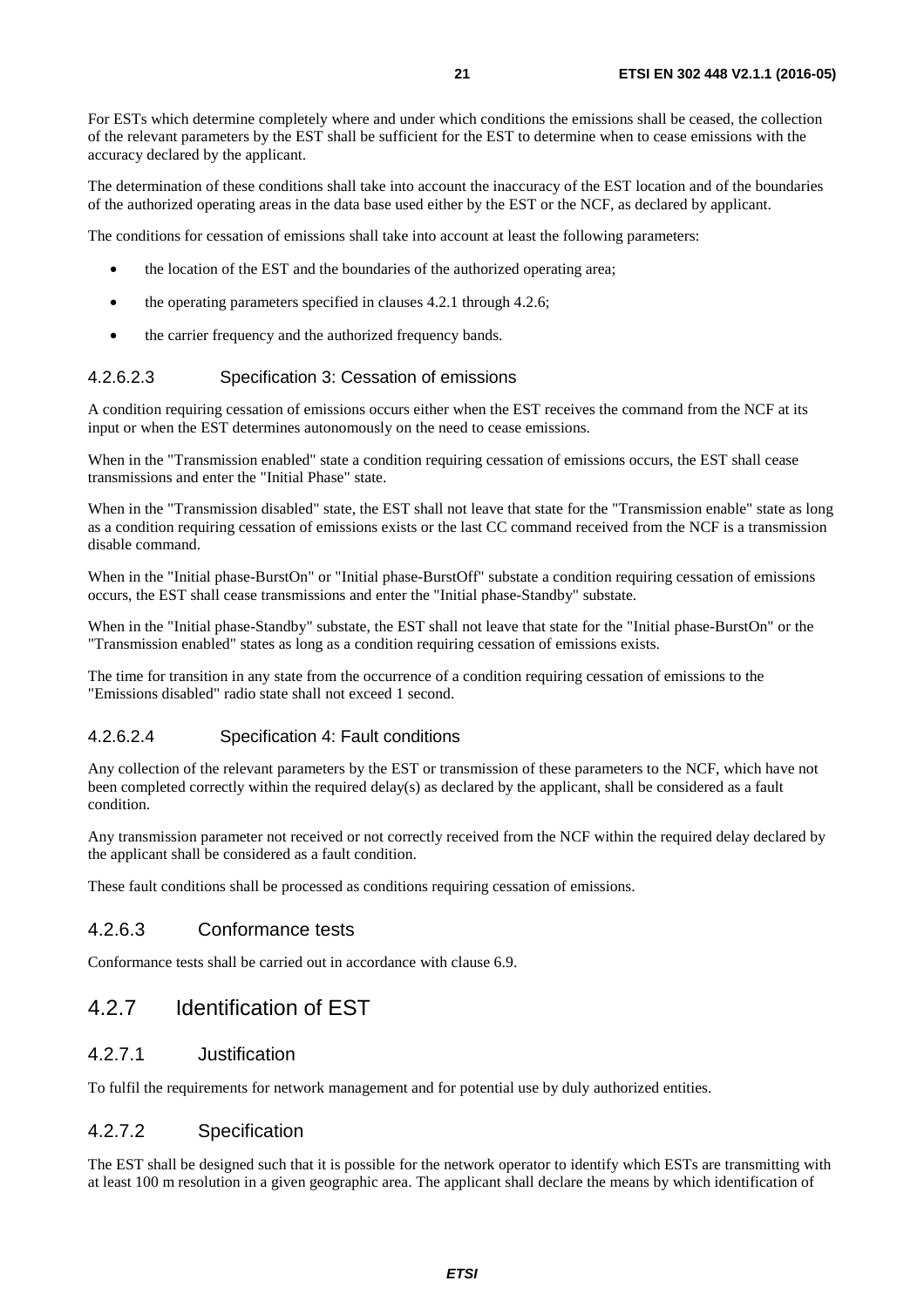<span id="page-20-0"></span>For ESTs which determine completely where and under which conditions the emissions shall be ceased, the collection of the relevant parameters by the EST shall be sufficient for the EST to determine when to cease emissions with the accuracy declared by the applicant.

The determination of these conditions shall take into account the inaccuracy of the EST location and of the boundaries of the authorized operating areas in the data base used either by the EST or the NCF, as declared by applicant.

The conditions for cessation of emissions shall take into account at least the following parameters:

- the location of the EST and the boundaries of the authorized operating area;
- the operating parameters specified in clauses 4.2.1 through 4.2.6;
- the carrier frequency and the authorized frequency bands.

#### 4.2.6.2.3 Specification 3: Cessation of emissions

A condition requiring cessation of emissions occurs either when the EST receives the command from the NCF at its input or when the EST determines autonomously on the need to cease emissions.

When in the "Transmission enabled" state a condition requiring cessation of emissions occurs, the EST shall cease transmissions and enter the "Initial Phase" state.

When in the "Transmission disabled" state, the EST shall not leave that state for the "Transmission enable" state as long as a condition requiring cessation of emissions exists or the last CC command received from the NCF is a transmission disable command.

When in the "Initial phase-BurstOn" or "Initial phase-BurstOff" substate a condition requiring cessation of emissions occurs, the EST shall cease transmissions and enter the "Initial phase-Standby" substate.

When in the "Initial phase-Standby" substate, the EST shall not leave that state for the "Initial phase-BurstOn" or the "Transmission enabled" states as long as a condition requiring cessation of emissions exists.

The time for transition in any state from the occurrence of a condition requiring cessation of emissions to the "Emissions disabled" radio state shall not exceed 1 second.

#### 4.2.6.2.4 Specification 4: Fault conditions

Any collection of the relevant parameters by the EST or transmission of these parameters to the NCF, which have not been completed correctly within the required delay(s) as declared by the applicant, shall be considered as a fault condition.

Any transmission parameter not received or not correctly received from the NCF within the required delay declared by the applicant shall be considered as a fault condition.

These fault conditions shall be processed as conditions requiring cessation of emissions.

#### 4.2.6.3 Conformance tests

Conformance tests shall be carried out in accordance with clause 6.9.

### 4.2.7 Identification of EST

#### 4.2.7.1 Justification

To fulfil the requirements for network management and for potential use by duly authorized entities.

#### 4.2.7.2 Specification

The EST shall be designed such that it is possible for the network operator to identify which ESTs are transmitting with at least 100 m resolution in a given geographic area. The applicant shall declare the means by which identification of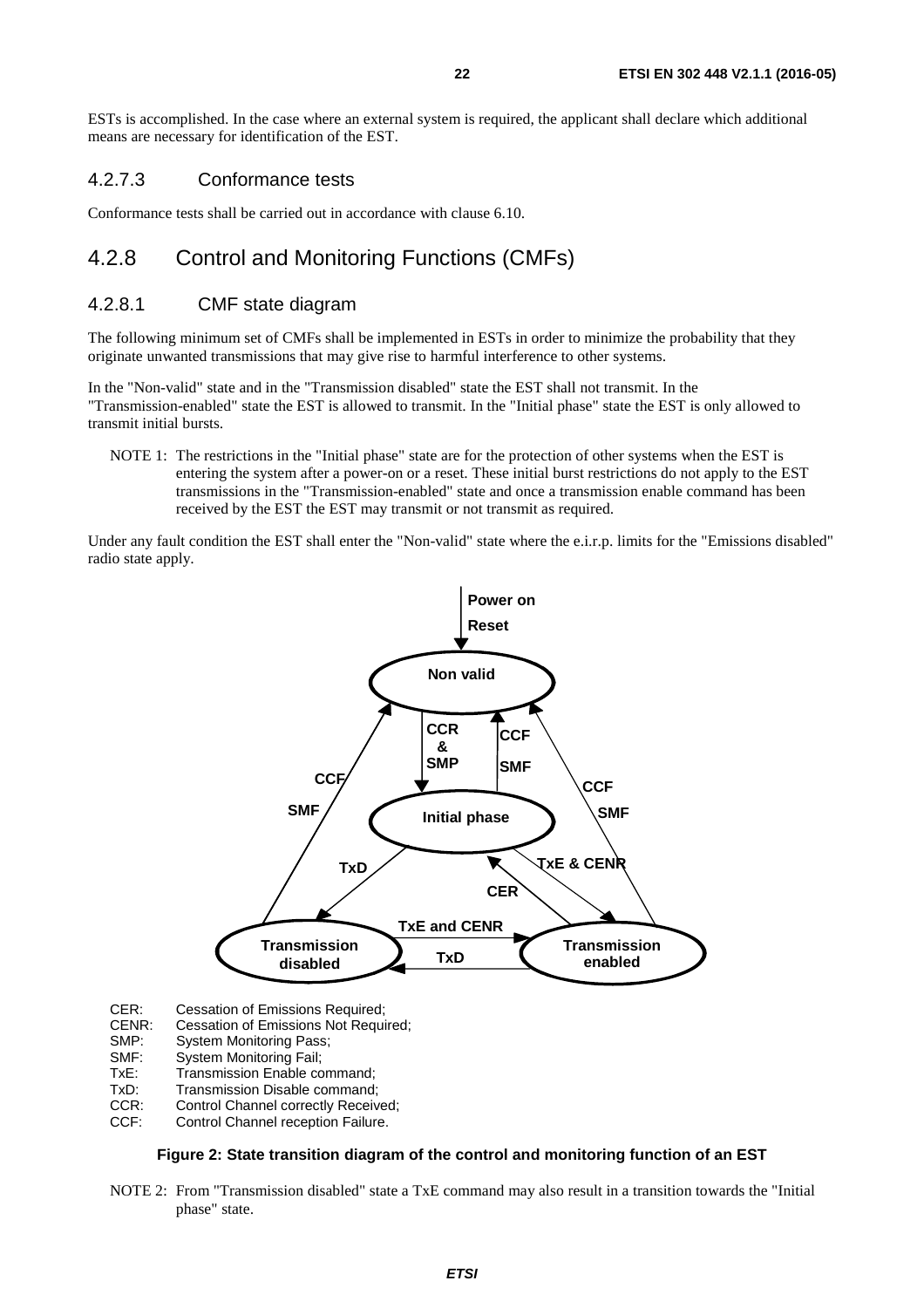<span id="page-21-0"></span>ESTs is accomplished. In the case where an external system is required, the applicant shall declare which additional means are necessary for identification of the EST.

#### 4.2.7.3 Conformance tests

Conformance tests shall be carried out in accordance with clause 6.10.

# 4.2.8 Control and Monitoring Functions (CMFs)

#### 4.2.8.1 CMF state diagram

The following minimum set of CMFs shall be implemented in ESTs in order to minimize the probability that they originate unwanted transmissions that may give rise to harmful interference to other systems.

In the "Non-valid" state and in the "Transmission disabled" state the EST shall not transmit. In the "Transmission-enabled" state the EST is allowed to transmit. In the "Initial phase" state the EST is only allowed to transmit initial bursts.

NOTE 1: The restrictions in the "Initial phase" state are for the protection of other systems when the EST is entering the system after a power-on or a reset. These initial burst restrictions do not apply to the EST transmissions in the "Transmission-enabled" state and once a transmission enable command has been received by the EST the EST may transmit or not transmit as required.

Under any fault condition the EST shall enter the "Non-valid" state where the e.i.r.p. limits for the "Emissions disabled" radio state apply.



CER: Cessation of Emissions Required;<br>CENR: Cessation of Emissions Not Requi

- Cessation of Emissions Not Required;
- SMP: System Monitoring Pass;
- SMF: System Monitoring Fail;
- TxE: Transmission Enable command;
- TxD: Transmission Disable command;<br>CCR: Control Channel correctly Receiv
- CCR: Control Channel correctly Received;<br>CCF: Control Channel reception Failure.
- Control Channel reception Failure.

#### **Figure 2: State transition diagram of the control and monitoring function of an EST**

NOTE 2: From "Transmission disabled" state a TxE command may also result in a transition towards the "Initial phase" state.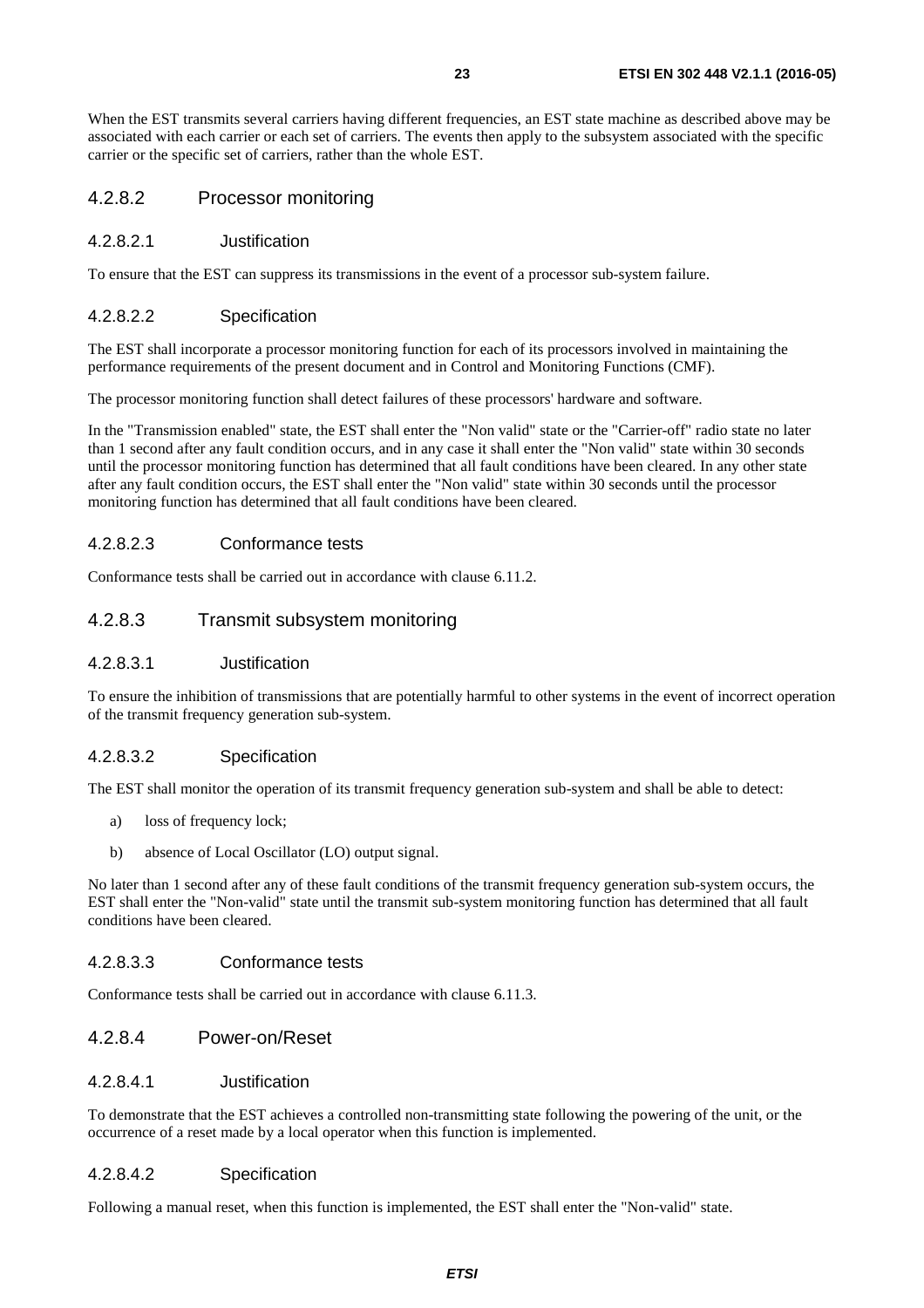<span id="page-22-0"></span>When the EST transmits several carriers having different frequencies, an EST state machine as described above may be associated with each carrier or each set of carriers. The events then apply to the subsystem associated with the specific carrier or the specific set of carriers, rather than the whole EST.

#### 4.2.8.2 Processor monitoring

#### 4.2.8.2.1 Justification

To ensure that the EST can suppress its transmissions in the event of a processor sub-system failure.

#### 4.2.8.2.2 Specification

The EST shall incorporate a processor monitoring function for each of its processors involved in maintaining the performance requirements of the present document and in Control and Monitoring Functions (CMF).

The processor monitoring function shall detect failures of these processors' hardware and software.

In the "Transmission enabled" state, the EST shall enter the "Non valid" state or the "Carrier-off" radio state no later than 1 second after any fault condition occurs, and in any case it shall enter the "Non valid" state within 30 seconds until the processor monitoring function has determined that all fault conditions have been cleared. In any other state after any fault condition occurs, the EST shall enter the "Non valid" state within 30 seconds until the processor monitoring function has determined that all fault conditions have been cleared.

#### 4.2.8.2.3 Conformance tests

Conformance tests shall be carried out in accordance with clause 6.11.2.

#### 4.2.8.3 Transmit subsystem monitoring

#### 4.2.8.3.1 Justification

To ensure the inhibition of transmissions that are potentially harmful to other systems in the event of incorrect operation of the transmit frequency generation sub-system.

#### 4.2.8.3.2 Specification

The EST shall monitor the operation of its transmit frequency generation sub-system and shall be able to detect:

- a) loss of frequency lock;
- b) absence of Local Oscillator (LO) output signal.

No later than 1 second after any of these fault conditions of the transmit frequency generation sub-system occurs, the EST shall enter the "Non-valid" state until the transmit sub-system monitoring function has determined that all fault conditions have been cleared.

#### 4.2.8.3.3 Conformance tests

Conformance tests shall be carried out in accordance with clause 6.11.3.

#### 4.2.8.4 Power-on/Reset

#### 4.2.8.4.1 Justification

To demonstrate that the EST achieves a controlled non-transmitting state following the powering of the unit, or the occurrence of a reset made by a local operator when this function is implemented.

#### 4.2.8.4.2 Specification

Following a manual reset, when this function is implemented, the EST shall enter the "Non-valid" state.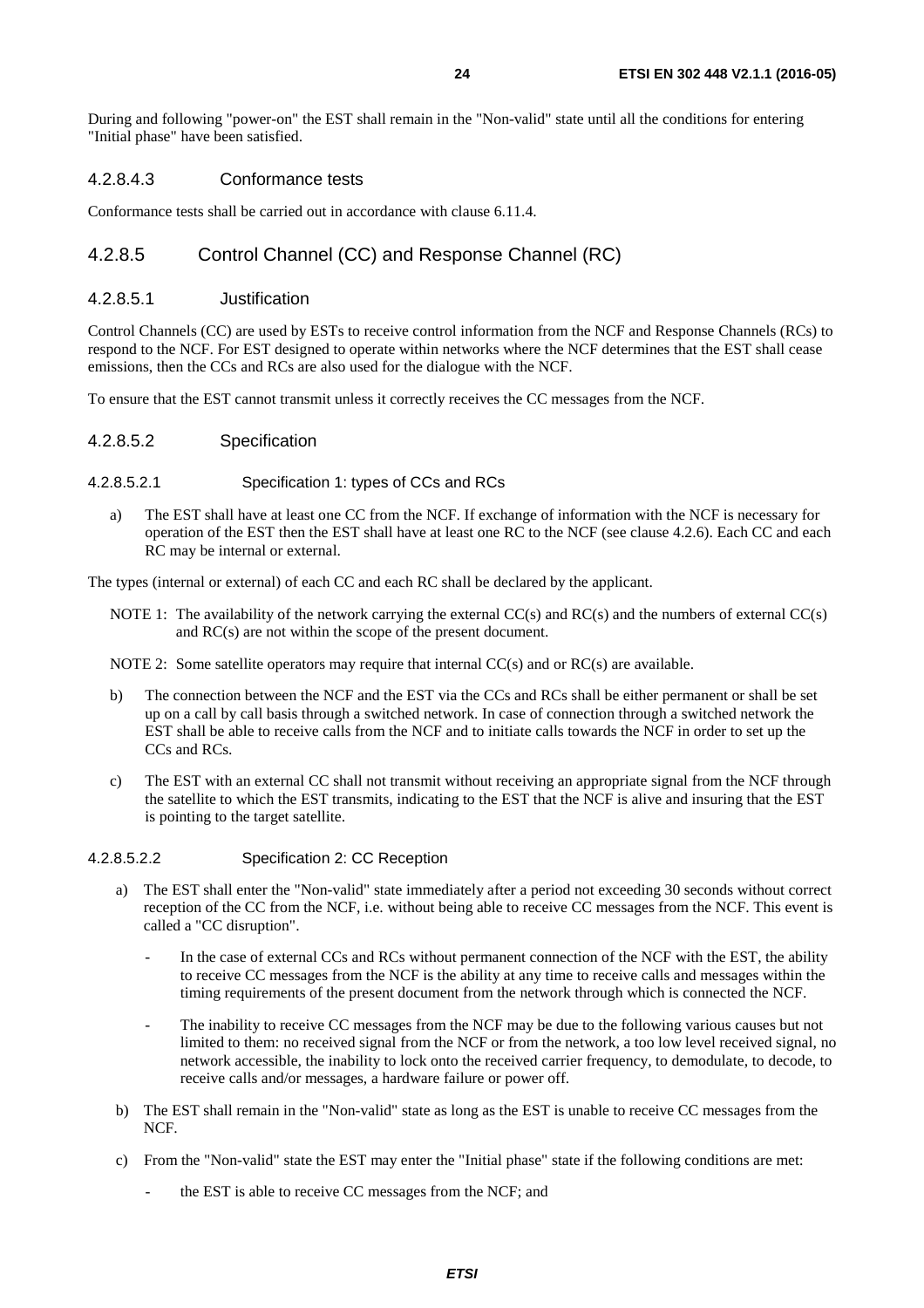<span id="page-23-0"></span>During and following "power-on" the EST shall remain in the "Non-valid" state until all the conditions for entering "Initial phase" have been satisfied.

#### 4.2.8.4.3 Conformance tests

Conformance tests shall be carried out in accordance with clause 6.11.4.

### 4.2.8.5 Control Channel (CC) and Response Channel (RC)

#### 4.2.8.5.1 Justification

Control Channels (CC) are used by ESTs to receive control information from the NCF and Response Channels (RCs) to respond to the NCF. For EST designed to operate within networks where the NCF determines that the EST shall cease emissions, then the CCs and RCs are also used for the dialogue with the NCF.

To ensure that the EST cannot transmit unless it correctly receives the CC messages from the NCF.

#### 4.2.8.5.2 Specification

#### 4.2.8.5.2.1 Specification 1: types of CCs and RCs

a) The EST shall have at least one CC from the NCF. If exchange of information with the NCF is necessary for operation of the EST then the EST shall have at least one RC to the NCF (see clause 4.2.6). Each CC and each RC may be internal or external.

The types (internal or external) of each CC and each RC shall be declared by the applicant.

NOTE 1: The availability of the network carrying the external CC(s) and RC(s) and the numbers of external CC(s) and RC(s) are not within the scope of the present document.

NOTE 2: Some satellite operators may require that internal CC(s) and or RC(s) are available.

- b) The connection between the NCF and the EST via the CCs and RCs shall be either permanent or shall be set up on a call by call basis through a switched network. In case of connection through a switched network the EST shall be able to receive calls from the NCF and to initiate calls towards the NCF in order to set up the CCs and RCs.
- c) The EST with an external CC shall not transmit without receiving an appropriate signal from the NCF through the satellite to which the EST transmits, indicating to the EST that the NCF is alive and insuring that the EST is pointing to the target satellite.

#### 4.2.8.5.2.2 Specification 2: CC Reception

- a) The EST shall enter the "Non-valid" state immediately after a period not exceeding 30 seconds without correct reception of the CC from the NCF, i.e. without being able to receive CC messages from the NCF. This event is called a "CC disruption".
	- In the case of external CCs and RCs without permanent connection of the NCF with the EST, the ability to receive CC messages from the NCF is the ability at any time to receive calls and messages within the timing requirements of the present document from the network through which is connected the NCF.
	- The inability to receive CC messages from the NCF may be due to the following various causes but not limited to them: no received signal from the NCF or from the network, a too low level received signal, no network accessible, the inability to lock onto the received carrier frequency, to demodulate, to decode, to receive calls and/or messages, a hardware failure or power off.
- b) The EST shall remain in the "Non-valid" state as long as the EST is unable to receive CC messages from the NCF.
- c) From the "Non-valid" state the EST may enter the "Initial phase" state if the following conditions are met:
	- the EST is able to receive CC messages from the NCF; and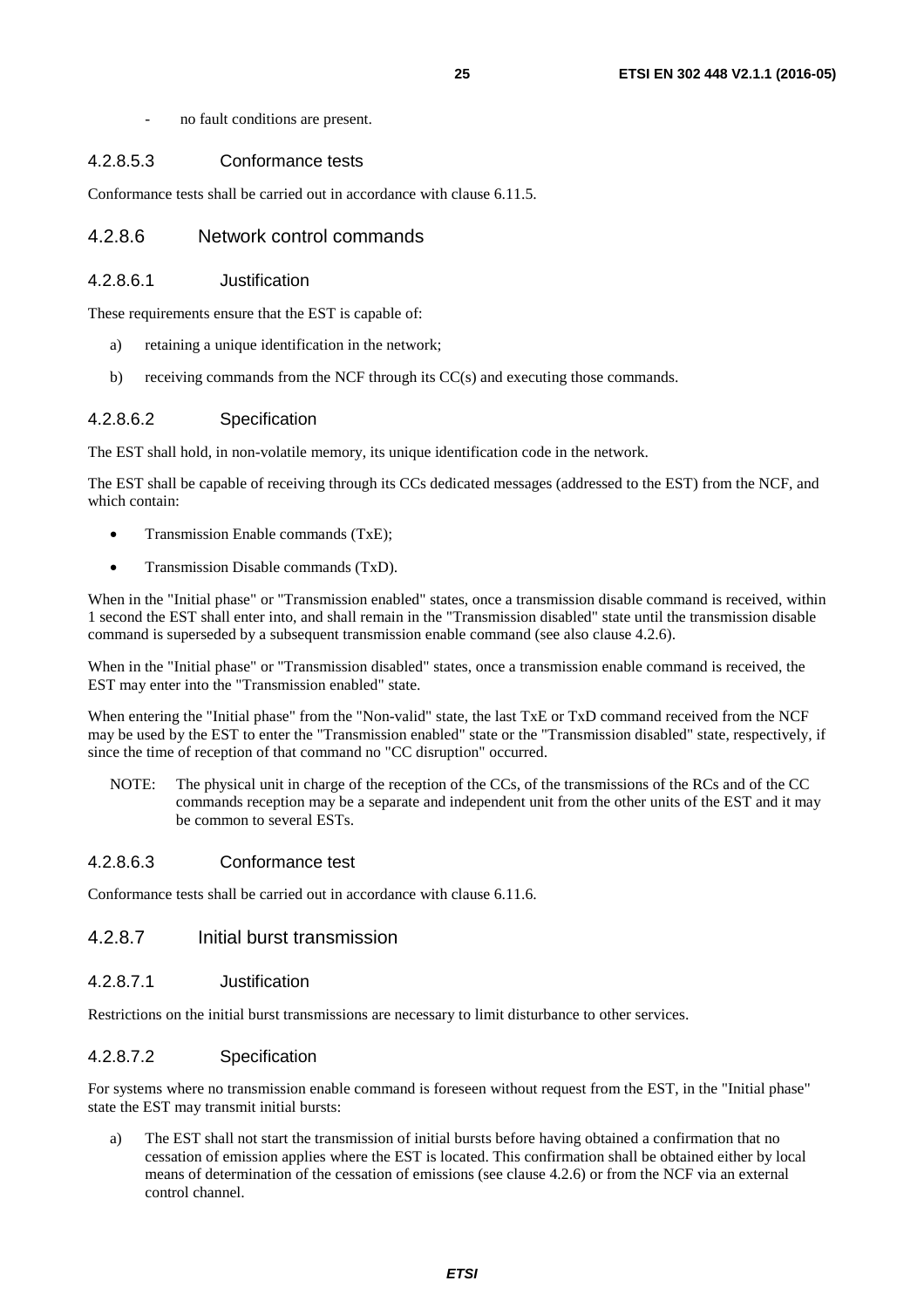- no fault conditions are present.

#### <span id="page-24-0"></span>4.2.8.5.3 Conformance tests

Conformance tests shall be carried out in accordance with clause 6.11.5.

#### 4.2.8.6 Network control commands

#### 4.2.8.6.1 Justification

These requirements ensure that the EST is capable of:

- a) retaining a unique identification in the network;
- b) receiving commands from the NCF through its CC(s) and executing those commands.

#### 4.2.8.6.2 Specification

The EST shall hold, in non-volatile memory, its unique identification code in the network.

The EST shall be capable of receiving through its CCs dedicated messages (addressed to the EST) from the NCF, and which contain:

- Transmission Enable commands (TxE);
- Transmission Disable commands (TxD).

When in the "Initial phase" or "Transmission enabled" states, once a transmission disable command is received, within 1 second the EST shall enter into, and shall remain in the "Transmission disabled" state until the transmission disable command is superseded by a subsequent transmission enable command (see also clause 4.2.6).

When in the "Initial phase" or "Transmission disabled" states, once a transmission enable command is received, the EST may enter into the "Transmission enabled" state.

When entering the "Initial phase" from the "Non-valid" state, the last TxE or TxD command received from the NCF may be used by the EST to enter the "Transmission enabled" state or the "Transmission disabled" state, respectively, if since the time of reception of that command no "CC disruption" occurred.

NOTE: The physical unit in charge of the reception of the CCs, of the transmissions of the RCs and of the CC commands reception may be a separate and independent unit from the other units of the EST and it may be common to several ESTs.

#### 4.2.8.6.3 Conformance test

Conformance tests shall be carried out in accordance with clause 6.11.6.

#### 4.2.8.7 Initial burst transmission

#### 4.2.8.7.1 Justification

Restrictions on the initial burst transmissions are necessary to limit disturbance to other services.

#### 4.2.8.7.2 Specification

For systems where no transmission enable command is foreseen without request from the EST, in the "Initial phase" state the EST may transmit initial bursts:

a) The EST shall not start the transmission of initial bursts before having obtained a confirmation that no cessation of emission applies where the EST is located. This confirmation shall be obtained either by local means of determination of the cessation of emissions (see clause 4.2.6) or from the NCF via an external control channel.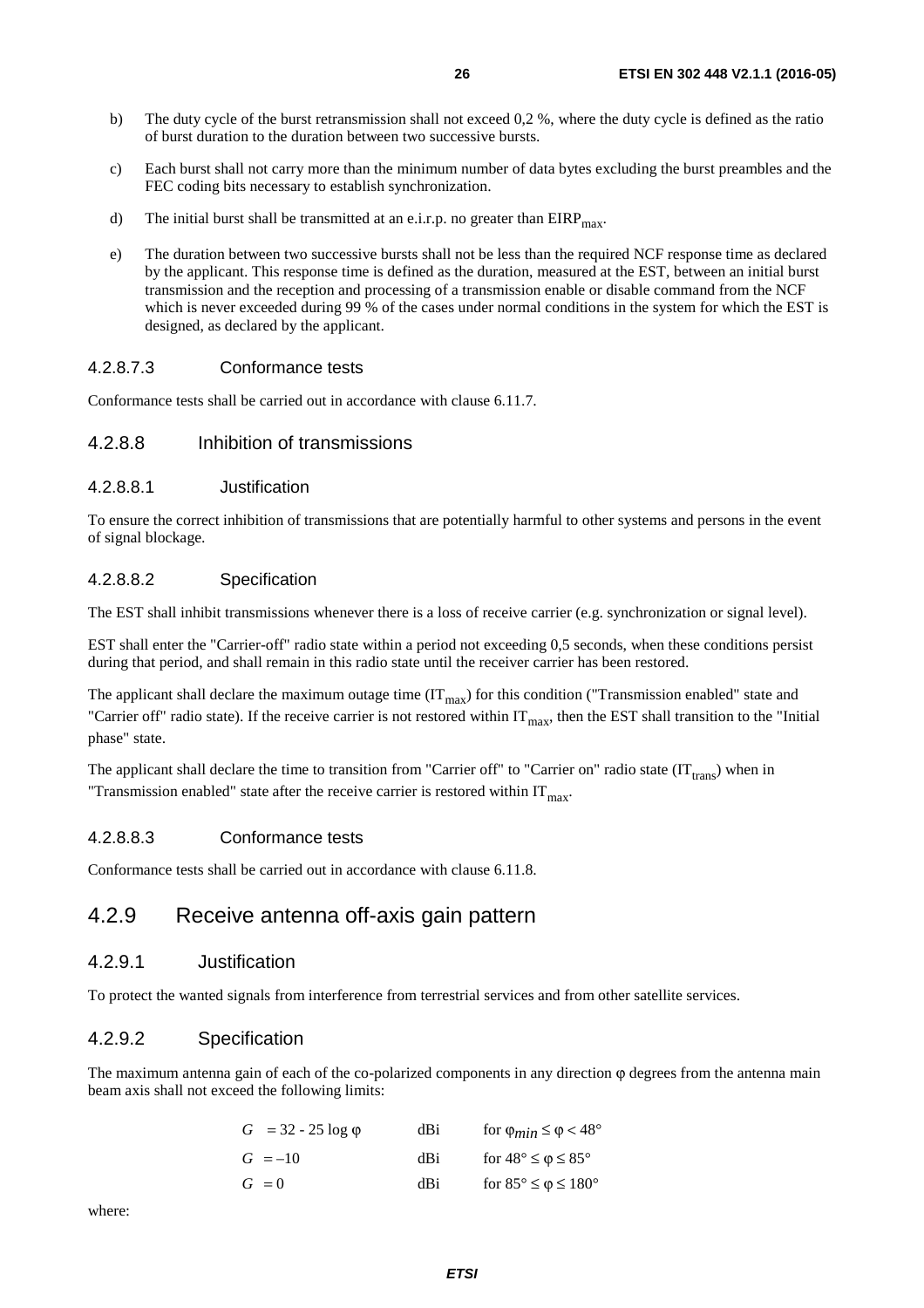- <span id="page-25-0"></span>b) The duty cycle of the burst retransmission shall not exceed 0,2 %, where the duty cycle is defined as the ratio of burst duration to the duration between two successive bursts.
- c) Each burst shall not carry more than the minimum number of data bytes excluding the burst preambles and the FEC coding bits necessary to establish synchronization.
- d) The initial burst shall be transmitted at an e.i.r.p. no greater than  $EIRP<sub>max</sub>$ .
- e) The duration between two successive bursts shall not be less than the required NCF response time as declared by the applicant. This response time is defined as the duration, measured at the EST, between an initial burst transmission and the reception and processing of a transmission enable or disable command from the NCF which is never exceeded during 99 % of the cases under normal conditions in the system for which the EST is designed, as declared by the applicant.

#### 4.2.8.7.3 Conformance tests

Conformance tests shall be carried out in accordance with clause 6.11.7.

#### 4.2.8.8 Inhibition of transmissions

#### 4.2.8.8.1 Justification

To ensure the correct inhibition of transmissions that are potentially harmful to other systems and persons in the event of signal blockage.

#### 4.2.8.8.2 Specification

The EST shall inhibit transmissions whenever there is a loss of receive carrier (e.g. synchronization or signal level).

EST shall enter the "Carrier-off" radio state within a period not exceeding 0,5 seconds, when these conditions persist during that period, and shall remain in this radio state until the receiver carrier has been restored.

The applicant shall declare the maximum outage time  $(IT<sub>max</sub>)$  for this condition ("Transmission enabled" state and "Carrier off" radio state). If the receive carrier is not restored within  $IT_{\text{max}}$ , then the EST shall transition to the "Initial" phase" state.

The applicant shall declare the time to transition from "Carrier off" to "Carrier on" radio state  $(IT<sub>trans</sub>)$  when in "Transmission enabled" state after the receive carrier is restored within  $IT<sub>max</sub>$ .

#### 4.2.8.8.3 Conformance tests

Conformance tests shall be carried out in accordance with clause 6.11.8.

## 4.2.9 Receive antenna off-axis gain pattern

#### 4.2.9.1 Justification

To protect the wanted signals from interference from terrestrial services and from other satellite services.

#### 4.2.9.2 Specification

The maximum antenna gain of each of the co-polarized components in any direction  $\varphi$  degrees from the antenna main beam axis shall not exceed the following limits:

| $G = 32 - 25 \log \phi$ | dBi | for $\varphi_{min} \leq \varphi < 48^{\circ}$ |
|-------------------------|-----|-----------------------------------------------|
| $G = -10$               | dBi | for $48^{\circ} \leq \varphi \leq 85^{\circ}$ |
| $G = 0$                 | dBi | for $85^{\circ} \le \phi \le 180^{\circ}$     |

where: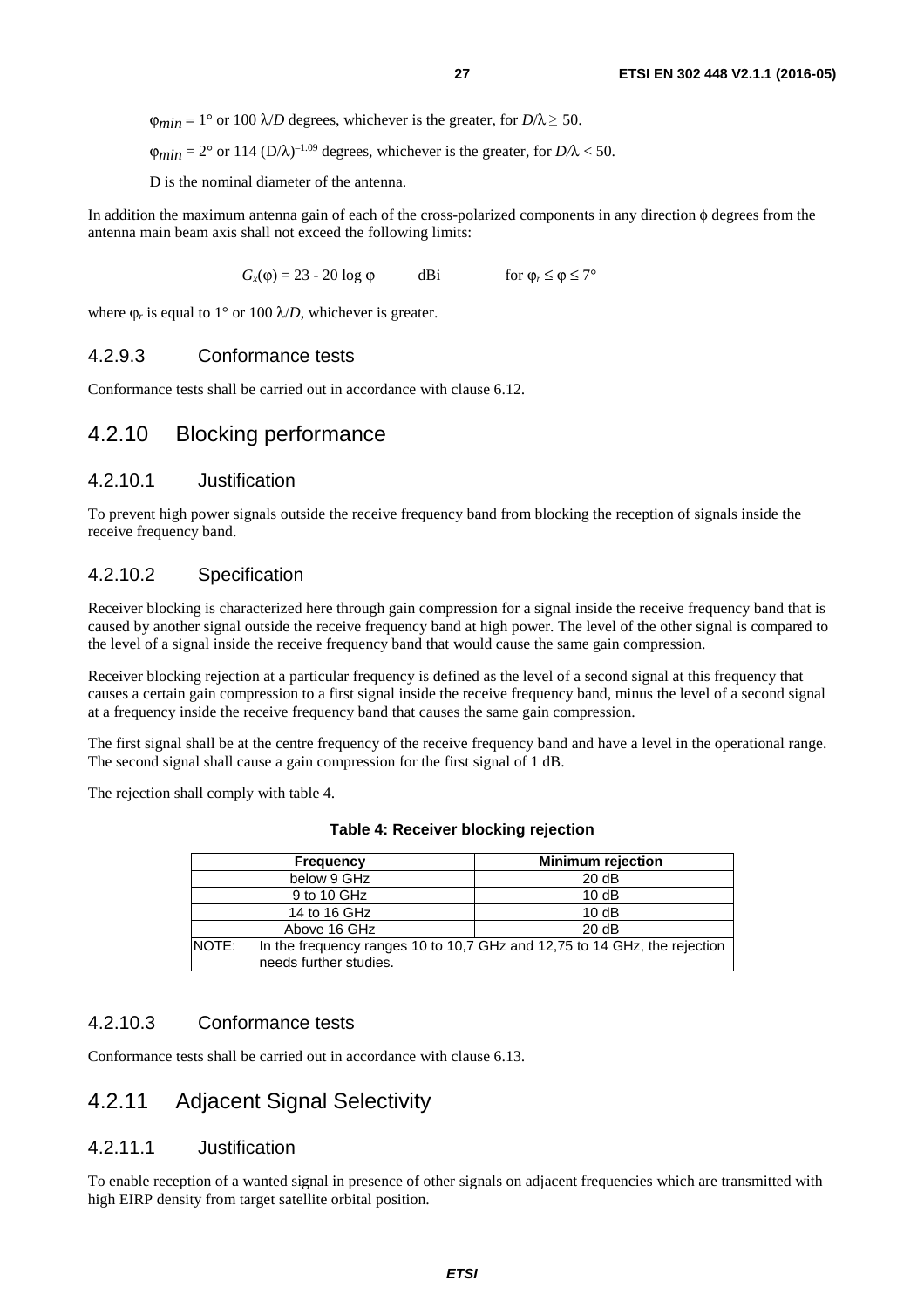<span id="page-26-0"></span> $\phi_{min} = 1^{\circ}$  or 100  $\lambda/D$  degrees, whichever is the greater, for  $D/\lambda \ge 50$ .

 $\phi_{min} = 2^{\circ}$  or 114 (D/ $\lambda$ )<sup>-1.09</sup> degrees, whichever is the greater, for  $D/\lambda < 50$ .

D is the nominal diameter of the antenna.

In addition the maximum antenna gain of each of the cross-polarized components in any direction φ degrees from the antenna main beam axis shall not exceed the following limits:

 $G_x(\varphi) = 23 - 20 \log \varphi$  dBi for  $\varphi_r \le \varphi \le 7^\circ$ 

where  $\varphi_r$  is equal to 1° or 100  $\lambda/D$ , whichever is greater.

#### 4.2.9.3 Conformance tests

Conformance tests shall be carried out in accordance with clause 6.12.

### 4.2.10 Blocking performance

#### 4.2.10.1 Justification

To prevent high power signals outside the receive frequency band from blocking the reception of signals inside the receive frequency band.

#### 4.2.10.2 Specification

Receiver blocking is characterized here through gain compression for a signal inside the receive frequency band that is caused by another signal outside the receive frequency band at high power. The level of the other signal is compared to the level of a signal inside the receive frequency band that would cause the same gain compression.

Receiver blocking rejection at a particular frequency is defined as the level of a second signal at this frequency that causes a certain gain compression to a first signal inside the receive frequency band, minus the level of a second signal at a frequency inside the receive frequency band that causes the same gain compression.

The first signal shall be at the centre frequency of the receive frequency band and have a level in the operational range. The second signal shall cause a gain compression for the first signal of 1 dB.

The rejection shall comply with table 4.

| Frequency    |                        | <b>Minimum rejection</b>                                                  |
|--------------|------------------------|---------------------------------------------------------------------------|
| below 9 GHz  |                        | 20dB                                                                      |
|              | 9 to 10 GHz            | 10dB                                                                      |
|              | 14 to 16 GHz           | 10dB                                                                      |
|              | Above 16 GHz           | 20dB                                                                      |
| <b>NOTE:</b> |                        | In the frequency ranges 10 to 10,7 GHz and 12,75 to 14 GHz, the rejection |
|              | needs further studies. |                                                                           |

| Table 4: Receiver blocking rejection |  |  |
|--------------------------------------|--|--|
|--------------------------------------|--|--|

### 4.2.10.3 Conformance tests

Conformance tests shall be carried out in accordance with clause 6.13.

### 4.2.11 Adjacent Signal Selectivity

#### 4.2.11.1 Justification

To enable reception of a wanted signal in presence of other signals on adjacent frequencies which are transmitted with high EIRP density from target satellite orbital position.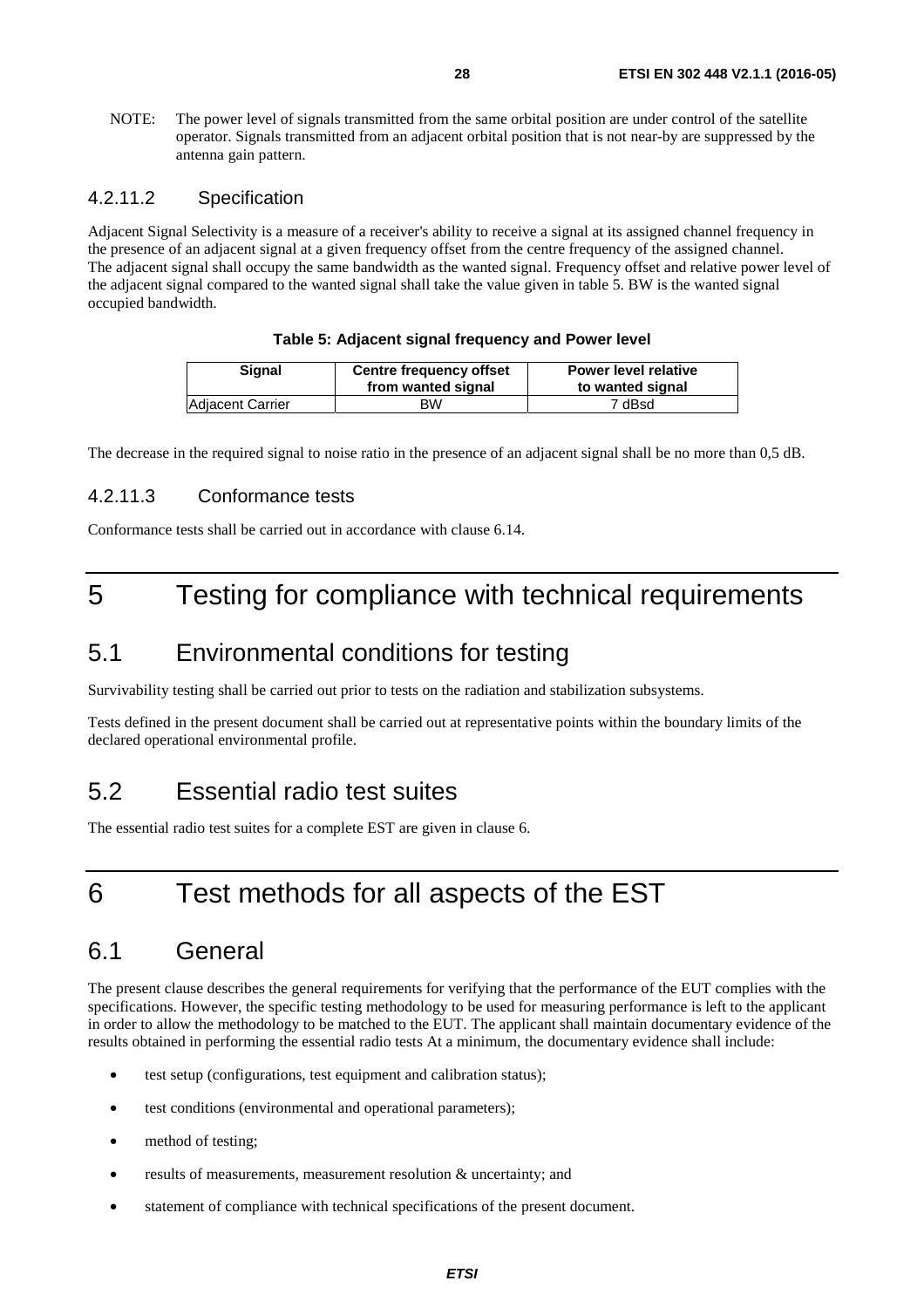<span id="page-27-0"></span>NOTE: The power level of signals transmitted from the same orbital position are under control of the satellite operator. Signals transmitted from an adjacent orbital position that is not near-by are suppressed by the antenna gain pattern.

#### 4.2.11.2 Specification

Adjacent Signal Selectivity is a measure of a receiver's ability to receive a signal at its assigned channel frequency in the presence of an adjacent signal at a given frequency offset from the centre frequency of the assigned channel. The adjacent signal shall occupy the same bandwidth as the wanted signal. Frequency offset and relative power level of the adjacent signal compared to the wanted signal shall take the value given in table 5. BW is the wanted signal occupied bandwidth.

#### **Table 5: Adjacent signal frequency and Power level**

| Signal                  | <b>Centre frequency offset</b><br>from wanted signal | <b>Power level relative</b><br>to wanted signal |
|-------------------------|------------------------------------------------------|-------------------------------------------------|
| <b>Adjacent Carrier</b> | ВW                                                   | 7 dBsd                                          |

The decrease in the required signal to noise ratio in the presence of an adjacent signal shall be no more than 0,5 dB.

#### 4.2.11.3 Conformance tests

Conformance tests shall be carried out in accordance with clause 6.14.

# 5 Testing for compliance with technical requirements

# 5.1 Environmental conditions for testing

Survivability testing shall be carried out prior to tests on the radiation and stabilization subsystems.

Tests defined in the present document shall be carried out at representative points within the boundary limits of the declared operational environmental profile.

# 5.2 Essential radio test suites

The essential radio test suites for a complete EST are given in clause 6.

# 6 Test methods for all aspects of the EST

# 6.1 General

The present clause describes the general requirements for verifying that the performance of the EUT complies with the specifications. However, the specific testing methodology to be used for measuring performance is left to the applicant in order to allow the methodology to be matched to the EUT. The applicant shall maintain documentary evidence of the results obtained in performing the essential radio tests At a minimum, the documentary evidence shall include:

- test setup (configurations, test equipment and calibration status);
- test conditions (environmental and operational parameters);
- method of testing;
- $\bullet$  results of measurements, measurement resolution  $\&$  uncertainty; and
- statement of compliance with technical specifications of the present document.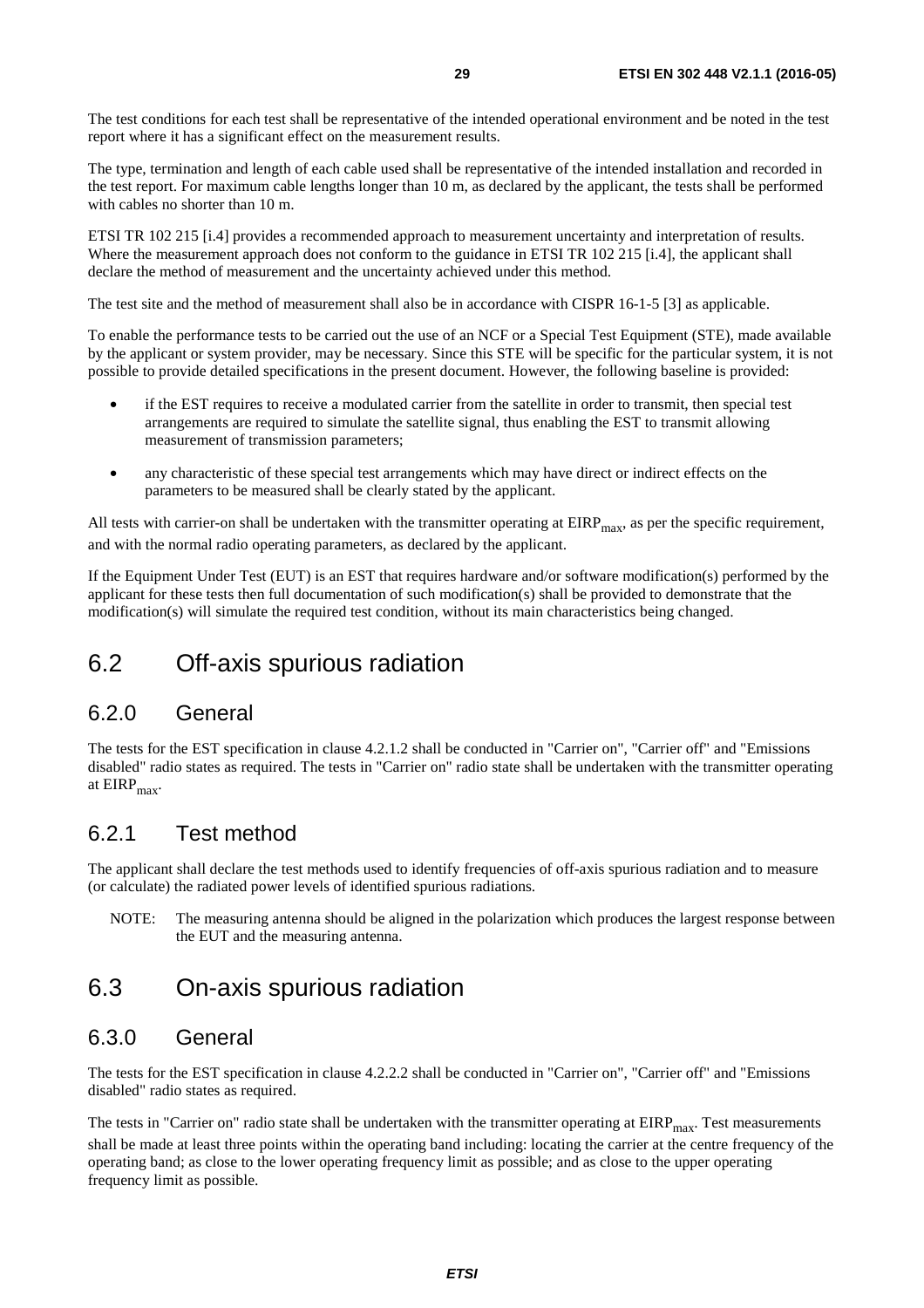<span id="page-28-0"></span>The test conditions for each test shall be representative of the intended operational environment and be noted in the test report where it has a significant effect on the measurement results.

The type, termination and length of each cable used shall be representative of the intended installation and recorded in the test report. For maximum cable lengths longer than 10 m, as declared by the applicant, the tests shall be performed with cables no shorter than 10 m.

ETSI TR 102 215 [[i.4](#page-8-0)] provides a recommended approach to measurement uncertainty and interpretation of results. Where the measurement approach does not conform to the guidance in ETSI TR 102 215 [[i.4](#page-8-0)], the applicant shall declare the method of measurement and the uncertainty achieved under this method.

The test site and the method of measurement shall also be in accordance with CISPR 16-1-5 [\[3](#page-7-0)] as applicable.

To enable the performance tests to be carried out the use of an NCF or a Special Test Equipment (STE), made available by the applicant or system provider, may be necessary. Since this STE will be specific for the particular system, it is not possible to provide detailed specifications in the present document. However, the following baseline is provided:

- if the EST requires to receive a modulated carrier from the satellite in order to transmit, then special test arrangements are required to simulate the satellite signal, thus enabling the EST to transmit allowing measurement of transmission parameters;
- any characteristic of these special test arrangements which may have direct or indirect effects on the parameters to be measured shall be clearly stated by the applicant.

All tests with carrier-on shall be undertaken with the transmitter operating at  $EIRP<sub>max</sub>$ , as per the specific requirement, and with the normal radio operating parameters, as declared by the applicant.

If the Equipment Under Test (EUT) is an EST that requires hardware and/or software modification(s) performed by the applicant for these tests then full documentation of such modification(s) shall be provided to demonstrate that the modification(s) will simulate the required test condition, without its main characteristics being changed.

# 6.2 Off-axis spurious radiation

## 6.2.0 General

The tests for the EST specification in clause 4.2.1.2 shall be conducted in "Carrier on", "Carrier off" and "Emissions disabled" radio states as required. The tests in "Carrier on" radio state shall be undertaken with the transmitter operating at  $EIRP<sub>max</sub>$ .

# 6.2.1 Test method

The applicant shall declare the test methods used to identify frequencies of off-axis spurious radiation and to measure (or calculate) the radiated power levels of identified spurious radiations.

NOTE: The measuring antenna should be aligned in the polarization which produces the largest response between the EUT and the measuring antenna.

# 6.3 On-axis spurious radiation

### 6.3.0 General

The tests for the EST specification in clause 4.2.2.2 shall be conducted in "Carrier on", "Carrier off" and "Emissions disabled" radio states as required.

The tests in "Carrier on" radio state shall be undertaken with the transmitter operating at  $EIRP<sub>max</sub>$ . Test measurements shall be made at least three points within the operating band including: locating the carrier at the centre frequency of the operating band; as close to the lower operating frequency limit as possible; and as close to the upper operating frequency limit as possible.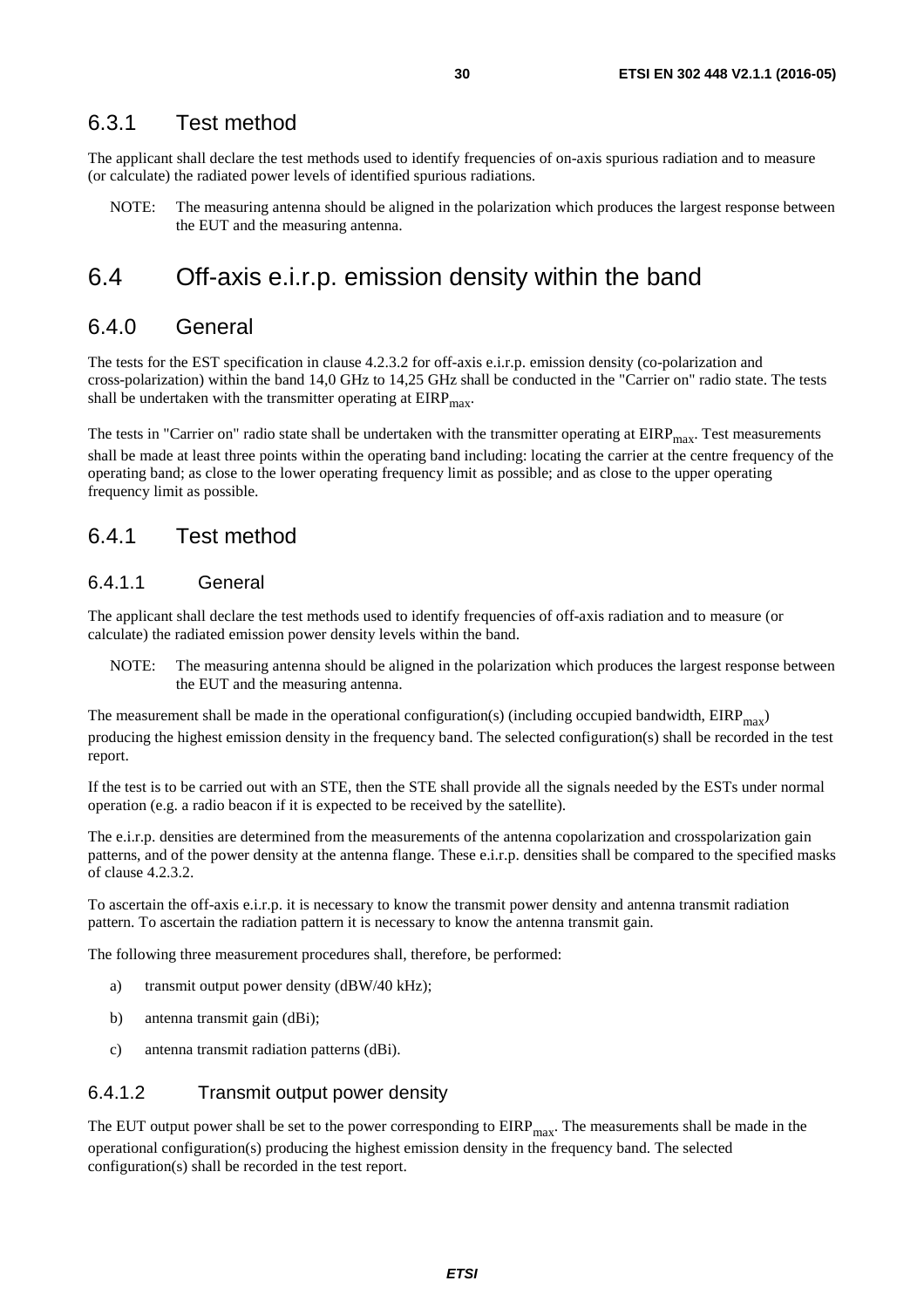#### <span id="page-29-0"></span>6.3.1 Test method

The applicant shall declare the test methods used to identify frequencies of on-axis spurious radiation and to measure (or calculate) the radiated power levels of identified spurious radiations.

NOTE: The measuring antenna should be aligned in the polarization which produces the largest response between the EUT and the measuring antenna.

# 6.4 Off-axis e.i.r.p. emission density within the band

### 6.4.0 General

The tests for the EST specification in clause 4.2.3.2 for off-axis e.i.r.p. emission density (co-polarization and cross-polarization) within the band 14,0 GHz to 14,25 GHz shall be conducted in the "Carrier on" radio state. The tests shall be undertaken with the transmitter operating at  $EIRP<sub>max</sub>$ .

The tests in "Carrier on" radio state shall be undertaken with the transmitter operating at  $EIRP<sub>max</sub>$ . Test measurements shall be made at least three points within the operating band including: locating the carrier at the centre frequency of the operating band; as close to the lower operating frequency limit as possible; and as close to the upper operating frequency limit as possible.

### 6.4.1 Test method

#### 6.4.1.1 General

The applicant shall declare the test methods used to identify frequencies of off-axis radiation and to measure (or calculate) the radiated emission power density levels within the band.

NOTE: The measuring antenna should be aligned in the polarization which produces the largest response between the EUT and the measuring antenna.

The measurement shall be made in the operational configuration(s) (including occupied bandwidth,  $EIRP<sub>max</sub>$ ) producing the highest emission density in the frequency band. The selected configuration(s) shall be recorded in the test report.

If the test is to be carried out with an STE, then the STE shall provide all the signals needed by the ESTs under normal operation (e.g. a radio beacon if it is expected to be received by the satellite).

The e.i.r.p. densities are determined from the measurements of the antenna copolarization and crosspolarization gain patterns, and of the power density at the antenna flange. These e.i.r.p. densities shall be compared to the specified masks of clause 4.2.3.2.

To ascertain the off-axis e.i.r.p. it is necessary to know the transmit power density and antenna transmit radiation pattern. To ascertain the radiation pattern it is necessary to know the antenna transmit gain.

The following three measurement procedures shall, therefore, be performed:

- a) transmit output power density (dBW/40 kHz);
- b) antenna transmit gain (dBi);
- c) antenna transmit radiation patterns (dBi).

#### 6.4.1.2 Transmit output power density

The EUT output power shall be set to the power corresponding to  $EIRP<sub>max</sub>$ . The measurements shall be made in the operational configuration(s) producing the highest emission density in the frequency band. The selected configuration(s) shall be recorded in the test report.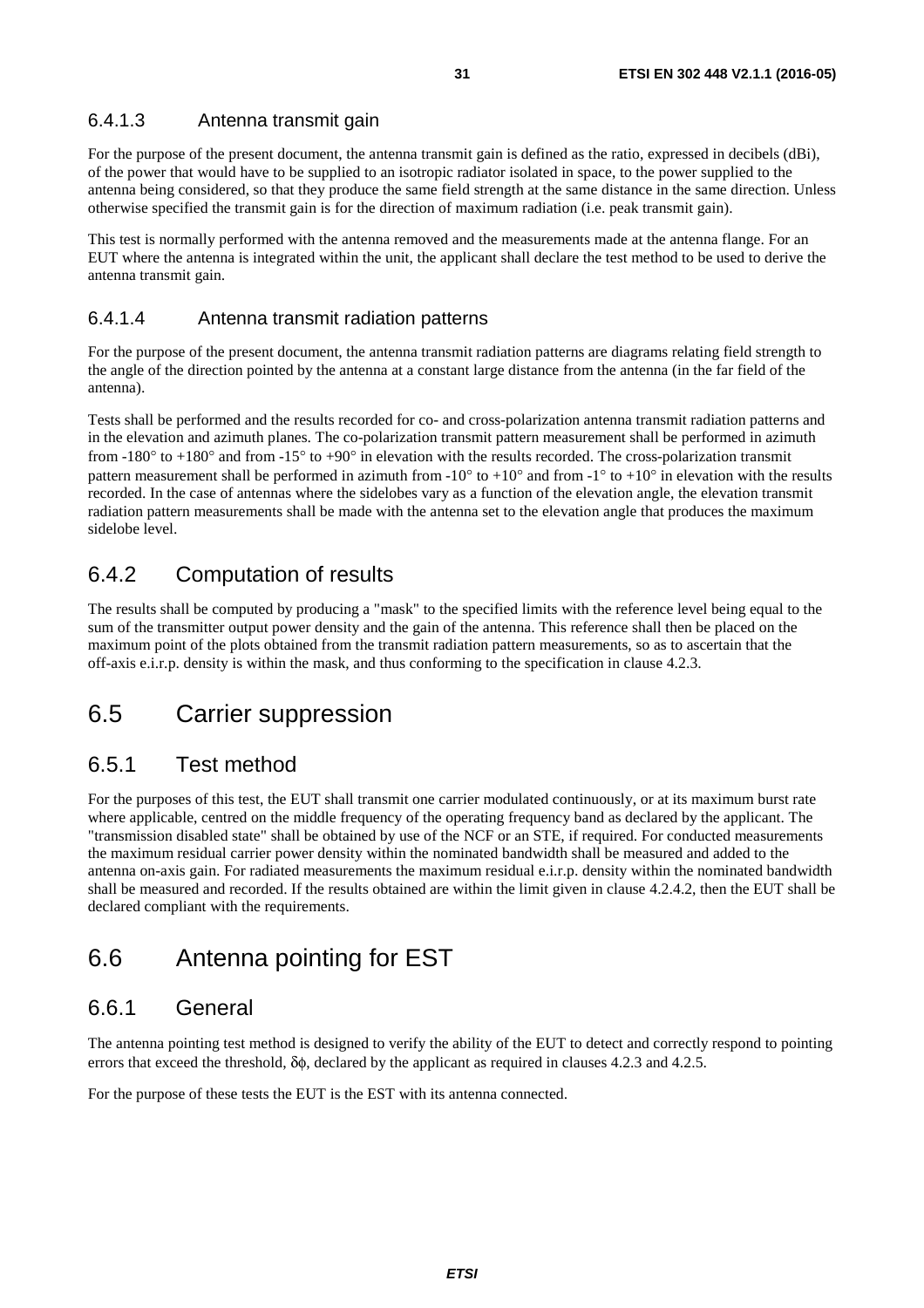### <span id="page-30-0"></span>6.4.1.3 Antenna transmit gain

For the purpose of the present document, the antenna transmit gain is defined as the ratio, expressed in decibels (dBi), of the power that would have to be supplied to an isotropic radiator isolated in space, to the power supplied to the antenna being considered, so that they produce the same field strength at the same distance in the same direction. Unless otherwise specified the transmit gain is for the direction of maximum radiation (i.e. peak transmit gain).

This test is normally performed with the antenna removed and the measurements made at the antenna flange. For an EUT where the antenna is integrated within the unit, the applicant shall declare the test method to be used to derive the antenna transmit gain.

#### 6.4.1.4 Antenna transmit radiation patterns

For the purpose of the present document, the antenna transmit radiation patterns are diagrams relating field strength to the angle of the direction pointed by the antenna at a constant large distance from the antenna (in the far field of the antenna).

Tests shall be performed and the results recorded for co- and cross-polarization antenna transmit radiation patterns and in the elevation and azimuth planes. The co-polarization transmit pattern measurement shall be performed in azimuth from -180° to +180° and from -15° to +90° in elevation with the results recorded. The cross-polarization transmit pattern measurement shall be performed in azimuth from  $-10^{\circ}$  to  $+10^{\circ}$  and from  $-1^{\circ}$  to  $+10^{\circ}$  in elevation with the results recorded. In the case of antennas where the sidelobes vary as a function of the elevation angle, the elevation transmit radiation pattern measurements shall be made with the antenna set to the elevation angle that produces the maximum sidelobe level.

# 6.4.2 Computation of results

The results shall be computed by producing a "mask" to the specified limits with the reference level being equal to the sum of the transmitter output power density and the gain of the antenna. This reference shall then be placed on the maximum point of the plots obtained from the transmit radiation pattern measurements, so as to ascertain that the off-axis e.i.r.p. density is within the mask, and thus conforming to the specification in clause 4.2.3.

# 6.5 Carrier suppression

## 6.5.1 Test method

For the purposes of this test, the EUT shall transmit one carrier modulated continuously, or at its maximum burst rate where applicable, centred on the middle frequency of the operating frequency band as declared by the applicant. The "transmission disabled state" shall be obtained by use of the NCF or an STE, if required. For conducted measurements the maximum residual carrier power density within the nominated bandwidth shall be measured and added to the antenna on-axis gain. For radiated measurements the maximum residual e.i.r.p. density within the nominated bandwidth shall be measured and recorded. If the results obtained are within the limit given in clause 4.2.4.2, then the EUT shall be declared compliant with the requirements.

# 6.6 Antenna pointing for EST

### 6.6.1 General

The antenna pointing test method is designed to verify the ability of the EUT to detect and correctly respond to pointing errors that exceed the threshold, δφ, declared by the applicant as required in clauses 4.2.3 and 4.2.5.

For the purpose of these tests the EUT is the EST with its antenna connected.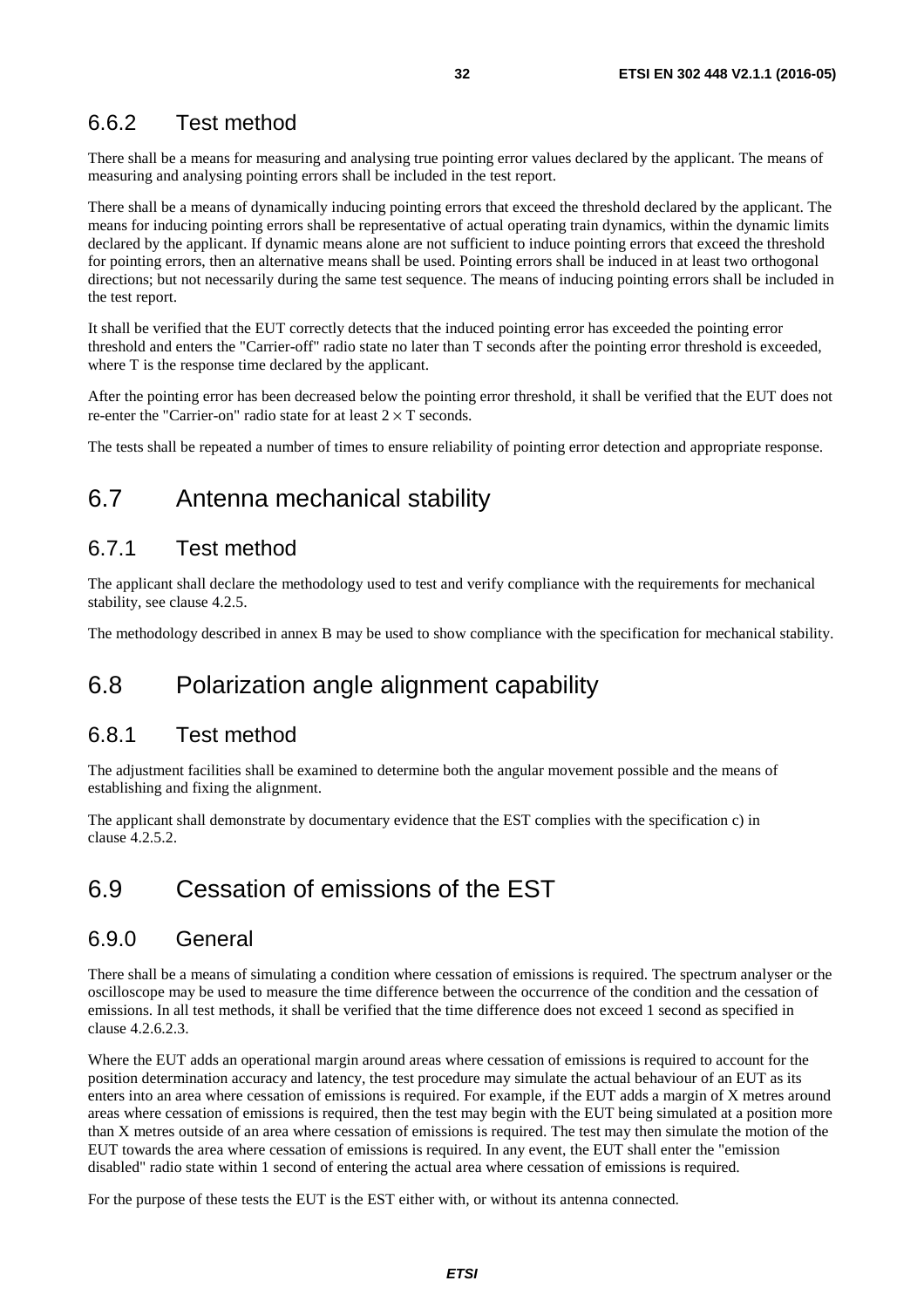# <span id="page-31-0"></span>6.6.2 Test method

There shall be a means for measuring and analysing true pointing error values declared by the applicant. The means of measuring and analysing pointing errors shall be included in the test report.

There shall be a means of dynamically inducing pointing errors that exceed the threshold declared by the applicant. The means for inducing pointing errors shall be representative of actual operating train dynamics, within the dynamic limits declared by the applicant. If dynamic means alone are not sufficient to induce pointing errors that exceed the threshold for pointing errors, then an alternative means shall be used. Pointing errors shall be induced in at least two orthogonal directions; but not necessarily during the same test sequence. The means of inducing pointing errors shall be included in the test report.

It shall be verified that the EUT correctly detects that the induced pointing error has exceeded the pointing error threshold and enters the "Carrier-off" radio state no later than T seconds after the pointing error threshold is exceeded, where T is the response time declared by the applicant.

After the pointing error has been decreased below the pointing error threshold, it shall be verified that the EUT does not re-enter the "Carrier-on" radio state for at least  $2 \times T$  seconds.

The tests shall be repeated a number of times to ensure reliability of pointing error detection and appropriate response.

# 6.7 Antenna mechanical stability

# 6.7.1 Test method

The applicant shall declare the methodology used to test and verify compliance with the requirements for mechanical stability, see clause 4.2.5.

The methodology described in annex B may be used to show compliance with the specification for mechanical stability.

# 6.8 Polarization angle alignment capability

### 6.8.1 Test method

The adjustment facilities shall be examined to determine both the angular movement possible and the means of establishing and fixing the alignment.

The applicant shall demonstrate by documentary evidence that the EST complies with the specification c) in clause 4.2.5.2.

# 6.9 Cessation of emissions of the EST

### 6.9.0 General

There shall be a means of simulating a condition where cessation of emissions is required. The spectrum analyser or the oscilloscope may be used to measure the time difference between the occurrence of the condition and the cessation of emissions. In all test methods, it shall be verified that the time difference does not exceed 1 second as specified in clause 4.2.6.2.3.

Where the EUT adds an operational margin around areas where cessation of emissions is required to account for the position determination accuracy and latency, the test procedure may simulate the actual behaviour of an EUT as its enters into an area where cessation of emissions is required. For example, if the EUT adds a margin of X metres around areas where cessation of emissions is required, then the test may begin with the EUT being simulated at a position more than X metres outside of an area where cessation of emissions is required. The test may then simulate the motion of the EUT towards the area where cessation of emissions is required. In any event, the EUT shall enter the "emission disabled" radio state within 1 second of entering the actual area where cessation of emissions is required.

For the purpose of these tests the EUT is the EST either with, or without its antenna connected.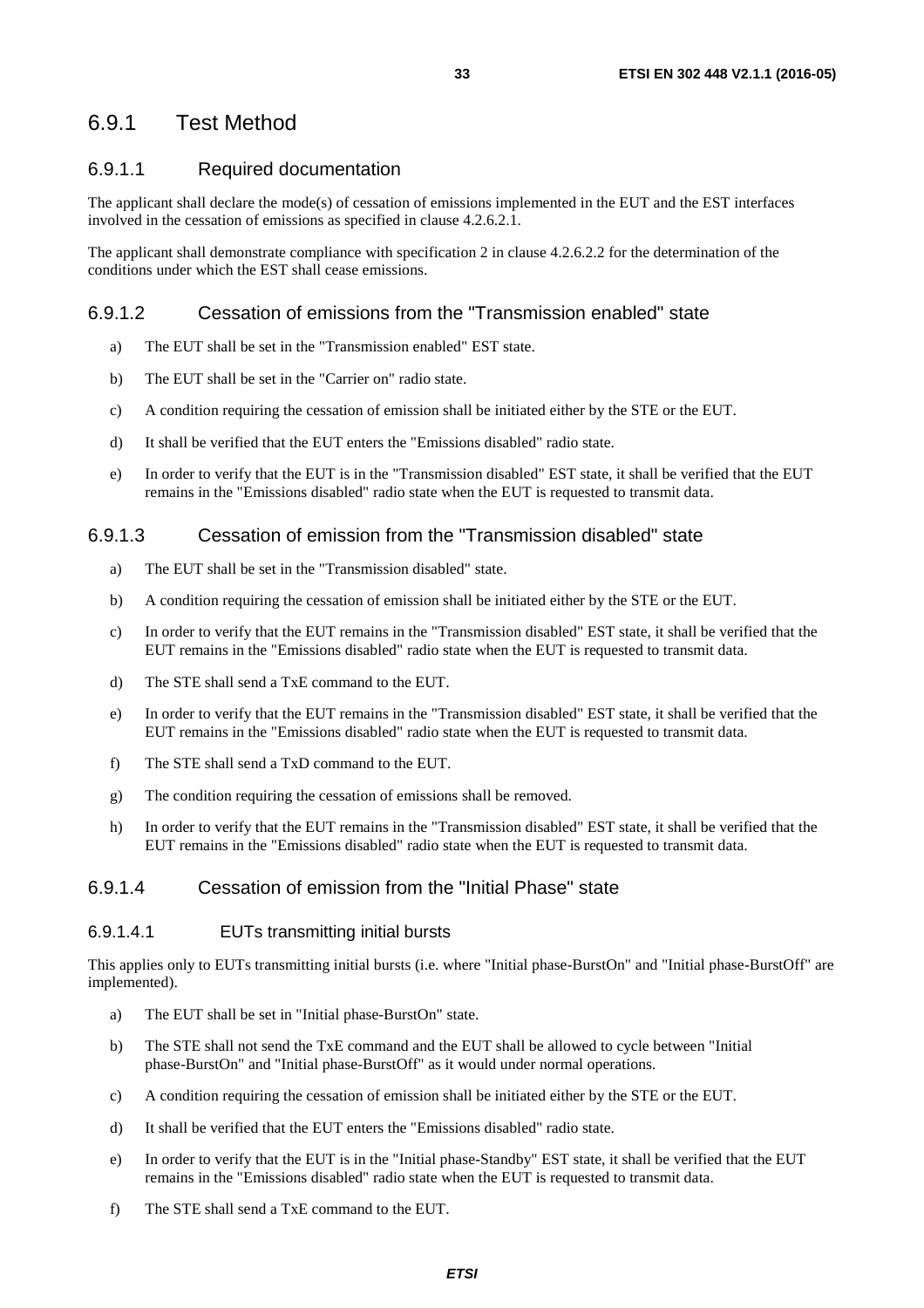# <span id="page-32-0"></span>6.9.1 Test Method

#### 6.9.1.1 Required documentation

The applicant shall declare the mode(s) of cessation of emissions implemented in the EUT and the EST interfaces involved in the cessation of emissions as specified in clause 4.2.6.2.1.

The applicant shall demonstrate compliance with specification 2 in clause 4.2.6.2.2 for the determination of the conditions under which the EST shall cease emissions.

#### 6.9.1.2 Cessation of emissions from the "Transmission enabled" state

- a) The EUT shall be set in the "Transmission enabled" EST state.
- b) The EUT shall be set in the "Carrier on" radio state.
- c) A condition requiring the cessation of emission shall be initiated either by the STE or the EUT.
- d) It shall be verified that the EUT enters the "Emissions disabled" radio state.
- e) In order to verify that the EUT is in the "Transmission disabled" EST state, it shall be verified that the EUT remains in the "Emissions disabled" radio state when the EUT is requested to transmit data.

#### 6.9.1.3 Cessation of emission from the "Transmission disabled" state

- a) The EUT shall be set in the "Transmission disabled" state.
- b) A condition requiring the cessation of emission shall be initiated either by the STE or the EUT.
- c) In order to verify that the EUT remains in the "Transmission disabled" EST state, it shall be verified that the EUT remains in the "Emissions disabled" radio state when the EUT is requested to transmit data.
- d) The STE shall send a TxE command to the EUT.
- e) In order to verify that the EUT remains in the "Transmission disabled" EST state, it shall be verified that the EUT remains in the "Emissions disabled" radio state when the EUT is requested to transmit data.
- f) The STE shall send a TxD command to the EUT.
- g) The condition requiring the cessation of emissions shall be removed.
- h) In order to verify that the EUT remains in the "Transmission disabled" EST state, it shall be verified that the EUT remains in the "Emissions disabled" radio state when the EUT is requested to transmit data.

#### 6.9.1.4 Cessation of emission from the "Initial Phase" state

#### 6.9.1.4.1 EUTs transmitting initial bursts

This applies only to EUTs transmitting initial bursts (i.e. where "Initial phase-BurstOn" and "Initial phase-BurstOff" are implemented).

- a) The EUT shall be set in "Initial phase-BurstOn" state.
- b) The STE shall not send the TxE command and the EUT shall be allowed to cycle between "Initial phase-BurstOn" and "Initial phase-BurstOff" as it would under normal operations.
- c) A condition requiring the cessation of emission shall be initiated either by the STE or the EUT.
- d) It shall be verified that the EUT enters the "Emissions disabled" radio state.
- e) In order to verify that the EUT is in the "Initial phase-Standby" EST state, it shall be verified that the EUT remains in the "Emissions disabled" radio state when the EUT is requested to transmit data.
- f) The STE shall send a TxE command to the EUT.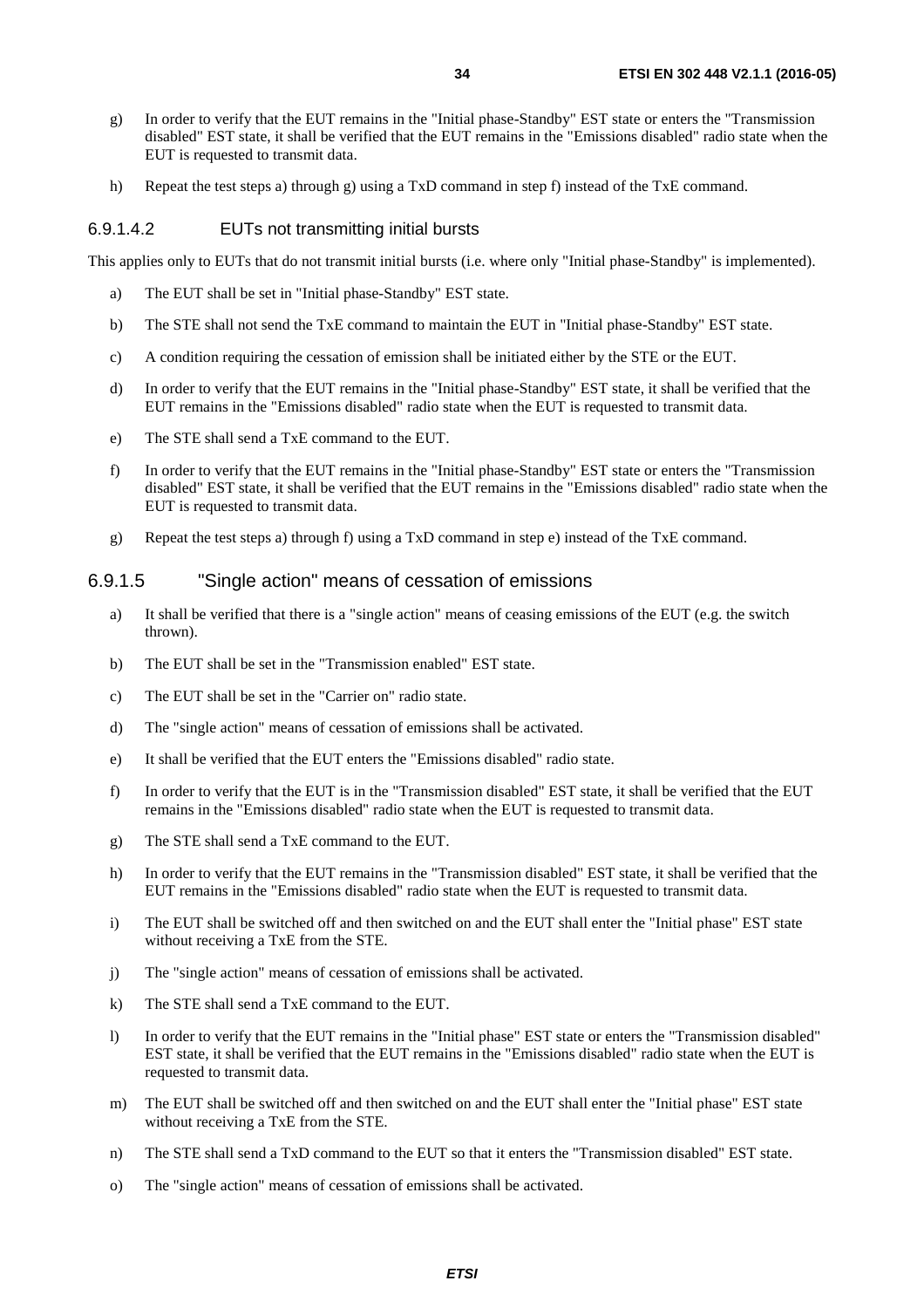- <span id="page-33-0"></span>g) In order to verify that the EUT remains in the "Initial phase-Standby" EST state or enters the "Transmission disabled" EST state, it shall be verified that the EUT remains in the "Emissions disabled" radio state when the EUT is requested to transmit data.
- h) Repeat the test steps a) through g) using a TxD command in step f) instead of the TxE command.

#### 6.9.1.4.2 EUTs not transmitting initial bursts

This applies only to EUTs that do not transmit initial bursts (i.e. where only "Initial phase-Standby" is implemented).

- a) The EUT shall be set in "Initial phase-Standby" EST state.
- b) The STE shall not send the TxE command to maintain the EUT in "Initial phase-Standby" EST state.
- c) A condition requiring the cessation of emission shall be initiated either by the STE or the EUT.
- d) In order to verify that the EUT remains in the "Initial phase-Standby" EST state, it shall be verified that the EUT remains in the "Emissions disabled" radio state when the EUT is requested to transmit data.
- e) The STE shall send a TxE command to the EUT.
- f) In order to verify that the EUT remains in the "Initial phase-Standby" EST state or enters the "Transmission disabled" EST state, it shall be verified that the EUT remains in the "Emissions disabled" radio state when the EUT is requested to transmit data.
- g) Repeat the test steps a) through f) using a TxD command in step e) instead of the TxE command.

#### 6.9.1.5 "Single action" means of cessation of emissions

- a) It shall be verified that there is a "single action" means of ceasing emissions of the EUT (e.g. the switch thrown).
- b) The EUT shall be set in the "Transmission enabled" EST state.
- c) The EUT shall be set in the "Carrier on" radio state.
- d) The "single action" means of cessation of emissions shall be activated.
- e) It shall be verified that the EUT enters the "Emissions disabled" radio state.
- f) In order to verify that the EUT is in the "Transmission disabled" EST state, it shall be verified that the EUT remains in the "Emissions disabled" radio state when the EUT is requested to transmit data.
- g) The STE shall send a TxE command to the EUT.
- h) In order to verify that the EUT remains in the "Transmission disabled" EST state, it shall be verified that the EUT remains in the "Emissions disabled" radio state when the EUT is requested to transmit data.
- i) The EUT shall be switched off and then switched on and the EUT shall enter the "Initial phase" EST state without receiving a TxE from the STE.
- j) The "single action" means of cessation of emissions shall be activated.
- k) The STE shall send a TxE command to the EUT.
- l) In order to verify that the EUT remains in the "Initial phase" EST state or enters the "Transmission disabled" EST state, it shall be verified that the EUT remains in the "Emissions disabled" radio state when the EUT is requested to transmit data.
- m) The EUT shall be switched off and then switched on and the EUT shall enter the "Initial phase" EST state without receiving a TxE from the STE.
- n) The STE shall send a TxD command to the EUT so that it enters the "Transmission disabled" EST state.
- o) The "single action" means of cessation of emissions shall be activated.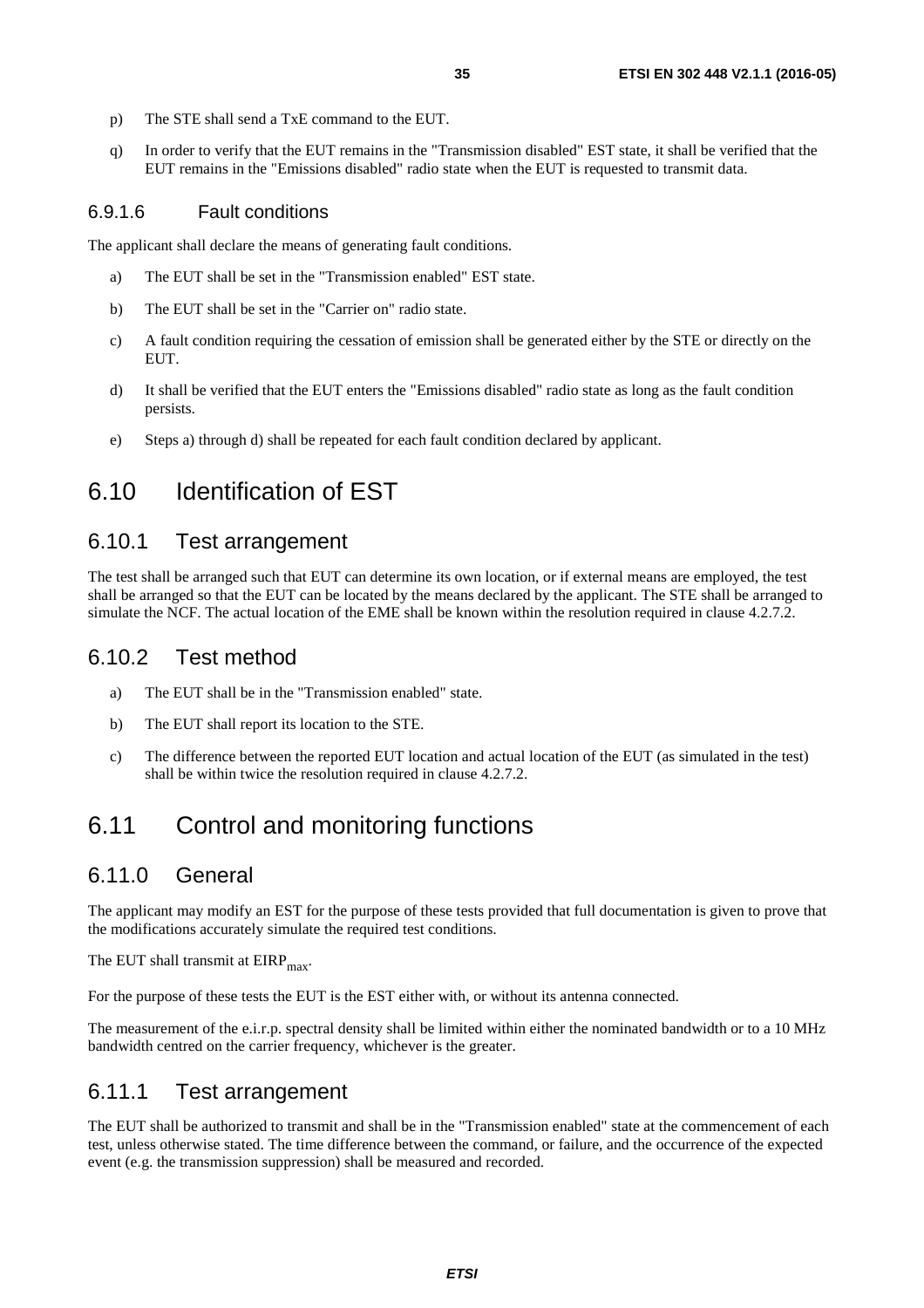- <span id="page-34-0"></span>p) The STE shall send a TxE command to the EUT.
- q) In order to verify that the EUT remains in the "Transmission disabled" EST state, it shall be verified that the EUT remains in the "Emissions disabled" radio state when the EUT is requested to transmit data.

#### 6.9.1.6 Fault conditions

The applicant shall declare the means of generating fault conditions.

- a) The EUT shall be set in the "Transmission enabled" EST state.
- b) The EUT shall be set in the "Carrier on" radio state.
- c) A fault condition requiring the cessation of emission shall be generated either by the STE or directly on the EUT.
- d) It shall be verified that the EUT enters the "Emissions disabled" radio state as long as the fault condition persists.
- e) Steps a) through d) shall be repeated for each fault condition declared by applicant.

# 6.10 Identification of EST

### 6.10.1 Test arrangement

The test shall be arranged such that EUT can determine its own location, or if external means are employed, the test shall be arranged so that the EUT can be located by the means declared by the applicant. The STE shall be arranged to simulate the NCF. The actual location of the EME shall be known within the resolution required in clause 4.2.7.2.

#### 6.10.2 Test method

- a) The EUT shall be in the "Transmission enabled" state.
- b) The EUT shall report its location to the STE.
- c) The difference between the reported EUT location and actual location of the EUT (as simulated in the test) shall be within twice the resolution required in clause 4.2.7.2.

# 6.11 Control and monitoring functions

### 6.11.0 General

The applicant may modify an EST for the purpose of these tests provided that full documentation is given to prove that the modifications accurately simulate the required test conditions.

The EUT shall transmit at  $EIRP<sub>max</sub>$ .

For the purpose of these tests the EUT is the EST either with, or without its antenna connected.

The measurement of the e.i.r.p. spectral density shall be limited within either the nominated bandwidth or to a 10 MHz bandwidth centred on the carrier frequency, whichever is the greater.

### 6.11.1 Test arrangement

The EUT shall be authorized to transmit and shall be in the "Transmission enabled" state at the commencement of each test, unless otherwise stated. The time difference between the command, or failure, and the occurrence of the expected event (e.g. the transmission suppression) shall be measured and recorded.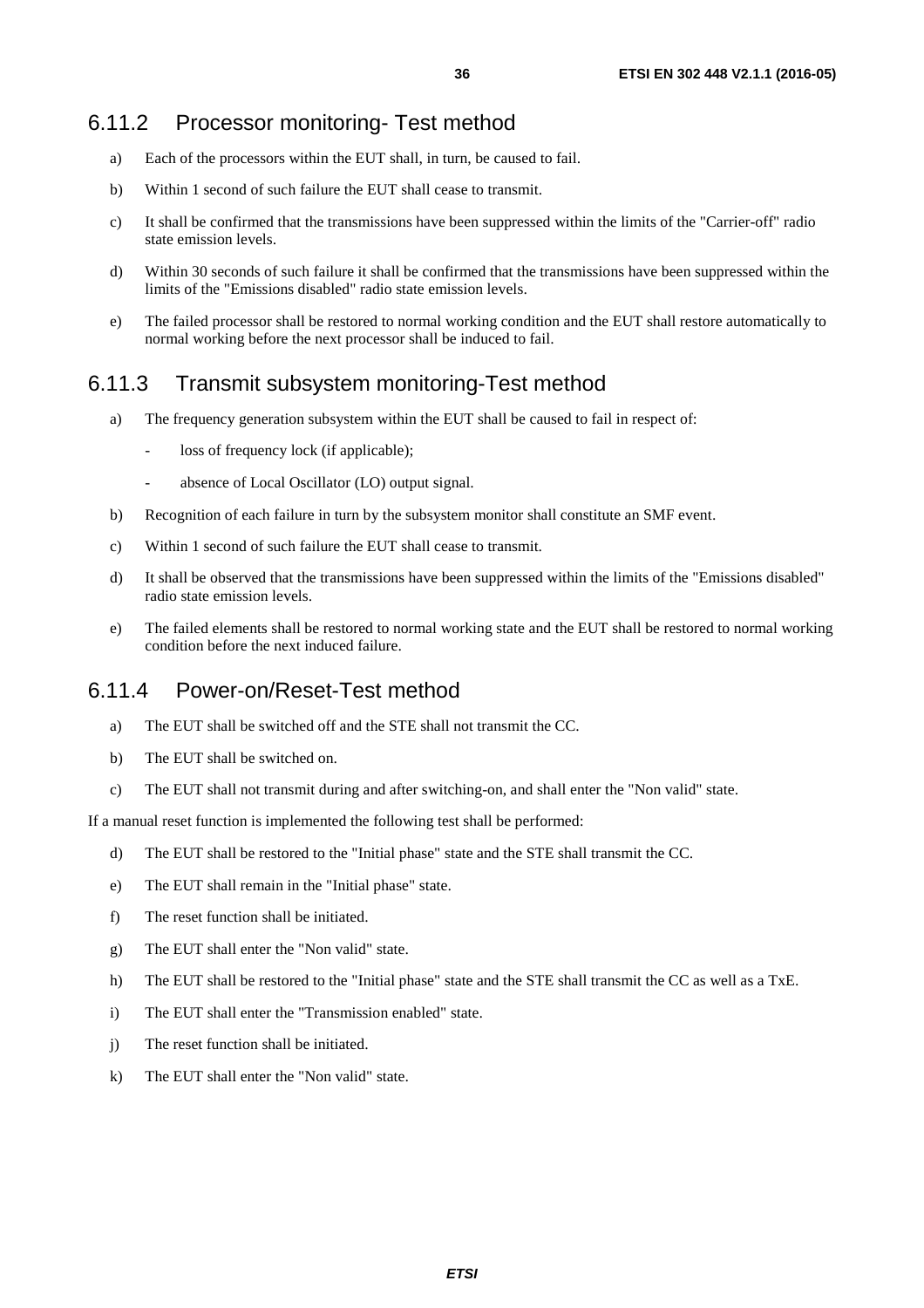## <span id="page-35-0"></span>6.11.2 Processor monitoring- Test method

- a) Each of the processors within the EUT shall, in turn, be caused to fail.
- b) Within 1 second of such failure the EUT shall cease to transmit.
- c) It shall be confirmed that the transmissions have been suppressed within the limits of the "Carrier-off" radio state emission levels.
- d) Within 30 seconds of such failure it shall be confirmed that the transmissions have been suppressed within the limits of the "Emissions disabled" radio state emission levels.
- e) The failed processor shall be restored to normal working condition and the EUT shall restore automatically to normal working before the next processor shall be induced to fail.

# 6.11.3 Transmit subsystem monitoring-Test method

- a) The frequency generation subsystem within the EUT shall be caused to fail in respect of:
	- loss of frequency lock (if applicable);
	- absence of Local Oscillator (LO) output signal.
- b) Recognition of each failure in turn by the subsystem monitor shall constitute an SMF event.
- c) Within 1 second of such failure the EUT shall cease to transmit.
- d) It shall be observed that the transmissions have been suppressed within the limits of the "Emissions disabled" radio state emission levels.
- e) The failed elements shall be restored to normal working state and the EUT shall be restored to normal working condition before the next induced failure.

### 6.11.4 Power-on/Reset-Test method

- a) The EUT shall be switched off and the STE shall not transmit the CC.
- b) The EUT shall be switched on.
- c) The EUT shall not transmit during and after switching-on, and shall enter the "Non valid" state.

If a manual reset function is implemented the following test shall be performed:

- d) The EUT shall be restored to the "Initial phase" state and the STE shall transmit the CC.
- e) The EUT shall remain in the "Initial phase" state.
- f) The reset function shall be initiated.
- g) The EUT shall enter the "Non valid" state.
- h) The EUT shall be restored to the "Initial phase" state and the STE shall transmit the CC as well as a TxE.
- i) The EUT shall enter the "Transmission enabled" state.
- j) The reset function shall be initiated.
- k) The EUT shall enter the "Non valid" state.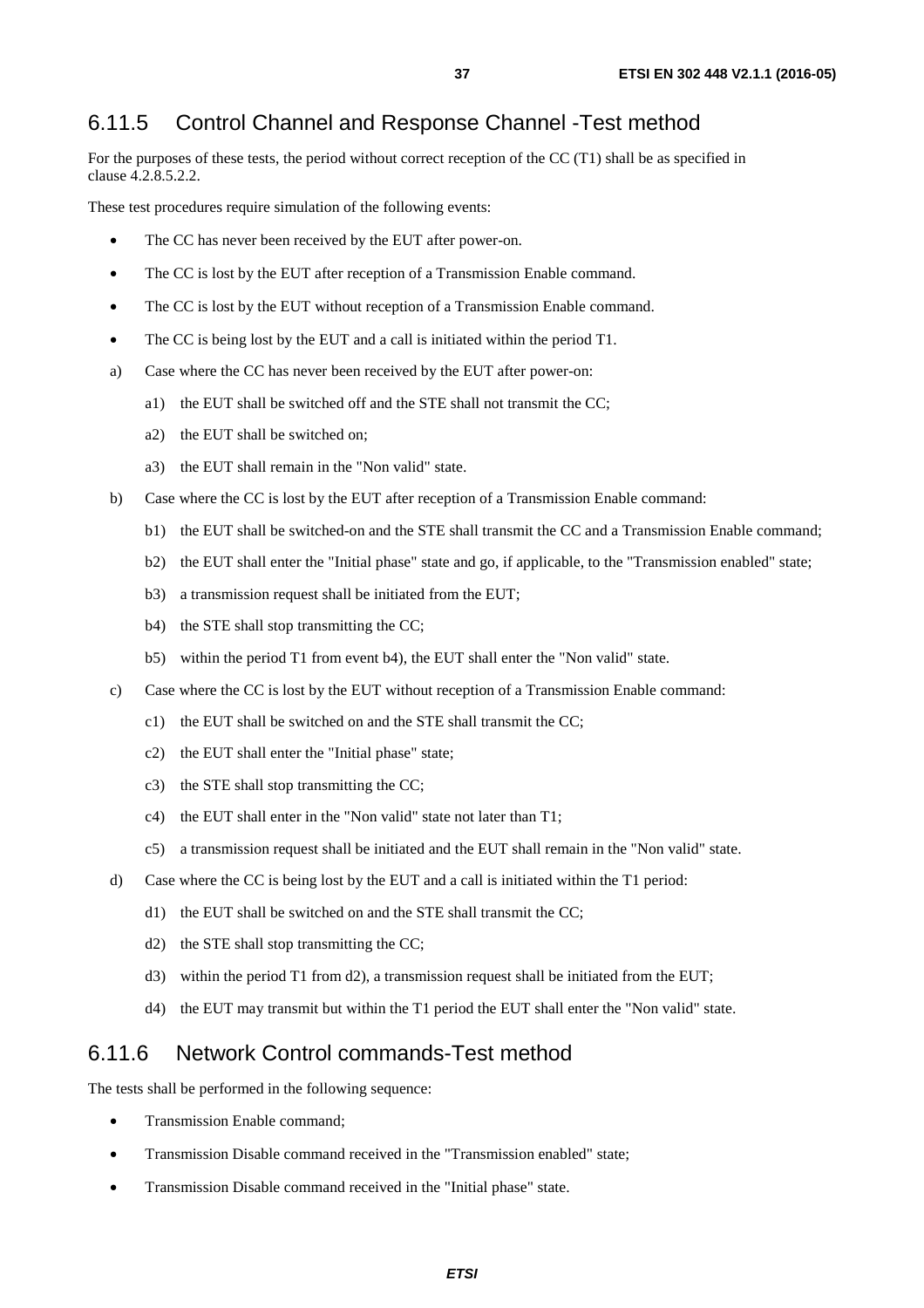# <span id="page-36-0"></span>6.11.5 Control Channel and Response Channel -Test method

For the purposes of these tests, the period without correct reception of the CC (T1) shall be as specified in clause 4.2.8.5.2.2.

These test procedures require simulation of the following events:

- The CC has never been received by the EUT after power-on.
- The CC is lost by the EUT after reception of a Transmission Enable command.
- The CC is lost by the EUT without reception of a Transmission Enable command.
- The CC is being lost by the EUT and a call is initiated within the period T1.
- a) Case where the CC has never been received by the EUT after power-on:
	- a1) the EUT shall be switched off and the STE shall not transmit the CC;
	- a2) the EUT shall be switched on;
	- a3) the EUT shall remain in the "Non valid" state.
- b) Case where the CC is lost by the EUT after reception of a Transmission Enable command:
	- b1) the EUT shall be switched-on and the STE shall transmit the CC and a Transmission Enable command;
	- b2) the EUT shall enter the "Initial phase" state and go, if applicable, to the "Transmission enabled" state;
	- b3) a transmission request shall be initiated from the EUT;
	- b4) the STE shall stop transmitting the CC;
	- b5) within the period T1 from event b4), the EUT shall enter the "Non valid" state.
- c) Case where the CC is lost by the EUT without reception of a Transmission Enable command:
	- c1) the EUT shall be switched on and the STE shall transmit the CC;
	- c2) the EUT shall enter the "Initial phase" state;
	- c3) the STE shall stop transmitting the CC;
	- c4) the EUT shall enter in the "Non valid" state not later than T1;
	- c5) a transmission request shall be initiated and the EUT shall remain in the "Non valid" state.
- d) Case where the CC is being lost by the EUT and a call is initiated within the T1 period:
	- d1) the EUT shall be switched on and the STE shall transmit the CC;
	- d2) the STE shall stop transmitting the CC;
	- d3) within the period T1 from d2), a transmission request shall be initiated from the EUT;
	- d4) the EUT may transmit but within the T1 period the EUT shall enter the "Non valid" state.

### 6.11.6 Network Control commands-Test method

The tests shall be performed in the following sequence:

- Transmission Enable command;
- Transmission Disable command received in the "Transmission enabled" state:
- Transmission Disable command received in the "Initial phase" state.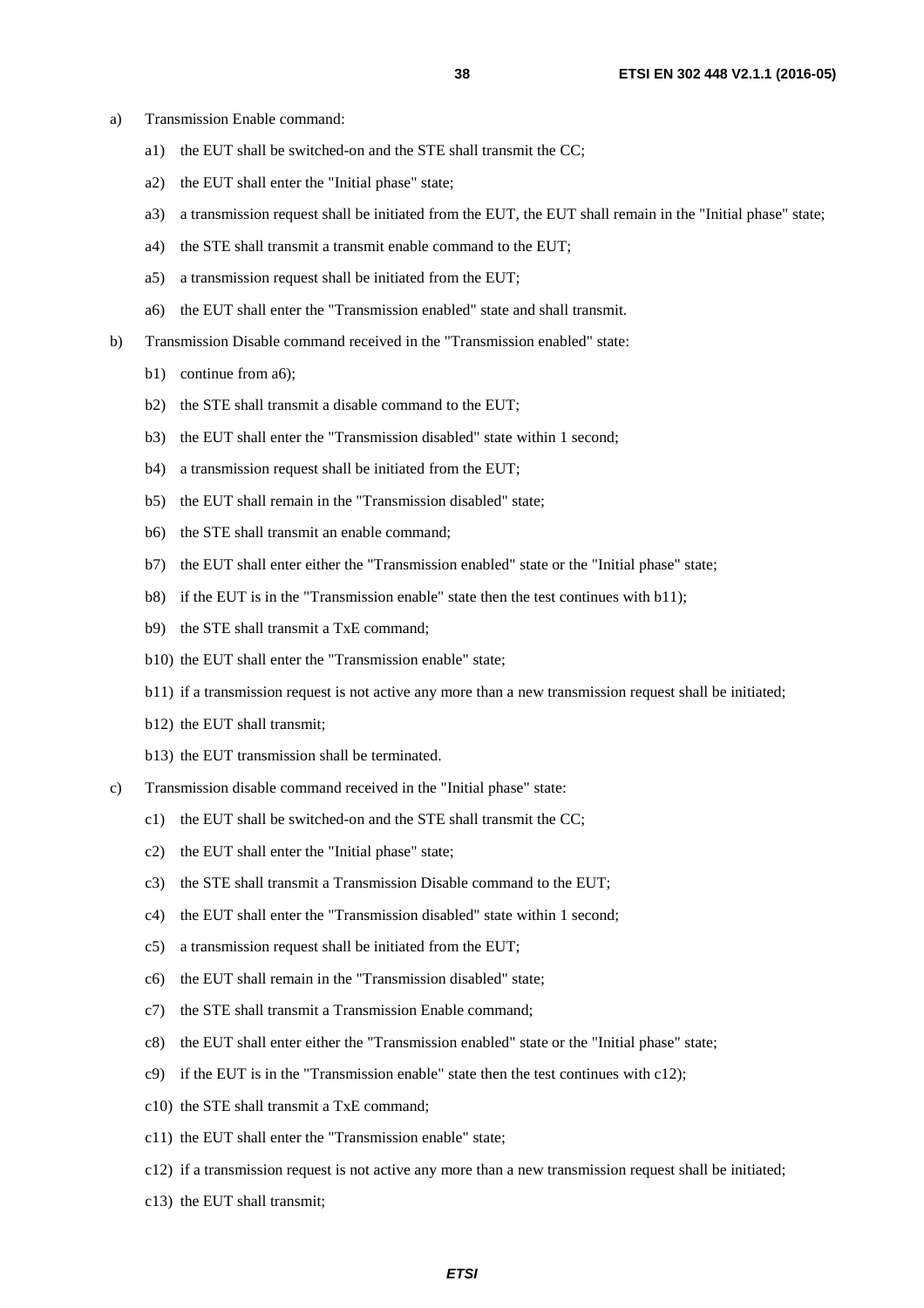- a) Transmission Enable command:
	- a1) the EUT shall be switched-on and the STE shall transmit the CC;
	- a2) the EUT shall enter the "Initial phase" state;
	- a3) a transmission request shall be initiated from the EUT, the EUT shall remain in the "Initial phase" state;
	- a4) the STE shall transmit a transmit enable command to the EUT;
	- a5) a transmission request shall be initiated from the EUT;
	- a6) the EUT shall enter the "Transmission enabled" state and shall transmit.
- b) Transmission Disable command received in the "Transmission enabled" state:
	- b1) continue from a6);
	- b2) the STE shall transmit a disable command to the EUT;
	- b3) the EUT shall enter the "Transmission disabled" state within 1 second;
	- b4) a transmission request shall be initiated from the EUT;
	- b5) the EUT shall remain in the "Transmission disabled" state;
	- b6) the STE shall transmit an enable command;
	- b7) the EUT shall enter either the "Transmission enabled" state or the "Initial phase" state;
	- b8) if the EUT is in the "Transmission enable" state then the test continues with b11);
	- b9) the STE shall transmit a TxE command;
	- b10) the EUT shall enter the "Transmission enable" state;
	- b11) if a transmission request is not active any more than a new transmission request shall be initiated;
	- b12) the EUT shall transmit;
	- b13) the EUT transmission shall be terminated.
- c) Transmission disable command received in the "Initial phase" state:
	- c1) the EUT shall be switched-on and the STE shall transmit the CC;
	- c2) the EUT shall enter the "Initial phase" state;
	- c3) the STE shall transmit a Transmission Disable command to the EUT;
	- c4) the EUT shall enter the "Transmission disabled" state within 1 second;
	- c5) a transmission request shall be initiated from the EUT;
	- c6) the EUT shall remain in the "Transmission disabled" state;
	- c7) the STE shall transmit a Transmission Enable command;
	- c8) the EUT shall enter either the "Transmission enabled" state or the "Initial phase" state;
	- c9) if the EUT is in the "Transmission enable" state then the test continues with c12);
	- c10) the STE shall transmit a TxE command;
	- c11) the EUT shall enter the "Transmission enable" state;
	- c12) if a transmission request is not active any more than a new transmission request shall be initiated;
	- c13) the EUT shall transmit;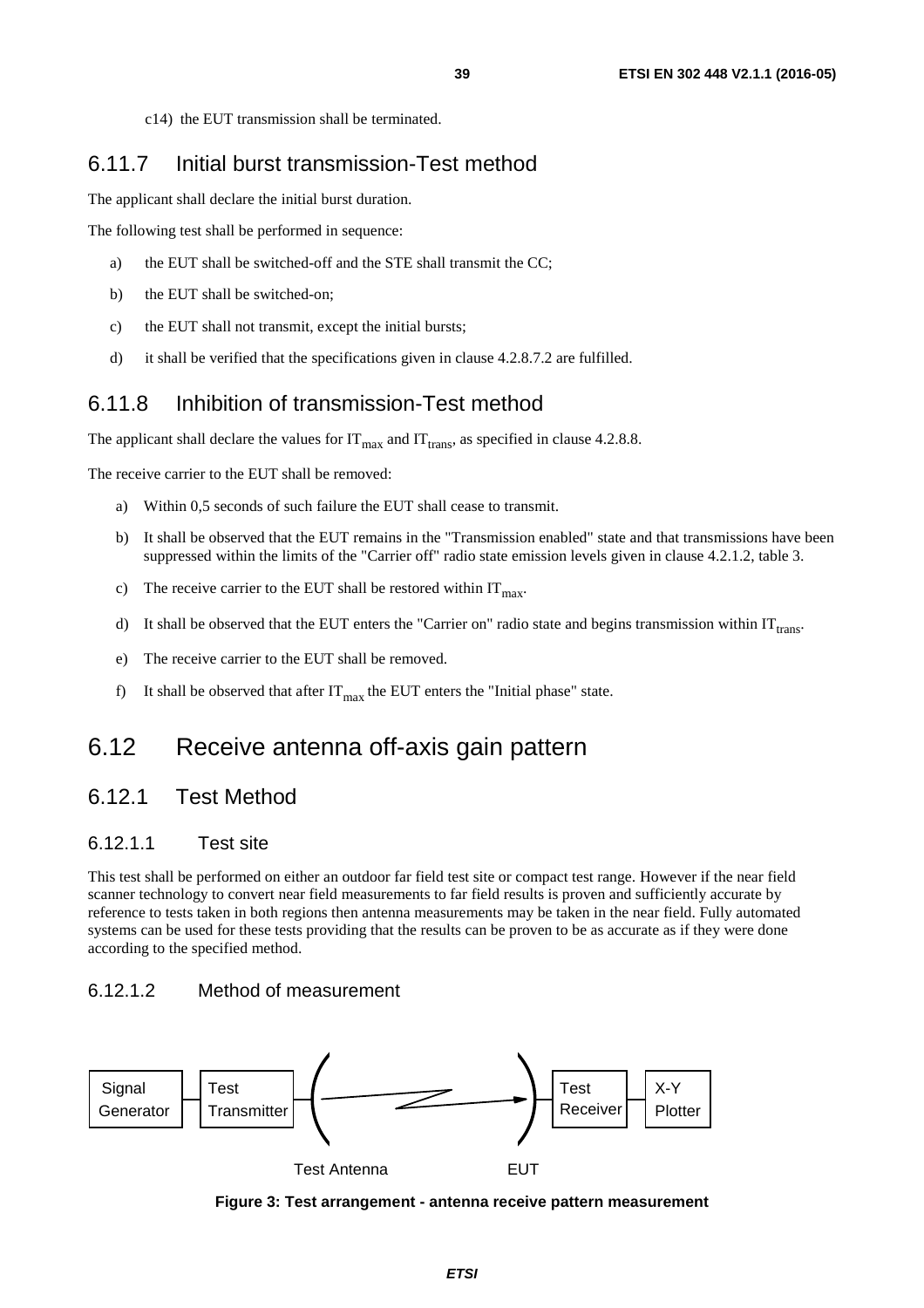c14) the EUT transmission shall be terminated.

# <span id="page-38-0"></span>6.11.7 Initial burst transmission-Test method

The applicant shall declare the initial burst duration.

The following test shall be performed in sequence:

- a) the EUT shall be switched-off and the STE shall transmit the CC;
- b) the EUT shall be switched-on;
- c) the EUT shall not transmit, except the initial bursts;
- d) it shall be verified that the specifications given in clause 4.2.8.7.2 are fulfilled.

# 6.11.8 Inhibition of transmission-Test method

The applicant shall declare the values for  $IT_{max}$  and  $IT_{trans}$ , as specified in clause 4.2.8.8.

The receive carrier to the EUT shall be removed:

- a) Within 0,5 seconds of such failure the EUT shall cease to transmit.
- b) It shall be observed that the EUT remains in the "Transmission enabled" state and that transmissions have been suppressed within the limits of the "Carrier off" radio state emission levels given in clause 4.2.1.2, table 3.
- c) The receive carrier to the EUT shall be restored within  $IT<sub>max</sub>$ .
- d) It shall be observed that the EUT enters the "Carrier on" radio state and begins transmission within  $IT<sub>trans</sub>$ .
- e) The receive carrier to the EUT shall be removed.
- f) It shall be observed that after  $IT_{max}$  the EUT enters the "Initial phase" state.

# 6.12 Receive antenna off-axis gain pattern

# 6.12.1 Test Method

#### 6.12.1.1 Test site

This test shall be performed on either an outdoor far field test site or compact test range. However if the near field scanner technology to convert near field measurements to far field results is proven and sufficiently accurate by reference to tests taken in both regions then antenna measurements may be taken in the near field. Fully automated systems can be used for these tests providing that the results can be proven to be as accurate as if they were done according to the specified method.

### 6.12.1.2 Method of measurement



**Figure 3: Test arrangement - antenna receive pattern measurement**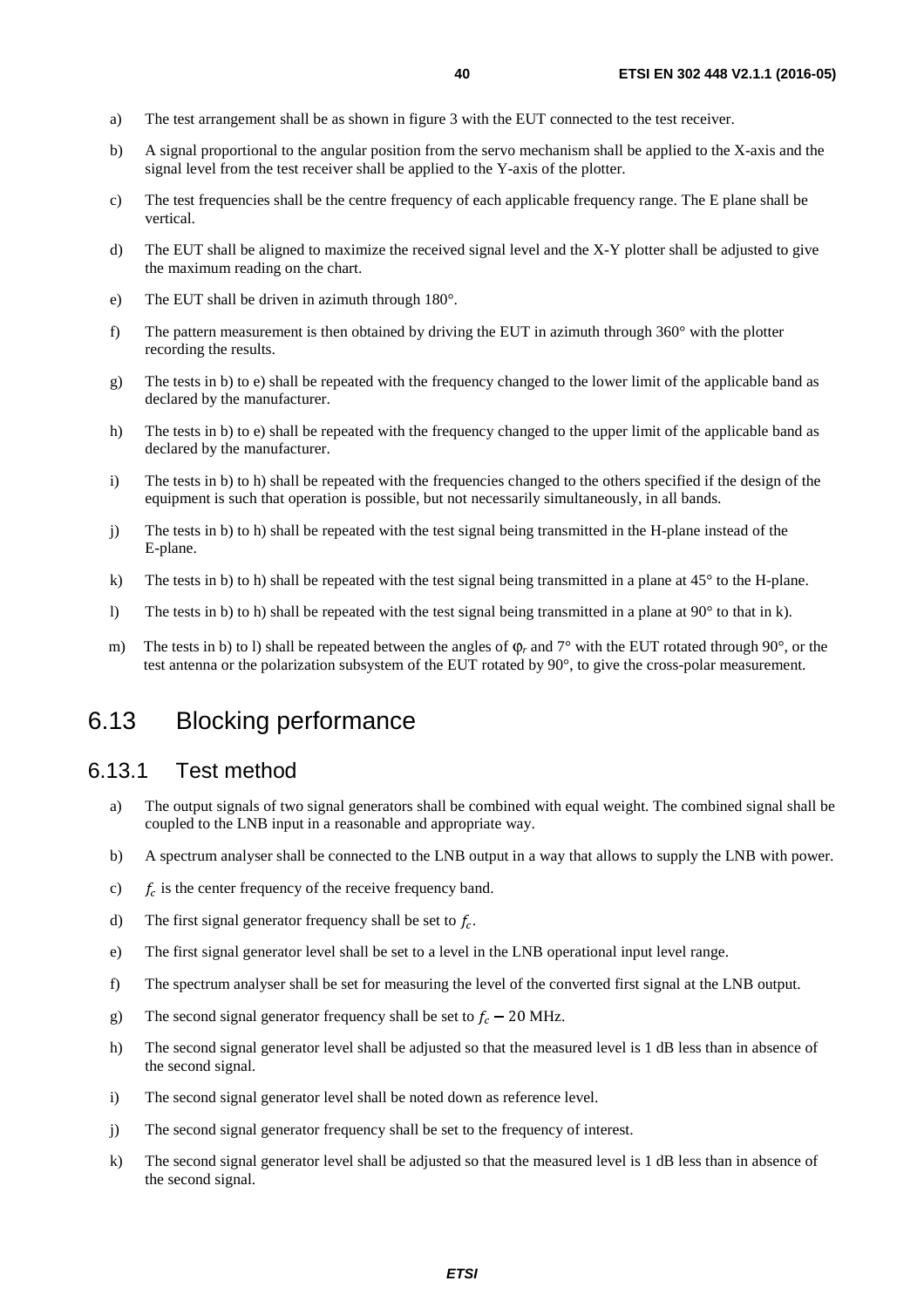- <span id="page-39-0"></span>a) The test arrangement shall be as shown in figure 3 with the EUT connected to the test receiver.
- b) A signal proportional to the angular position from the servo mechanism shall be applied to the X-axis and the signal level from the test receiver shall be applied to the Y-axis of the plotter.
- c) The test frequencies shall be the centre frequency of each applicable frequency range. The E plane shall be vertical.
- d) The EUT shall be aligned to maximize the received signal level and the X-Y plotter shall be adjusted to give the maximum reading on the chart.
- e) The EUT shall be driven in azimuth through 180°.
- f) The pattern measurement is then obtained by driving the EUT in azimuth through  $360^\circ$  with the plotter recording the results.
- g) The tests in b) to e) shall be repeated with the frequency changed to the lower limit of the applicable band as declared by the manufacturer.
- h) The tests in b) to e) shall be repeated with the frequency changed to the upper limit of the applicable band as declared by the manufacturer.
- i) The tests in b) to h) shall be repeated with the frequencies changed to the others specified if the design of the equipment is such that operation is possible, but not necessarily simultaneously, in all bands.
- j) The tests in b) to h) shall be repeated with the test signal being transmitted in the H-plane instead of the E-plane.
- k) The tests in b) to h) shall be repeated with the test signal being transmitted in a plane at 45° to the H-plane.
- l) The tests in b) to h) shall be repeated with the test signal being transmitted in a plane at 90° to that in k).
- m) The tests in b) to l) shall be repeated between the angles of φ*<sub>r</sub>* and 7<sup>°</sup> with the EUT rotated through 90<sup>°</sup>, or the test antenna or the polarization subsystem of the EUT rotated by 90°, to give the cross-polar measurement.

# 6.13 Blocking performance

# 6.13.1 Test method

- a) The output signals of two signal generators shall be combined with equal weight. The combined signal shall be coupled to the LNB input in a reasonable and appropriate way.
- b) A spectrum analyser shall be connected to the LNB output in a way that allows to supply the LNB with power.
- c)  $f_c$  is the center frequency of the receive frequency band.
- d) The first signal generator frequency shall be set to  $f_c$ .
- e) The first signal generator level shall be set to a level in the LNB operational input level range.
- f) The spectrum analyser shall be set for measuring the level of the converted first signal at the LNB output.
- g) The second signal generator frequency shall be set to  $f_c 20$  MHz.
- h) The second signal generator level shall be adjusted so that the measured level is 1 dB less than in absence of the second signal.
- i) The second signal generator level shall be noted down as reference level.
- j) The second signal generator frequency shall be set to the frequency of interest.
- k) The second signal generator level shall be adjusted so that the measured level is 1 dB less than in absence of the second signal.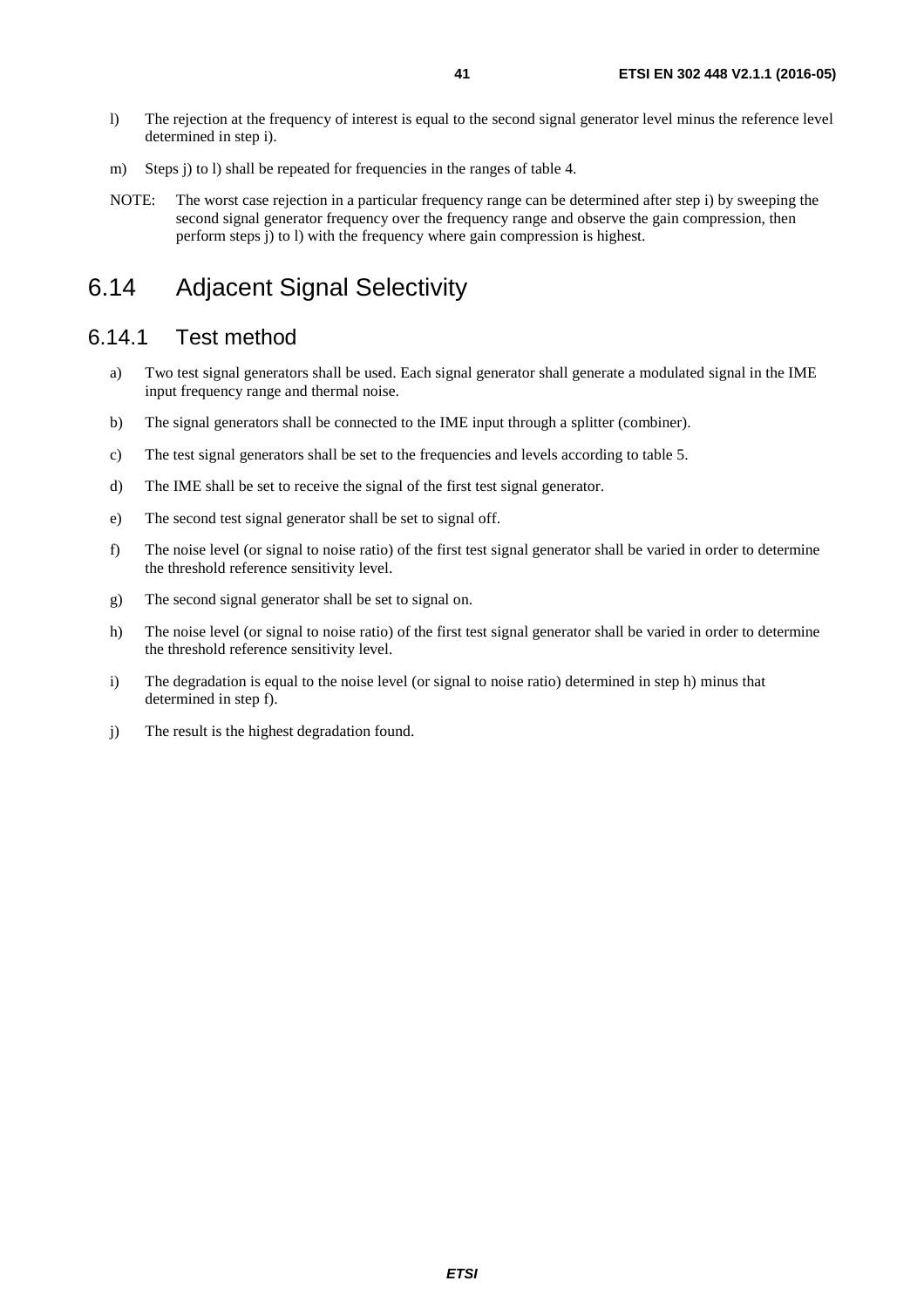- <span id="page-40-0"></span>l) The rejection at the frequency of interest is equal to the second signal generator level minus the reference level determined in step i).
- m) Steps j) to l) shall be repeated for frequencies in the ranges of table 4.
- NOTE: The worst case rejection in a particular frequency range can be determined after step i) by sweeping the second signal generator frequency over the frequency range and observe the gain compression, then perform steps j) to l) with the frequency where gain compression is highest.

# 6.14 Adjacent Signal Selectivity

### 6.14.1 Test method

- a) Two test signal generators shall be used. Each signal generator shall generate a modulated signal in the IME input frequency range and thermal noise.
- b) The signal generators shall be connected to the IME input through a splitter (combiner).
- c) The test signal generators shall be set to the frequencies and levels according to table 5.
- d) The IME shall be set to receive the signal of the first test signal generator.
- e) The second test signal generator shall be set to signal off.
- f) The noise level (or signal to noise ratio) of the first test signal generator shall be varied in order to determine the threshold reference sensitivity level.
- g) The second signal generator shall be set to signal on.
- h) The noise level (or signal to noise ratio) of the first test signal generator shall be varied in order to determine the threshold reference sensitivity level.
- i) The degradation is equal to the noise level (or signal to noise ratio) determined in step h) minus that determined in step f).
- j) The result is the highest degradation found.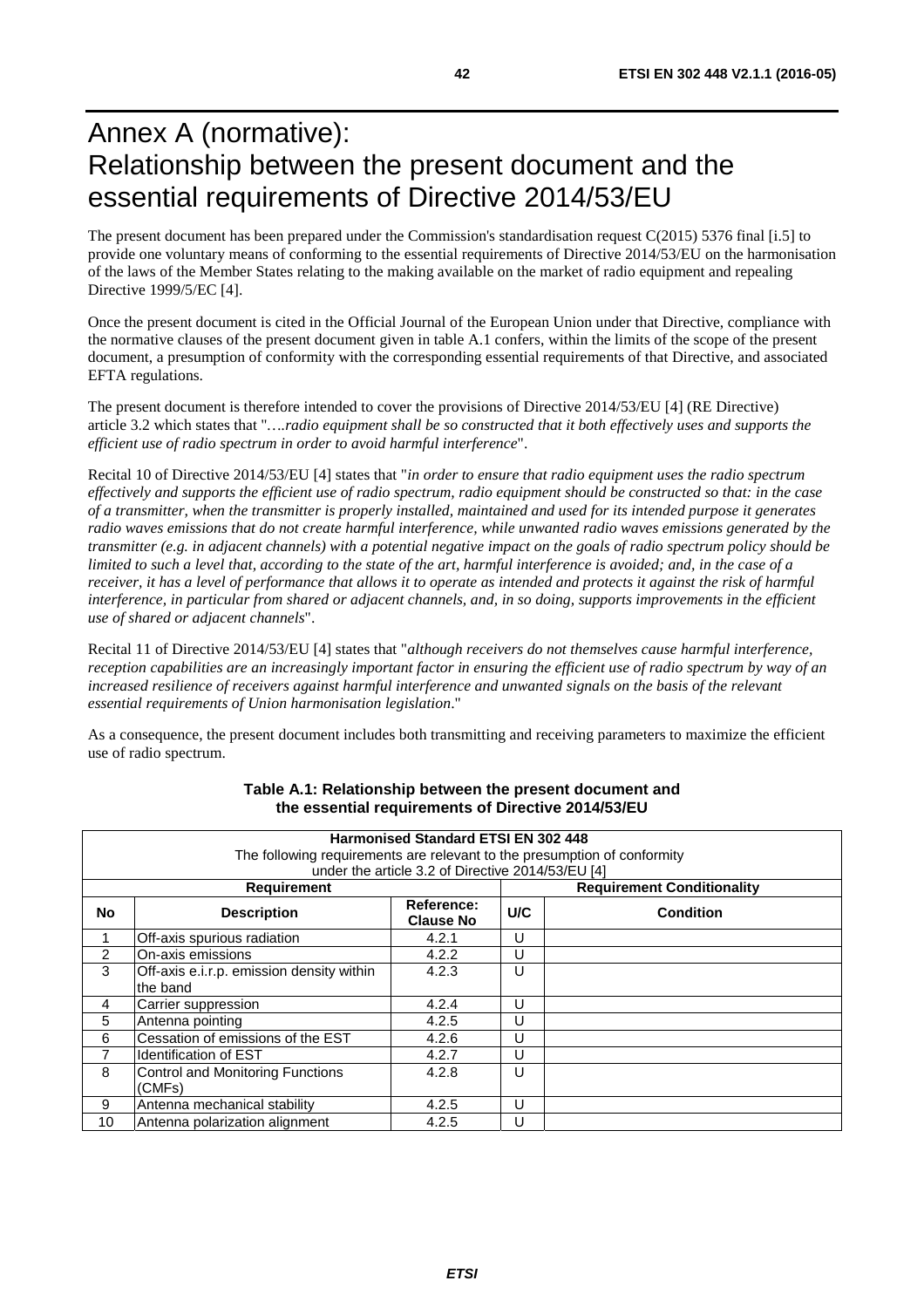# <span id="page-41-0"></span>Annex A (normative): Relationship between the present document and the essential requirements of Directive 2014/53/EU

The present document has been prepared under the Commission's standardisation request C(2015) 5376 final [\[i.5\]](#page-8-0) to provide one voluntary means of conforming to the essential requirements of Directive 2014/53/EU on the harmonisation of the laws of the Member States relating to the making available on the market of radio equipment and repealing Directive 1999/5/EC [\[4](#page-7-0)].

Once the present document is cited in the Official Journal of the European Union under that Directive, compliance with the normative clauses of the present document given in table A.1 confers, within the limits of the scope of the present document, a presumption of conformity with the corresponding essential requirements of that Directive, and associated EFTA regulations.

The present document is therefore intended to cover the provisions of Directive 2014/53/EU [[4\]](#page-7-0) (RE Directive) article 3.2 which states that "*….radio equipment shall be so constructed that it both effectively uses and supports the efficient use of radio spectrum in order to avoid harmful interference*".

Recital 10 of Directive 2014/53/EU [\[4](#page-7-0)] states that "*in order to ensure that radio equipment uses the radio spectrum effectively and supports the efficient use of radio spectrum, radio equipment should be constructed so that: in the case of a transmitter, when the transmitter is properly installed, maintained and used for its intended purpose it generates radio waves emissions that do not create harmful interference, while unwanted radio waves emissions generated by the transmitter (e.g. in adjacent channels) with a potential negative impact on the goals of radio spectrum policy should be limited to such a level that, according to the state of the art, harmful interference is avoided; and, in the case of a receiver, it has a level of performance that allows it to operate as intended and protects it against the risk of harmful interference, in particular from shared or adjacent channels, and, in so doing, supports improvements in the efficient use of shared or adjacent channels*".

Recital 11 of Directive 2014/53/EU [\[4](#page-7-0)] states that "*although receivers do not themselves cause harmful interference, reception capabilities are an increasingly important factor in ensuring the efficient use of radio spectrum by way of an increased resilience of receivers against harmful interference and unwanted signals on the basis of the relevant essential requirements of Union harmonisation legislation*."

As a consequence, the present document includes both transmitting and receiving parameters to maximize the efficient use of radio spectrum.

| <b>Harmonised Standard ETSI EN 302 448</b><br>The following requirements are relevant to the presumption of conformity<br>under the article 3.2 of Directive 2014/53/EU [4] |                                                       |                                |     |                                   |
|-----------------------------------------------------------------------------------------------------------------------------------------------------------------------------|-------------------------------------------------------|--------------------------------|-----|-----------------------------------|
|                                                                                                                                                                             | <b>Requirement</b>                                    |                                |     | <b>Requirement Conditionality</b> |
| No                                                                                                                                                                          | <b>Description</b>                                    | Reference:<br><b>Clause No</b> | U/C | <b>Condition</b>                  |
|                                                                                                                                                                             | Off-axis spurious radiation                           | 4.2.1                          | U   |                                   |
| 2                                                                                                                                                                           | On-axis emissions                                     | 4.2.2                          | U   |                                   |
| 3                                                                                                                                                                           | Off-axis e.i.r.p. emission density within<br>the band | 4.2.3                          | U   |                                   |
| 4                                                                                                                                                                           | Carrier suppression                                   | 4.2.4                          | U   |                                   |
| 5                                                                                                                                                                           | Antenna pointing                                      | 4.2.5                          | U   |                                   |
| 6                                                                                                                                                                           | Cessation of emissions of the EST                     | 4.2.6                          | U   |                                   |
| 7                                                                                                                                                                           | Identification of EST                                 | 4.2.7                          | U   |                                   |
| 8                                                                                                                                                                           | Control and Monitoring Functions<br>(CMFs)            | 4.2.8                          | U   |                                   |
| 9                                                                                                                                                                           | Antenna mechanical stability                          | 4.2.5                          | U   |                                   |
| 10                                                                                                                                                                          | Antenna polarization alignment                        | 4.2.5                          | U   |                                   |

#### **Table A.1: Relationship between the present document and the essential requirements of Directive 2014/53/EU**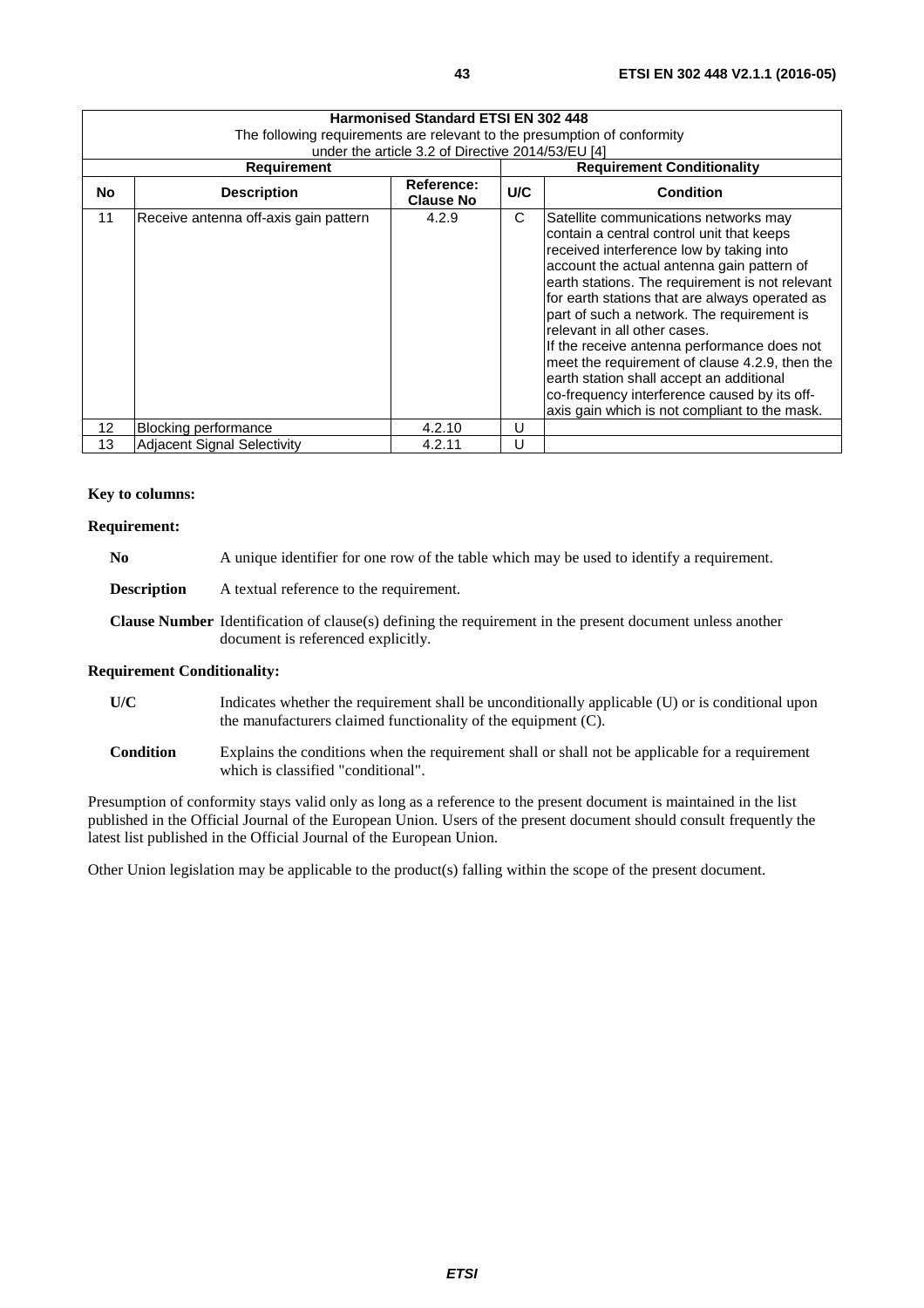| Harmonised Standard ETSI EN 302 448 |                                                                          |                                |     |                                                                                                                                                                                                                                                                                                                                                                                                                                                                                                                                                                                                               |  |
|-------------------------------------|--------------------------------------------------------------------------|--------------------------------|-----|---------------------------------------------------------------------------------------------------------------------------------------------------------------------------------------------------------------------------------------------------------------------------------------------------------------------------------------------------------------------------------------------------------------------------------------------------------------------------------------------------------------------------------------------------------------------------------------------------------------|--|
|                                     | The following reguirements are relevant to the presumption of conformity |                                |     |                                                                                                                                                                                                                                                                                                                                                                                                                                                                                                                                                                                                               |  |
|                                     | under the article 3.2 of Directive 2014/53/EU [4]                        |                                |     |                                                                                                                                                                                                                                                                                                                                                                                                                                                                                                                                                                                                               |  |
|                                     | <b>Requirement</b>                                                       |                                |     | <b>Requirement Conditionality</b>                                                                                                                                                                                                                                                                                                                                                                                                                                                                                                                                                                             |  |
| No                                  | <b>Description</b>                                                       | Reference:<br><b>Clause No</b> | U/C | <b>Condition</b>                                                                                                                                                                                                                                                                                                                                                                                                                                                                                                                                                                                              |  |
| 11                                  | Receive antenna off-axis gain pattern                                    | 4.2.9                          | C   | Satellite communications networks may<br>contain a central control unit that keeps<br>received interference low by taking into<br>account the actual antenna gain pattern of<br>earth stations. The requirement is not relevant<br>for earth stations that are always operated as<br>part of such a network. The requirement is<br>relevant in all other cases.<br>If the receive antenna performance does not<br>meet the requirement of clause 4.2.9, then the<br>earth station shall accept an additional<br>co-frequency interference caused by its off-<br>axis gain which is not compliant to the mask. |  |
| 12                                  | Blocking performance                                                     | 4.2.10                         | U   |                                                                                                                                                                                                                                                                                                                                                                                                                                                                                                                                                                                                               |  |
| 13                                  | <b>Adjacent Signal Selectivity</b>                                       | 4.2.11                         | U   |                                                                                                                                                                                                                                                                                                                                                                                                                                                                                                                                                                                                               |  |

#### **Key to columns:**

#### **Requirement:**

|  | N <sub>0</sub> | A unique identifier for one row of the table which may be used to identify a requirement. |
|--|----------------|-------------------------------------------------------------------------------------------|
|--|----------------|-------------------------------------------------------------------------------------------|

**Description** A textual reference to the requirement.

**Clause Number** Identification of clause(s) defining the requirement in the present document unless another document is referenced explicitly.

#### **Requirement Conditionality:**

- **U/C** Indicates whether the requirement shall be unconditionally applicable (U) or is conditional upon the manufacturers claimed functionality of the equipment (C).
- **Condition** Explains the conditions when the requirement shall or shall not be applicable for a requirement which is classified "conditional".

Presumption of conformity stays valid only as long as a reference to the present document is maintained in the list published in the Official Journal of the European Union. Users of the present document should consult frequently the latest list published in the Official Journal of the European Union.

Other Union legislation may be applicable to the product(s) falling within the scope of the present document.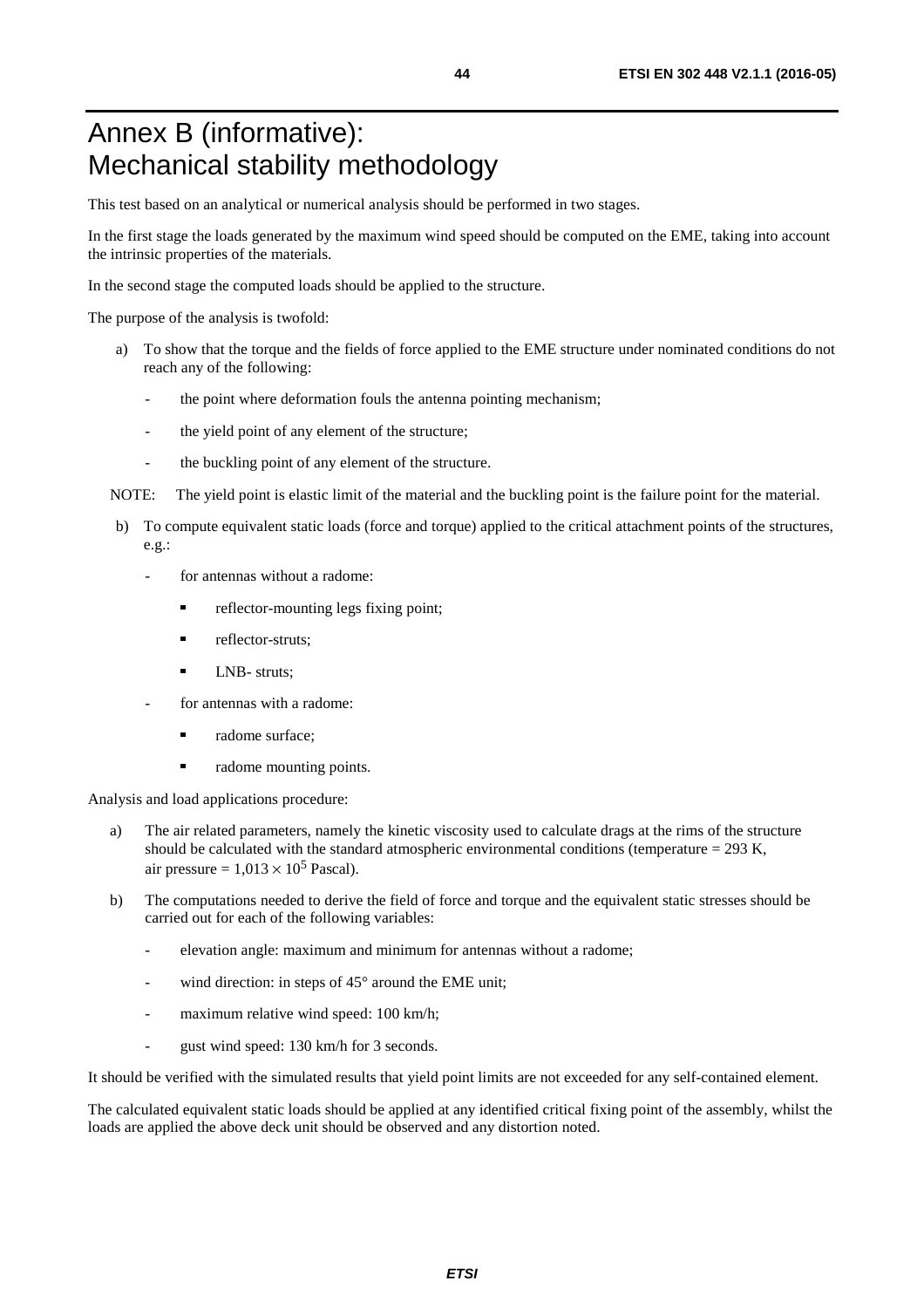# <span id="page-43-0"></span>Annex B (informative): Mechanical stability methodology

This test based on an analytical or numerical analysis should be performed in two stages.

In the first stage the loads generated by the maximum wind speed should be computed on the EME, taking into account the intrinsic properties of the materials.

In the second stage the computed loads should be applied to the structure.

The purpose of the analysis is twofold:

- a) To show that the torque and the fields of force applied to the EME structure under nominated conditions do not reach any of the following:
	- the point where deformation fouls the antenna pointing mechanism;
	- the yield point of any element of the structure;
	- the buckling point of any element of the structure.

NOTE: The yield point is elastic limit of the material and the buckling point is the failure point for the material.

- b) To compute equivalent static loads (force and torque) applied to the critical attachment points of the structures, e.g.:
	- for antennas without a radome:
		- reflector-mounting legs fixing point;
		- reflector-struts;<br> $INR = \frac{N}{r}$
		- LNB- struts;
	- for antennas with a radome:
		- radome surface;
		- radome mounting points.

Analysis and load applications procedure:

- a) The air related parameters, namely the kinetic viscosity used to calculate drags at the rims of the structure should be calculated with the standard atmospheric environmental conditions (temperature  $= 293$  K, air pressure =  $1,013 \times 10^5$  Pascal).
- b) The computations needed to derive the field of force and torque and the equivalent static stresses should be carried out for each of the following variables:
	- elevation angle: maximum and minimum for antennas without a radome;
	- wind direction: in steps of  $45^{\circ}$  around the EME unit;
	- maximum relative wind speed: 100 km/h;
	- gust wind speed: 130 km/h for 3 seconds.

It should be verified with the simulated results that yield point limits are not exceeded for any self-contained element.

The calculated equivalent static loads should be applied at any identified critical fixing point of the assembly, whilst the loads are applied the above deck unit should be observed and any distortion noted.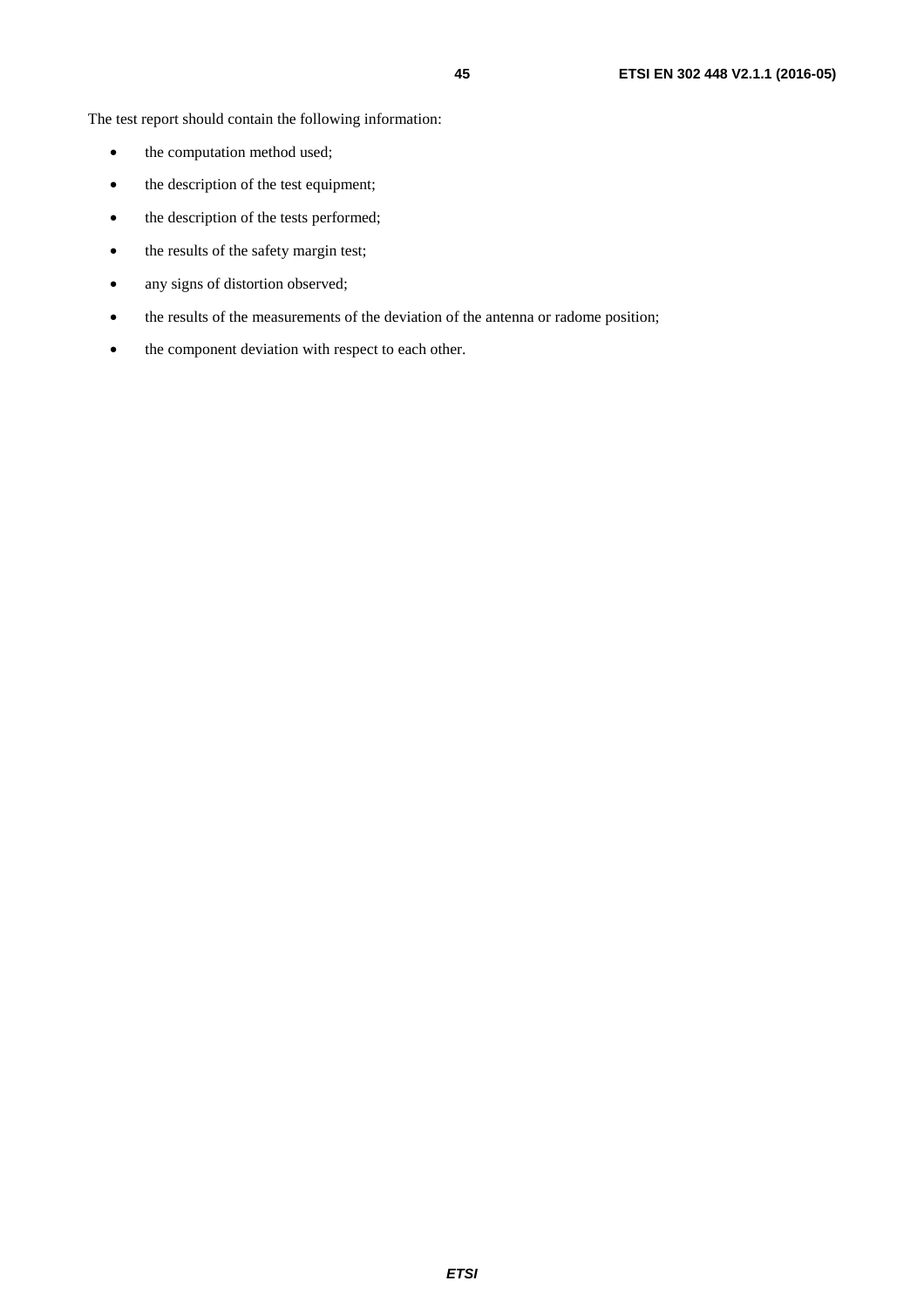The test report should contain the following information:

- the computation method used;
- the description of the test equipment;
- the description of the tests performed;
- the results of the safety margin test;
- any signs of distortion observed;
- the results of the measurements of the deviation of the antenna or radome position;
- the component deviation with respect to each other.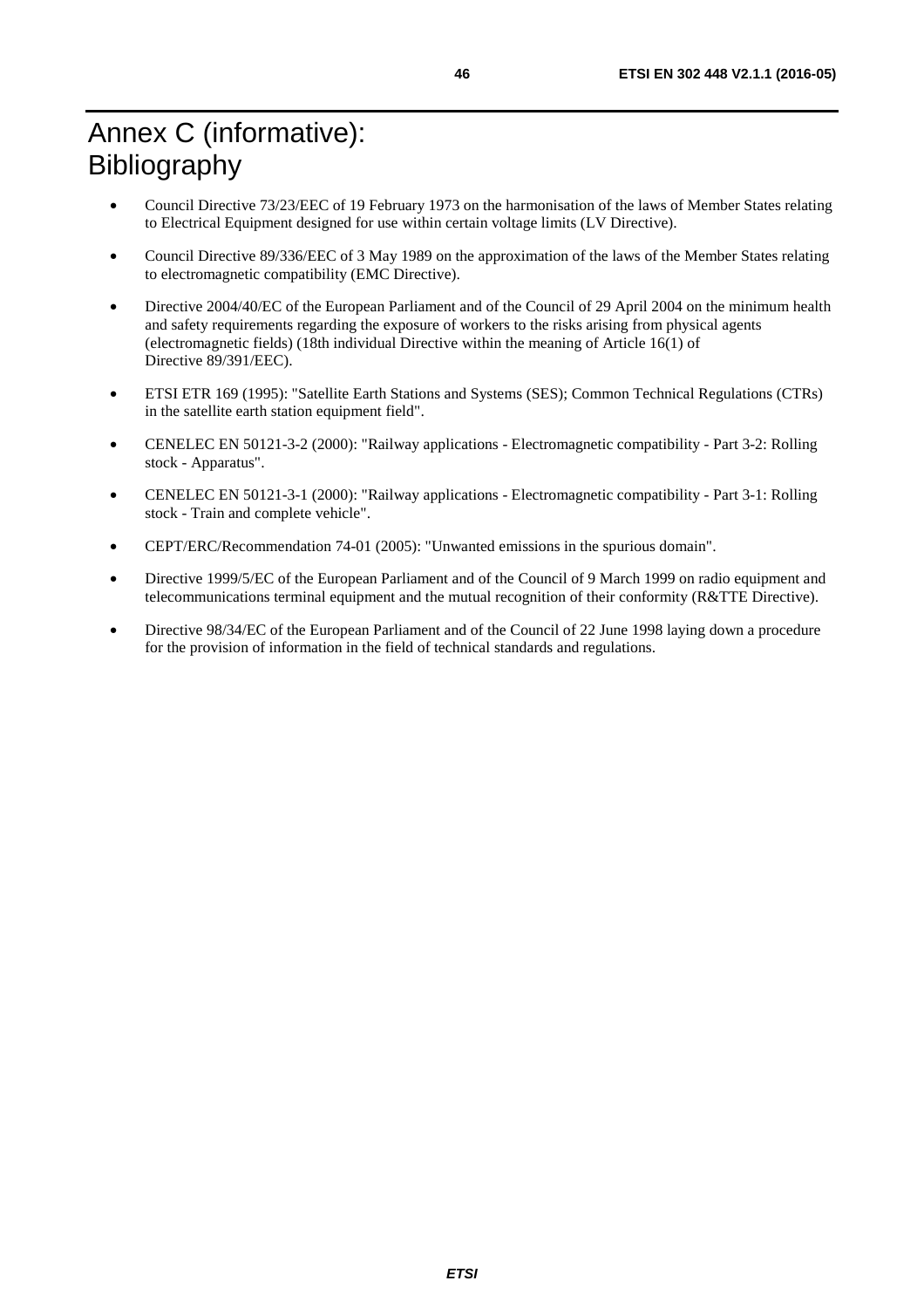# <span id="page-45-0"></span>Annex C (informative): Bibliography

- Council Directive 73/23/EEC of 19 February 1973 on the harmonisation of the laws of Member States relating to Electrical Equipment designed for use within certain voltage limits (LV Directive).
- Council Directive 89/336/EEC of 3 May 1989 on the approximation of the laws of the Member States relating to electromagnetic compatibility (EMC Directive).
- Directive 2004/40/EC of the European Parliament and of the Council of 29 April 2004 on the minimum health and safety requirements regarding the exposure of workers to the risks arising from physical agents (electromagnetic fields) (18th individual Directive within the meaning of Article 16(1) of Directive 89/391/EEC).
- ETSI ETR 169 (1995): "Satellite Earth Stations and Systems (SES); Common Technical Regulations (CTRs) in the satellite earth station equipment field".
- CENELEC EN 50121-3-2 (2000): "Railway applications Electromagnetic compatibility Part 3-2: Rolling stock - Apparatus".
- CENELEC EN 50121-3-1 (2000): "Railway applications Electromagnetic compatibility Part 3-1: Rolling stock - Train and complete vehicle".
- CEPT/ERC/Recommendation 74-01 (2005): "Unwanted emissions in the spurious domain".
- Directive 1999/5/EC of the European Parliament and of the Council of 9 March 1999 on radio equipment and telecommunications terminal equipment and the mutual recognition of their conformity (R&TTE Directive).
- Directive 98/34/EC of the European Parliament and of the Council of 22 June 1998 laying down a procedure for the provision of information in the field of technical standards and regulations.